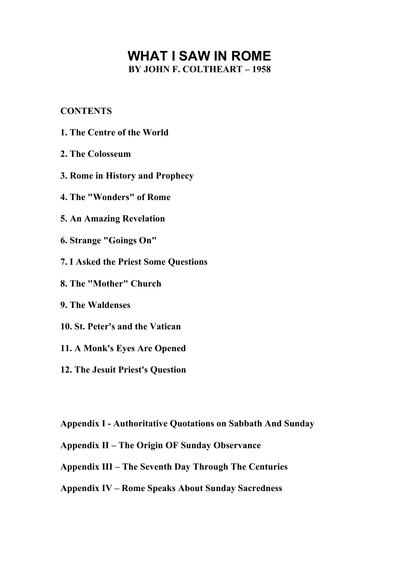# **WHAT I SAW IN ROME BY JOHN F. COLTHEART – 1958**

## **CONTENTS**

- **1. The Centre of the World**
- **2. The Colosseum**
- **3. Rome in History and Prophecy**
- **4. The "Wonders" of Rome**
- **5. An Amazing Revelation**
- **6. Strange "Goings On"**
- **7. I Asked the Priest Some Questions**
- **8. The "Mother" Church**
- **9. The Waldenses**
- **10. St. Peter's and the Vatican**
- **11. A Monk's Eyes Are Opened**
- **12. The Jesuit Priest's Question**
- **Appendix I Authoritative Quotations on Sabbath And Sunday**
- **Appendix II The Origin OF Sunday Observance**
- **Appendix III The Seventh Day Through The Centuries**
- **Appendix IV Rome Speaks About Sunday Sacredness**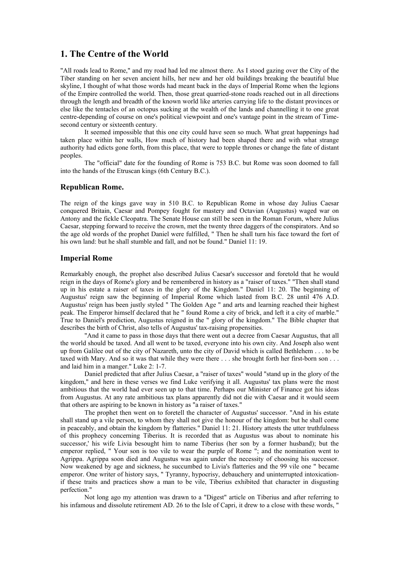## **1. The Centre of the World**

"All roads lead to Rome," and my road had led me almost there. As I stood gazing over the City of the Tiber standing on her seven ancient hills, her new and her old buildings breaking the beautiful blue skyline, I thought of what those words had meant back in the days of Imperial Rome when the legions of the Empire controlled the world. Then, those great quarried-stone roads reached out in all directions through the length and breadth of the known world like arteries carrying life to the distant provinces or else like the tentacles of an octopus sucking at the wealth of the lands and channelling it to one great centre-depending of course on one's political viewpoint and one's vantage point in the stream of Timesecond century or sixteenth century.

It seemed impossible that this one city could have seen so much. What great happenings had taken place within her walls, How much of history had been shaped there and with what strange authority had edicts gone forth, from this place, that were to topple thrones or change the fate of distant peoples.

The "official" date for the founding of Rome is 753 B.C. but Rome was soon doomed to fall into the hands of the Etruscan kings (6th Century B.C.).

### **Republican Rome.**

The reign of the kings gave way in 510 B.C. to Republican Rome in whose day Julius Caesar conquered Britain, Caesar and Pompey fought for mastery and Octavian (Augustus) waged war on Antony and the fickle Cleopatra. The Senate House can still be seen in the Roman Forum, where Julius Caesar, stepping forward to receive the crown, met the twenty three daggers of the conspirators. And so the age old words of the prophet Daniel were fulfilled, " Then he shall turn his face toward the fort of his own land: but he shall stumble and fall, and not be found." Daniel 11: 19.

## **Imperial Rome**

Remarkably enough, the prophet also described Julius Caesar's successor and foretold that he would reign in the days of Rome's glory and be remembered in history as a "raiser of taxes." "Then shall stand up in his estate a raiser of taxes in the glory of the Kingdom." Daniel 11: 20. The beginning of Augustus' reign saw the beginning of Imperial Rome which lasted from B.C. 28 until 476 A.D. Augustus' reign has been justly styled " The Golden Age " and arts and learning reached their highest peak. The Emperor himself declared that he " found Rome a city of brick, and left it a city of marble." True to Daniel's prediction, Augustus reigned in the " glory of the kingdom." The Bible chapter that describes the birth of Christ, also tells of Augustus' tax-raising propensities.

"And it came to pass in those days that there went out a decree from Caesar Augustus, that all the world should be taxed. And all went to be taxed, everyone into his own city. And Joseph also went up from Galilee out of the city of Nazareth, unto the city of David which is called Bethlehem . . . to be taxed with Mary. And so it was that while they were there ... she brought forth her first-born son ... and laid him in a manger." Luke 2: 1-7.

Daniel predicted that after Julius Caesar, a "raiser of taxes" would "stand up in the glory of the kingdom," and here in these verses we find Luke verifying it all. Augustus' tax plans were the most ambitious that the world had ever seen up to that time. Perhaps our Minister of Finance got his ideas from Augustus. At any rate ambitious tax plans apparently did not die with Caesar and it would seem that others are aspiring to be known in history as "a raiser of taxes."

The prophet then went on to foretell the character of Augustus' successor. "And in his estate shall stand up a vile person, to whom they shall not give the honour of the kingdom: but he shall come in peaceably, and obtain the kingdom by flatteries." Daniel 11: 21. History attests the utter truthfulness of this prophecy concerning Tiberius. It is recorded that as Augustus was about to nominate his successor,' his wife Livia besought him to name Tiberius (her son by a former husband); but the emperor replied, " Your son is too vile to wear the purple of Rome "; and the nomination went to Agrippa. Agrippa soon died and Augustus was again under the necessity of choosing his successor. Now weakened by age and sickness, he succumbed to Livia's flatteries and the 99 vile one " became emperor. One writer of history says, " Tyranny, hypocrisy, debauchery and uninterrupted intoxicationif these traits and practices show a man to be vile, Tiberius exhibited that character in disgusting perfection."

Not long ago my attention was drawn to a "Digest" article on Tiberius and after referring to his infamous and dissolute retirement AD. 26 to the Isle of Capri, it drew to a close with these words, "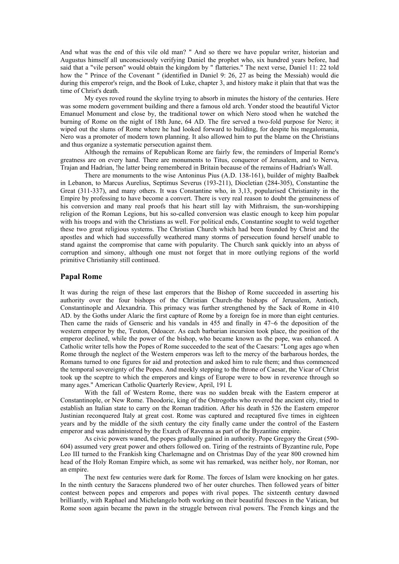And what was the end of this vile old man? " And so there we have popular writer, historian and Augustus himself all unconsciously verifying Daniel the prophet who, six hundred years before, had said that a "vile person" would obtain the kingdom by " flatteries." The next verse, Daniel 11: 22 told how the " Prince of the Covenant " (identified in Daniel 9: 26, 27 as being the Messiah) would die during this emperor's reign, and the Book of Luke, chapter 3, and history make it plain that that was the time of Christ's death.

My eyes roved round the skyline trying to absorb in minutes the history of the centuries. Here was some modern government building and there a famous old arch. Yonder stood the beautiful Victor Emanuel Monument and close by, the traditional tower on which Nero stood when he watched the burning of Rome on the night of 18th June, 64 AD. The fire served a two-fold purpose for Nero; it wiped out the slums of Rome where he had looked forward to building, for despite his megalomania, Nero was a promoter of modern town planning. It also allowed him to put the blame on the Christians and thus organize a systematic persecution against them.

Although the remains of Republican Rome are fairly few, the reminders of Imperial Rome's greatness are on every hand. There are monuments to Titus, conqueror of Jerusalem, and to Nerva, Trajan and Hadrian, !he latter being remembered in Britain because of the remains of Hadrian's Wall.

There are monuments to the wise Antoninus Pius (A.D. 138-161), builder of mighty Baalbek in Lebanon, to Marcus Aurelius, Septimus Severus (193-211), Diocletian (284-305), Constantine the Great (311-337), and many others. It was Constantine who, in 3,13, popularised Christianity in the Empire by professing to have become a convert. There is very real reason to doubt the genuineness of his conversion and many real proofs that his heart still lay with Mithraism, the sun-worshipping religion of the Roman Legions, but his so-called conversion was elastic enough to keep him popular with his troops and with the Christians as well. For political ends, Constantine sought to weld together these two great religious systems. The Christian Church which had been founded by Christ and the apostles and which had successfully weathered many storms of persecution found herself unable to stand against the compromise that came with popularity. The Church sank quickly into an abyss of corruption and simony, although one must not forget that in more outlying regions of the world primitive Christianity still continued.

### **Papal Rome**

It was during the reign of these last emperors that the Bishop of Rome succeeded in asserting his authority over the four bishops of the Christian Church-the bishops of Jerusalem, Antioch, Constantinople and Alexandria. This primacy was further strengthened by the Sack of Rome in 410 AD. by the Goths under Alaric the first capture of Rome by a foreign foe in more than eight centuries. Then came the raids of Genseric and his vandals in 455 and finally in 47~6 the deposition of the western emperor by the, Teuton, Odoacer. As each barbarian incursion took place, the position of the emperor declined, while the power of the bishop, who became known as the pope, was enhanced. A Catholic writer tells how the Popes of Rome succeeded to the seat of the Caesars: "Long ages ago when Rome through the neglect of the Western emperors was left to the mercy of the barbarous hordes, the Romans turned to one figures for aid and protection and asked him to rule them; and thus commenced the temporal sovereignty of the Popes. And meekly stepping to the throne of Caesar, the Vicar of Christ took up the sceptre to which the emperors and kings of Europe were to bow in reverence through so many ages." American Catholic Quarterly Review, April, 191 L

With the fall of Western Rome, there was no sudden break with the Eastern emperor at Constantinople, or New Rome. Theodoric, king of the Ostrogoths who revered the ancient city, tried to establish an Italian state to carry on the Roman tradition. After his death in 526 the Eastern emperor Justinian reconquered Italy at great cost. Rome was captured and recaptured five times in eighteen years and by the middle of the sixth century the city finally came under the control of the Eastern emperor and was administered by the Exarch of Ravenna as part of the Byzantine empire.

As civic powers waned, the popes gradually gained in authority. Pope Gregory the Great (590- 604) assumed very great power and others followed on. Tiring of the restraints of Byzantine rule, Pope Leo III turned to the Frankish king Charlemagne and on Christmas Day of the year 800 crowned him head of the Holy Roman Empire which, as some wit has remarked, was neither holy, nor Roman, nor an empire.

The next few centuries were dark for Rome. The forces of Islam were knocking on her gates. In the ninth century the Saracens plundered two of her outer churches. Then followed years of bitter contest between popes and emperors and popes with rival popes. The sixteenth century dawned brilliantly, with Raphael and Michelangelo both working on their beautiful frescoes in the Vatican, but Rome soon again became the pawn in the struggle between rival powers. The French kings and the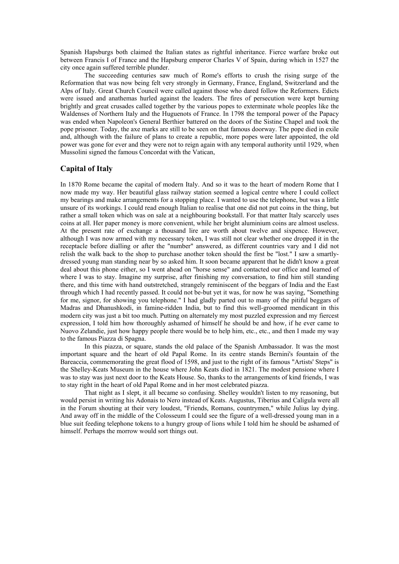Spanish Hapsburgs both claimed the Italian states as rightful inheritance. Fierce warfare broke out between Francis I of France and the Hapsburg emperor Charles V of Spain, during which in 1527 the city once again suffered terrible plunder.

The succeeding centuries saw much of Rome's efforts to crush the rising surge of the Reformation that was now being felt very strongly in Germany, France, England, Switzerland and the Alps of Italy. Great Church Council were called against those who dared follow the Reformers. Edicts were issued and anathemas hurled against the leaders. The fires of persecution were kept burning brightly and great crusades called together by the various popes to exterminate whole peoples like the Waldenses of Northern Italy and the Huguenots of France. In 1798 the temporal power of the Papacy was ended when Napoleon's General Berthier battered on the doors of the Sistine Chapel and took the pope prisoner. Today, the axe marks are still to be seen on that famous doorway. The pope died in exile and, although with the failure of plans to create a republic, more popes were later appointed, the old power was gone for ever and they were not to reign again with any temporal authority until 1929, when Mussolini signed the famous Concordat with the Vatican,

### **Capital of Italy**

In 1870 Rome became the capital of modern Italy. And so it was to the heart of modern Rome that I now made my way. Her beautiful glass railway station seemed a logical centre where I could collect my bearings and make arrangements for a stopping place. I wanted to use the telephone, but was a little unsure of its workings. I could read enough Italian to realise that one did not put coins in the thing, but rather a small token which was on sale at a neighbouring bookstall. For that matter Italy scarcely uses coins at all. Her paper money is more convenient, while her bright aluminium coins are almost useless. At the present rate of exchange a thousand lire are worth about twelve and sixpence. However, although I was now armed with my necessary token, I was still not clear whether one dropped it in the receptacle before dialling or after the "number" answered, as different countries vary and I did not relish the walk back to the shop to purchase another token should the first be "lost." I saw a smartlydressed young man standing near by so asked him. It soon became apparent that he didn't know a great deal about this phone either, so I went ahead on "horse sense" and contacted our office and learned of where I was to stay. Imagine my surprise, after finishing my conversation, to find him still standing there, and this time with hand outstretched, strangely reminiscent of the beggars of India and the East through which I had recently passed. It could not be-but yet it was, for now he was saying, "Something for me, signor, for showing you telephone." I had gladly parted out to many of the pitiful beggars of Madras and Dhanushkodi, in famine-ridden India, but to find this well-groomed mendicant in this modern city was just a bit too much. Putting on alternately my most puzzled expression and my fiercest expression, I told him how thoroughly ashamed of himself he should be and how, if he ever came to Nuovo Zelandie, just how happy people there would be to help him, etc., etc., and then I made my way to the famous Piazza di Spagna.

In this piazza, or square, stands the old palace of the Spanish Ambassador. It was the most important square and the heart of old Papal Rome. In its centre stands Bernini's fountain of the Bareaccia, commemorating the great flood of 1598, and just to the right of its famous "Artists' Steps" is the Shelley-Keats Museum in the house where John Keats died in 1821. The modest pensione where I was to stay was just next door to the Keats House. So, thanks to the arrangements of kind friends, I was to stay right in the heart of old Papal Rome and in her most celebrated piazza.

That night as I slept, it all became so confusing. Shelley wouldn't listen to my reasoning, but would persist in writing his Adonais to Nero instead of Keats. Augustus, Tiberius and Caligula were all in the Forum shouting at their very loudest, "Friends, Romans, countrymen," while Julius lay dying. And away off in the middle of the Colosseum I could see the figure of a well-dressed young man in a blue suit feeding telephone tokens to a hungry group of lions while I told him he should be ashamed of himself. Perhaps the morrow would sort things out.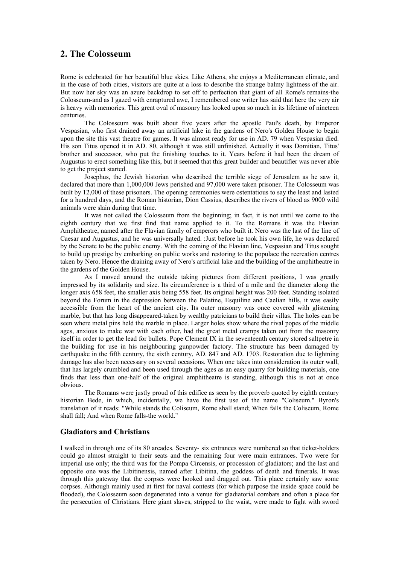## **2. The Colosseum**

Rome is celebrated for her beautiful blue skies. Like Athens, she enjoys a Mediterranean climate, and in the case of both cities, visitors are quite at a loss to describe the strange balmy lightness of the air. But now her sky was an azure backdrop to set off to perfection that giant of all Rome's remains-the Colosseum-and as I gazed with enraptured awe, I remembered one writer has said that here the very air is heavy with memories. This great oval of masonry has looked upon so much in its lifetime of nineteen centuries.

The Colosseum was built about five years after the apostle Paul's death, by Emperor Vespasian, who first drained away an artificial lake in the gardens of Nero's Golden House to begin upon the site this vast theatre for games. It was almost ready for use in AD. 79 when Vespasian died. His son Titus opened it in AD. 80, although it was still unfinished. Actually it was Domitian, Titus' brother and successor, who put the finishing touches to it. Years before it had been the dream of Augustus to erect something like this, but it seemed that this great builder and beautifier was never able to get the project started.

Josephus, the Jewish historian who described the terrible siege of Jerusalem as he saw it, declared that more than 1,000,000 Jews perished and 97,000 were taken prisoner. The Colosseum was built by 12,000 of these prisoners. The opening ceremonies were ostentatious to say the least and lasted for a hundred days, and the Roman historian, Dion Cassius, describes the rivers of blood as 9000 wild animals were slain during that time.

It was not called the Colosseum from the beginning; in fact, it is not until we come to the eighth century that we first find that name applied to it. To the Romans it was the Flavian Amphitheatre, named after the Flavian family of emperors who built it. Nero was the last of the line of Caesar and Augustus, and he was universally hated. :Just before he took his own life, he was declared by the Senate to be the public enemy. With the coming of the Flavian line, Vespasian and Titus sought to build up prestige by embarking on public works and restoring to the populace the recreation centres taken by Nero. Hence the draining away of Nero's artificial lake and the building of the amphitheatre in the gardens of the Golden House.

As I moved around the outside taking pictures from different positions, I was greatly impressed by its solidarity and size. Its circumference is a third of a mile and the diameter along the longer axis 658 feet, the smaller axis being 558 feet. Its original height was 200 feet. Standing isolated beyond the Forum in the depression between the Palatine, Esquiline and Caelian hills, it was easily accessible from the heart of the ancient city. Its outer masonry was once covered with glistening marble, but that has long disappeared-taken by wealthy patricians to build their villas. The holes can be seen where metal pins held the marble in place. Larger holes show where the rival popes of the middle ages, anxious to make war with each other, had the great metal cramps taken out from the masonry itself in order to get the lead for bullets. Pope Clement IX in the seventeenth century stored saltpetre in the building for use in his neighbouring gunpowder factory. The structure has been damaged by earthquake in the fifth century, the sixth century, AD. 847 and AD. 1703. Restoration due to lightning damage has also been necessary on several occasions. When one takes into consideration its outer wall, that has largely crumbled and been used through the ages as an easy quarry for building materials, one finds that less than one-half of the original amphitheatre is standing, although this is not at once obvious.

The Romans were justly proud of this edifice as seen by the proverb quoted by eighth century historian Bede, in which, incidentally, we have the first use of the name "Coliseum." Byron's translation of it reads: "While stands the Coliseum, Rome shall stand; When falls the Coliseum, Rome shall fall; And when Rome falls-the world."

#### **Gladiators and Christians**

I walked in through one of its 80 arcades. Seventy- six entrances were numbered so that ticket-holders could go almost straight to their seats and the remaining four were main entrances. Two were for imperial use only; the third was for the Pompa Circensis, or procession of gladiators; and the last and opposite one was the Libitinensis, named after Libitina, the goddess of death and funerals. It was through this gateway that the corpses were hooked and dragged out. This place certainly saw some corpses. Although mainly used at first for naval contests (for which purpose the inside space could be flooded), the Colosseum soon degenerated into a venue for gladiatorial combats and often a place for the persecution of Christians. Here giant slaves, stripped to the waist, were made to fight with sword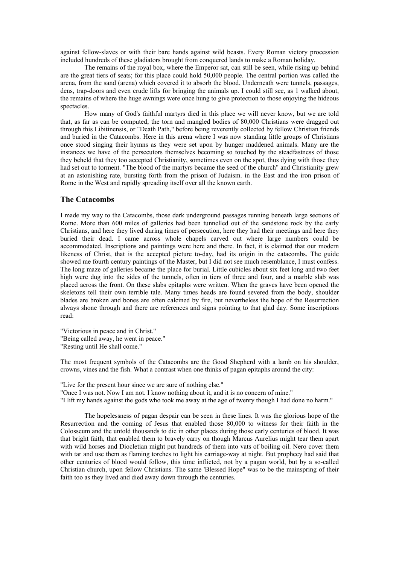against fellow-slaves or with their bare hands against wild beasts. Every Roman victory procession included hundreds of these gladiators brought from conquered lands to make a Roman holiday.

The remains of the royal box, where the Emperor sat, can still be seen, while rising up behind are the great tiers of seats; for this place could hold 50,000 people. The central portion was called the arena, from the sand (arena) which covered it to absorb the blood. Underneath were tunnels, passages, dens, trap-doors and even crude lifts for bringing the animals up. I could still see, as 1 walked about, the remains of where the huge awnings were once hung to give protection to those enjoying the hideous spectacles.

How many of God's faithful martyrs died in this place we will never know, but we are told that, as far as can be computed, the torn and mangled bodies of 80,000 Christians were dragged out through this Libitinensis, or "Death Path," before being reverently collected by fellow Christian friends and buried in the Catacombs. Here in this arena where I was now standing little groups of Christians once stood singing their hymns as they were set upon by hunger maddened animals. Many are the instances we have of the persecutors themselves becoming so touched by the steadfastness of those they beheld that they too accepted Christianity, sometimes even on the spot, thus dying with those they had set out to torment. "The blood of the martyrs became the seed of the church" and Christianity grew at an astonishing rate, bursting forth from the prison of Judaism. in the East and the iron prison of Rome in the West and rapidly spreading itself over all the known earth.

#### **The Catacombs**

I made my way to the Catacombs, those dark underground passages running beneath large sections of Rome. More than 600 miles of galleries had been tunnelled out of the sandstone rock by the early Christians, and here they lived during times of persecution, here they had their meetings and here they buried their dead. I came across whole chapels carved out where large numbers could be accommodated. Inscriptions and paintings were here and there. In fact, it is claimed that our modern likeness of Christ, that is the accepted picture to-day, had its origin in the catacombs. The guide showed me fourth century paintings of the Master, but I did not see much resemblance, I must confess. The long maze of galleries became the place for burial. Little cubicles about six feet long and two feet high were dug into the sides of the tunnels, often in tiers of three and four, and a marble slab was placed across the front. On these slabs epitaphs were written. When the graves have been opened the skeletons tell their own terrible tale. Many times heads are found severed from the body, shoulder blades are broken and bones are often calcined by fire, but nevertheless the hope of the Resurrection always shone through and there are references and signs pointing to that glad day. Some inscriptions read:

"Victorious in peace and in Christ." "Being called away, he went in peace." "Resting until He shall come."

The most frequent symbols of the Catacombs are the Good Shepherd with a lamb on his shoulder, crowns, vines and the fish. What a contrast when one thinks of pagan epitaphs around the city:

"Live for the present hour since we are sure of nothing else." "Once I was not. Now I am not. I know nothing about it, and it is no concern of mine." "I lift my hands against the gods who took me away at the age of twenty though I had done no harm."

The hopelessness of pagan despair can be seen in these lines. It was the glorious hope of the Resurrection and the coming of Jesus that enabled those 80,000 to witness for their faith in the Colosseum and the untold thousands to die in other places during those early centuries of blood. It was that bright faith, that enabled them to bravely carry on though Marcus Aurelius might tear them apart with wild horses and Diocletian might put hundreds of them into vats of boiling oil. Nero cover them with tar and use them as flaming torches to light his carriage-way at night. But prophecy had said that other centuries of blood would follow, this time inflicted, not by a pagan world, but by a so-called Christian church, upon fellow Christians. The same 'Blessed Hope" was to be the mainspring of their faith too as they lived and died away down through the centuries.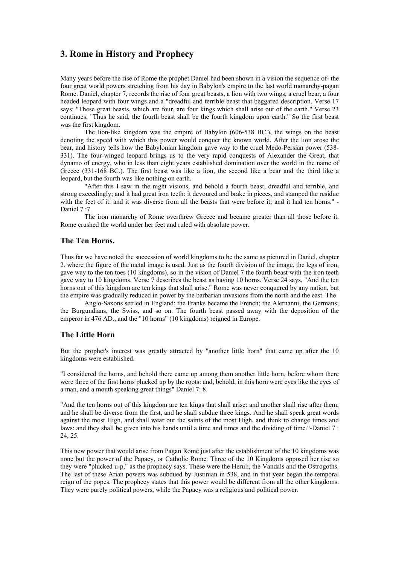## **3. Rome in History and Prophecy**

Many years before the rise of Rome the prophet Daniel had been shown in a vision the sequence of- the four great world powers stretching from his day in Babylon's empire to the last world monarchy-pagan Rome. Daniel, chapter 7, records the rise of four great beasts, a lion with two wings, a cruel bear, a four headed leopard with four wings and a "dreadful and terrible beast that beggared description. Verse 17 says: "These great beasts, which are four, are four kings which shall arise out of the earth." Verse 23 continues, "Thus he said, the fourth beast shall be the fourth kingdom upon earth." So the first beast was the first kingdom.

The lion-like kingdom was the empire of Babylon (606-538 BC.), the wings on the beast denoting the speed with which this power would conquer the known world. After the lion arose the bear, and history tells how the Babylonian kingdom gave way to the cruel Medo-Persian power (538- 331). The four-winged leopard brings us to the very rapid conquests of Alexander the Great, that dynamo of energy, who in less than eight years established domination over the world in the name of Greece (331-168 BC.). The first beast was like a lion, the second like a bear and the third like a leopard, but the fourth was like nothing on earth.

"After this I saw in the night visions, and behold a fourth beast, dreadful and terrible, and strong exceedingly; and it had great iron teeth: it devoured and brake in pieces, and stamped the residue with the feet of it: and it was diverse from all the beasts that were before it; and it had ten horns." -Daniel 7:7.

The iron monarchy of Rome overthrew Greece and became greater than all those before it. Rome crushed the world under her feet and ruled with absolute power.

## **The Ten Horns.**

Thus far we have noted the succession of world kingdoms to be the same as pictured in Daniel, chapter 2. where the figure of the metal image is used. Just as the fourth division of the image, the legs of iron, gave way to the ten toes (10 kingdoms), so in the vision of Daniel 7 the fourth beast with the iron teeth gave way to 10 kingdoms. Verse 7 describes the beast as having 10 horns. Verse 24 says, "And the ten horns out of this kingdom are ten kings that shall arise." Rome was never conquered by any nation, but the empire was gradually reduced in power by the barbarian invasions from the north and the east. The

Anglo-Saxons settled in England; the Franks became the French; the Alernanni, the Germans; the Burgundians, the Swiss, and so on. The fourth beast passed away with the deposition of the emperor in 476 AD., and the "10 horns" (10 kingdoms) reigned in Europe.

## **The Little Horn**

But the prophet's interest was greatly attracted by "another little horn" that came up after the 10 kingdoms were established.

"I considered the horns, and behold there came up among them another little horn, before whom there were three of the first horns plucked up by the roots: and, behold, in this horn were eyes like the eyes of a man, and a mouth speaking great things" Daniel 7: 8.

"And the ten horns out of this kingdom are ten kings that shall arise: and another shall rise after them; and he shall be diverse from the first, and he shall subdue three kings. And he shall speak great words against the most High, and shall wear out the saints of the most High, and think to change times and laws: and they shall be given into his hands until a time and times and the dividing of time."-Daniel 7 : 24, 25.

This new power that would arise from Pagan Rome just after the establishment of the 10 kingdoms was none but the power of the Papacy, or Catholic Rome. Three of the 10 Kingdoms opposed her rise so they were "plucked u-p," as the prophecy says. These were the Heruli, the Vandals and the Ostrogoths. The last of these Arian powers was subdued by Justinian in 538, and in that year began the temporal reign of the popes. The prophecy states that this power would be different from all the other kingdoms. They were purely political powers, while the Papacy was a religious and political power.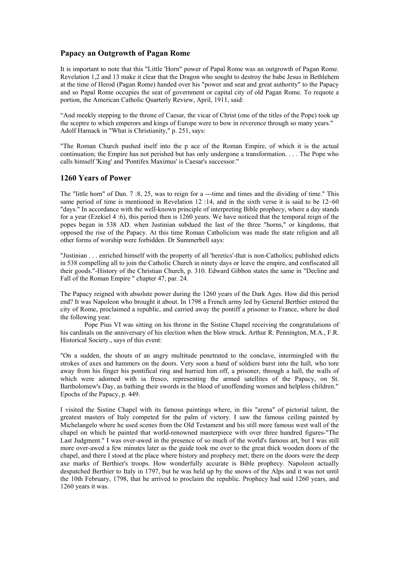## **Papacy an Outgrowth of Pagan Rome**

It is important to note that this "Little 'Horn" power of Papal Rome was an outgrowth of Pagan Rome. Revelation 1,2 and 13 make it clear that the Dragon who sought to destroy the babe Jesus in Bethlehem at the time of Herod (Pagan Rome) handed over his "power and seat and great authority" to the Papacy and so Papal Rome occupies the seat of government or capital city of old Pagan Rome. To requote a portion, the American Catholic Quarterly Review, April, 1911, said:

"And meekly stepping to the throne of Caesar, the vicar of Christ (one of the titles of the Pope) took up the sceptre to which emperors and kings of Europe were to bow in reverence through so many years." Adolf Harnack in "What is Christianity," p. 251, says:

"The Roman Church pushed itself into the p ace of the Roman Empire, of which it is the actual continuation; the Empire has not perished but has only undergone a transformation. . . . The Pope who calls himself 'King' and 'Pontifex Maximus' is Caesar's successor."

## **1260 Years of Power**

The "little horn" of Dan. 7 :8, 25, was to reign for a ---time and times and the dividing of time." This same period of time is mentioned in Revelation 12 :14, and in the sixth verse it is said to be 12~60 "days." In accordance with the well-known principle of interpreting Bible prophecy, where a day stands for a year (Ezekiel 4 :6), this period then is 1260 years. We have noticed that the temporal reign of the popes began in 538 AD. when Justinian subdued the last of the three "horns," or kingdoms, that opposed the rise of the Papacy. At this time Roman Catholicism was made the state religion and all other forms of worship were forbidden. Dr Summerbell says:

"Justinian . . . enriched himself with the property of all 'heretics'-that is non-Catholics; published edicts in 538 compelling all to join the Catholic Church in ninety days or leave the empire, and confiscated all their goods."-History of the Christian Church, p. 310. Edward Gibbon states the same in "Decline and Fall of the Roman Empire " chapter 47, par. 24.

The Papacy reigned with absolute power during the 1260 years of the Dark Ages. How did this period end? It was Napoleon who brought it about. In 1798 a French army led by General Berthier entered the city of Rome, proclaimed a republic, and carried away the pontiff a prisoner to France, where he died the following year.

Pope Pius VI was sitting on his throne in the Sistine Chapel receiving the congratulations of his cardinals on the anniversary of his election when the blow struck. Arthur R. Pennington, M.A., F.R. Historical Society., says of this event:

"On a sudden, the shouts of an angry multitude penetrated to the conclave, intermingled with the strokes of axes and hammers on the doors. Very soon a band of soldiers burst into the hall, who tore away from his finger his pontifical ring and hurried him off, a prisoner, through a hall, the walls of which were adorned with ia fresco, representing the armed satellites of the Papacy, on St. Bartholomew's Day, as bathing their swords in the blood of unoffending women and helpless children." Epochs of the Papacy, p. 449.

I visited the Sistine Chapel with its famous paintings where, in this "arena" of pictorial talent, the greatest masters of Italy competed for the palm of victory. I saw the famous ceiling painted by Michelangelo where he used scenes from the Old Testament and his still more famous west wall of the chapel on which he painted that world-renowned masterpiece with over three hundred figures-"The Last Judgment." I was over-awed in the presence of so much of the world's famous art, but I was still more over-awed a few minutes later as the guide took me over to the great thick wooden doors of the chapel, and there I stood at the place where history and prophecy met; there on the doors were the deep axe marks of Berthier's troops. How wonderfully accurate is Bible prophecy. Napoleon actually despatched Berthier to Italy in 1797, but he was held up by the snows of the Alps and it was not until the 10th February, 1798, that he arrived to proclaim the republic. Prophecy had said 1260 years, and 1260 years it was.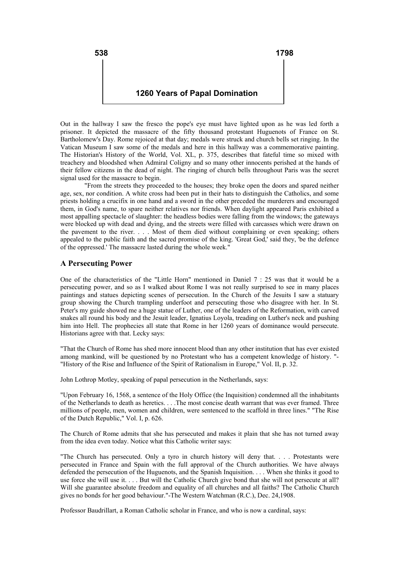

**538 1798**

## **1260 Years of Papal Domination**

Out in the hallway I saw the fresco the pope's eye must have lighted upon as he was led forth a prisoner. It depicted the massacre of the fifty thousand protestant Huguenots of France on St. Bartholomew's Day. Rome rejoiced at that day; medals were struck and church bells set ringing. In the Vatican Museum I saw some of the medals and here in this hallway was a commemorative painting. The Historian's History of the World, Vol. XL, p. 375, describes that fateful time so mixed with treachery and bloodshed when Admiral Coligny and so many other innocents perished at the hands of their fellow citizens in the dead of night. The ringing of church bells throughout Paris was the secret signal used for the massacre to begin.

"From the streets they proceeded to the houses; they broke open the doors and spared neither age, sex, nor condition. A white cross had been put in their hats to distinguish the Catholics, and some priests holding a crucifix in one hand and a sword in the other preceded the murderers and encouraged them, in God's name, to spare neither relatives nor friends. When daylight appeared Paris exhibited a most appalling spectacle of slaughter: the headless bodies were falling from the windows; the gateways were blocked up with dead and dying, and the streets were filled with carcasses which were drawn on the pavement to the river. . . . Most of them died without complaining or even speaking; others appealed to the public faith and the sacred promise of the king. 'Great God,' said they, 'be the defence of the oppressed.' The massacre lasted during the whole week."

### **A Persecuting Power**

One of the characteristics of the "Little Horn" mentioned in Daniel 7 : 25 was that it would be a persecuting power, and so as I walked about Rome I was not really surprised to see in many places paintings and statues depicting scenes of persecution. In the Church of the Jesuits I saw a statuary group showing the Church trampling underfoot and persecuting those who disagree with her. In St. Peter's my guide showed me a huge statue of Luther, one of the leaders of the Reformation, with carved snakes all round his body and the Jesuit leader, Ignatius Loyola, treading on Luther's neck and pushing him into Hell. The prophecies all state that Rome in her 1260 years of dominance would persecute. Historians agree with that. Lecky says:

"That the Church of Rome has shed more innocent blood than any other institution that has ever existed among mankind, will be questioned by no Protestant who has a competent knowledge of history. "- "History of the Rise and Influence of the Spirit of Rationalism in Europe," Vol. II, p. 32.

John Lothrop Motley, speaking of papal persecution in the Netherlands, says:

"Upon February 16, 1568, a sentence of the Holy Office (the Inquisition) condemned all the inhabitants of the Netherlands to death as heretics. . . .The most concise death warrant that was ever framed. Three millions of people, men, women and children, were sentenced to the scaffold in three lines." "The Rise of the Dutch Republic," Vol. I, p. 626.

The Church of Rome admits that she has persecuted and makes it plain that she has not turned away from the idea even today. Notice what this Catholic writer says:

"The Church has persecuted. Only a tyro in church history will deny that. . . . Protestants were persecuted in France and Spain with the full approval of the Church authorities. We have always defended the persecution of the Huguenots, and the Spanish Inquisition. . . . When she thinks it good to use force she will use it. . . . But will the Catholic Church give bond that she will not persecute at all? Will she guarantee absolute freedom and equality of all churches and all faiths? The Catholic Church gives no bonds for her good behaviour."-The Western Watchman (R.C.), Dec. 24,1908.

Professor Baudrillart, a Roman Catholic scholar in France, and who is now a cardinal, says: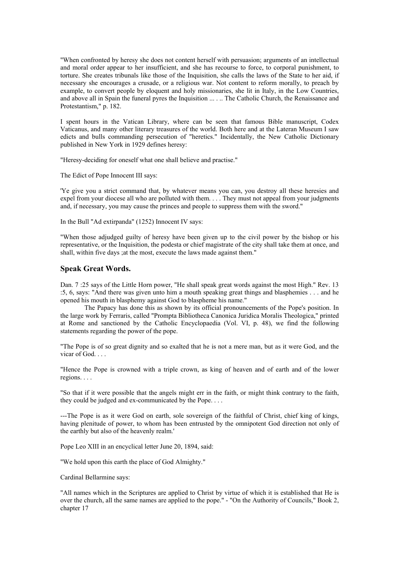"When confronted by heresy she does not content herself with persuasion; arguments of an intellectual and moral order appear to her insufficient, and she has recourse to force, to corporal punishment, to torture. She creates tribunals like those of the Inquisition, she calls the laws of the State to her aid, if necessary she encourages a crusade, or a religious war. Not content to reform morally, to preach by example, to convert people by eloquent and holy missionaries, she lit in Italy, in the Low Countries, and above all in Spain the funeral pyres the Inquisition ... . .. The Catholic Church, the Renaissance and Protestantism," p. 182.

I spent hours in the Vatican Library, where can be seen that famous Bible manuscript, Codex Vaticanus, and many other literary treasures of the world. Both here and at the Lateran Museum I saw edicts and bulls commanding persecution of "heretics." Incidentally, the New Catholic Dictionary published in New York in 1929 defines heresy:

"Heresy-deciding for oneself what one shall believe and practise."

The Edict of Pope Innocent III says:

'Ye give you a strict command that, by whatever means you can, you destroy all these heresies and expel from your diocese all who are polluted with them. . . . They must not appeal from your judgments and, if necessary, you may cause the princes and people to suppress them with the sword."

In the Bull "Ad extirpanda" (1252) Innocent IV says:

"When those adjudged guilty of heresy have been given up to the civil power by the bishop or his representative, or the Inquisition, the podesta or chief magistrate of the city shall take them at once, and shall, within five days ;at the most, execute the laws made against them."

### **Speak Great Words.**

Dan. 7 :25 says of the Little Horn power, "He shall speak great words against the most High." Rev. 13 :5, 6, says: "And there was given unto him a mouth speaking great things and blasphemies . . . and he opened his mouth in blasphemy against God to blaspheme his name."

The Papacy has done this as shown by its official pronouncements of the Pope's position. In the large work by Ferraris, called "Prompta Bibliotheca Canonica Juridica Moralis Theologica," printed at Rome and sanctioned by the Catholic Encyclopaedia (Vol. VI, p. 48), we find the following statements regarding the power of the pope.

"The Pope is of so great dignity and so exalted that he is not a mere man, but as it were God, and the vicar of God. . . .

"Hence the Pope is crowned with a triple crown, as king of heaven and of earth and of the lower regions. . . .

"So that if it were possible that the angels might err in the faith, or might think contrary to the faith, they could be judged and ex-communicated by the Pope. . . .

---The Pope is as it were God on earth, sole sovereign of the faithful of Christ, chief king of kings, having plenitude of power, to whom has been entrusted by the omnipotent God direction not only of the earthly but also of the heavenly realm.'

Pope Leo XIII in an encyclical letter June 20, 1894, said:

"We hold upon this earth the place of God Almighty."

Cardinal Bellarmine says:

"All names which in the Scriptures are applied to Christ by virtue of which it is established that He is over the church, all the same names are applied to the pope." - "On the Authority of Councils," Book 2, chapter 17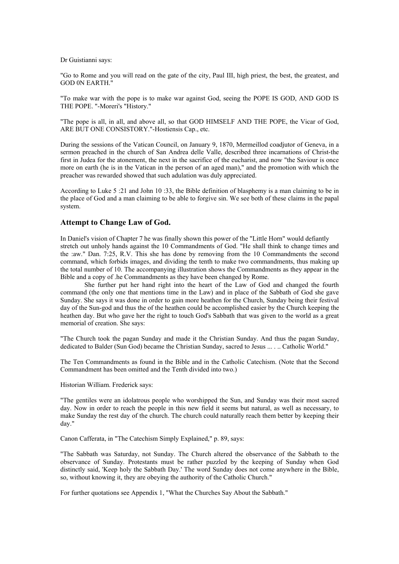Dr Guistianni says:

"Go to Rome and you will read on the gate of the city, Paul III, high priest, the best, the greatest, and GOD 0N EARTH."

"To make war with the pope is to make war against God, seeing the POPE IS GOD, AND GOD IS THE POPE. "-Moreri's "History."

"The pope is all, in all, and above all, so that GOD HIMSELF AND THE POPE, the Vicar of God, ARE BUT ONE CONSISTORY."-Hostiensis Cap., etc.

During the sessions of the Vatican Council, on January 9, 1870, Mermeillod coadjutor of Geneva, in a sermon preached in the church of San Andrea delle Valle, described three incarnations of Christ-the first in Judea for the atonement, the next in the sacrifice of the eucharist, and now "the Saviour is once more on earth (he is in the Vatican in the person of an aged man)," and the promotion with which the preacher was rewarded showed that such adulation was duly appreciated.

According to Luke 5 :21 and John 10 :33, the Bible definition of blasphemy is a man claiming to be in the place of God and a man claiming to be able to forgive sin. We see both of these claims in the papal system.

#### **Attempt to Change Law of God.**

In Daniel's vision of Chapter 7 he was finally shown this power of the "Little Horn" would defiantly stretch out unholy hands against the 10 Commandments of God. "He shall think to change times and the :aw." Dan. 7:25, R.V. This she has done by removing from the 10 Commandments the second command, which forbids images, and dividing the tenth to make two commandments, thus making up the total number of 10. The accompanying illustration shows the Commandments as they appear in the Bible and a copy of .he Commandments as they have been changed by Rome.

She further put her hand right into the heart of the Law of God and changed the fourth command (the only one that mentions time in the Law) and in place of the Sabbath of God she gave Sunday. She says it was done in order to gain more heathen for the Church, Sunday being their festival day of the Sun-god and thus the of the heathen could be accomplished easier by the Church keeping the heathen day. But who gave her the right to touch God's Sabbath that was given to the world as a great memorial of creation. She says:

"The Church took the pagan Sunday and made it the Christian Sunday. And thus the pagan Sunday, dedicated to Balder (Sun God) became the Christian Sunday, sacred to Jesus ... . .. Catholic World."

The Ten Commandments as found in the Bible and in the Catholic Catechism. (Note that the Second Commandment has been omitted and the Tenth divided into two.)

Historian William. Frederick says:

"The gentiles were an idolatrous people who worshipped the Sun, and Sunday was their most sacred day. Now in order to reach the people in this new field it seems but natural, as well as necessary, to make Sunday the rest day of the church. The church could naturally reach them better by keeping their day."

Canon Cafferata, in "The Catechism Simply Explained," p. 89, says:

"The Sabbath was Saturday, not Sunday. The Church altered the observance of the Sabbath to the observance of Sunday. Protestants must be rather puzzled by the keeping of Sunday when God distinctly said, 'Keep holy the Sabbath Day.' The word Sunday does not come anywhere in the Bible, so, without knowing it, they are obeying the authority of the Catholic Church."

For further quotations see Appendix 1, "What the Churches Say About the Sabbath."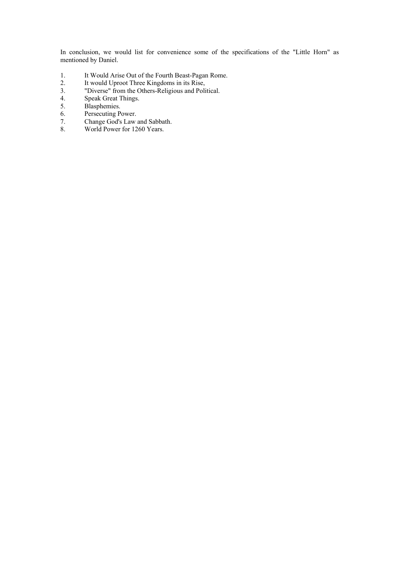In conclusion, we would list for convenience some of the specifications of the "Little Horn" as mentioned by Daniel.

- 1. It Would Arise Out of the Fourth Beast-Pagan Rome.
- 2. It would Uproot Three Kingdoms in its Rise,
- 3. "Diverse" from the Others-Religious and Political.
- 4. Speak Great Things.
- 5. Blasphemies.<br>6. Persecuting P
- 6. Persecuting Power.<br>7. Change God's Law
- 7. Change God's Law and Sabbath.<br>8. World Power for 1260 Years.
- World Power for 1260 Years.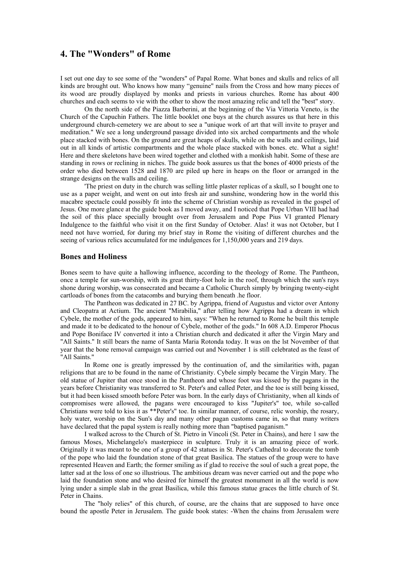## **4. The "Wonders" of Rome**

I set out one day to see some of the "wonders" of Papal Rome. What bones and skulls and relics of all kinds are brought out. Who knows how many "genuine" nails from the Cross and how many pieces of its wood are proudly displayed by monks and priests in various churches. Rome has about 400 churches and each seems to vie with the other to show the most amazing relic and tell the "best" story.

On the north side of the Piazza Barberini, at the beginning of the Via Vittoria Veneto, is the Church of the Capuchin Fathers. The little booklet one buys at the church assures us that here in this underground church-cemetery we are about to see a "unique work of art that will invite to prayer and meditation." We see a long underground passage divided into six arched compartments and the whole place stacked with bones. On the ground are great heaps of skulls, while on the walls and ceilings, laid out in all kinds of artistic compartments and the whole place stacked with bones. etc. What a sight! Here and there skeletons have been wired together and clothed with a monkish habit. Some of these are standing in rows or reclining in niches. The guide book assures us that the bones of 4000 priests of the order who died between 1528 and 1870 are piled up here in heaps on the floor or arranged in the strange designs on the walls and ceiling.

'The priest on duty in the church was selling little plaster replicas of a skull, so I bought one to use as a paper weight, and went on out into fresh air and sunshine, wondering how in the world this macabre spectacle could possibly fit into the scheme of Christian worship as revealed in the gospel of Jesus. One more glance at the guide book as I moved away, and I noticed that Pope Urban VIII had had the soil of this place specially brought over from Jerusalem and Pope Pius VI granted Plenary Indulgence to the faithful who visit it on the first Sunday of October. Alas! it was not October, but I need not have worried, for during my brief stay in Rome the visiting of different churches and the seeing of various relics accumulated for me indulgences for 1,150,000 years and 219 days.

## **Bones and Holiness**

Bones seem to have quite a hallowing influence, according to the theology of Rome. The Pantheon, once a temple for sun-worship, with its great thirty-foot hole in the roof, through which the sun's rays shone during worship, was consecrated and became a Catholic Church simply by bringing twenty-eight cartloads of bones from the catacombs and burying them beneath .he floor.

The Pantheon was dedicated in 27 BC. by Agrippa, friend of Augustus and victor over Antony and Cleopatra at Actium. The ancient "Mirabilia," after telling how Agrippa had a dream in which Cybele, the mother of the gods, appeared to him, says: "When he returned to Rome he built this temple and made it to be dedicated to the honour of Cybele, mother of the gods." In 608 A.D. Emperor Phocus and Pope Boniface IV converted it into a Christian church and dedicated it after the Virgin Mary and "All Saints." It still bears the name of Santa Maria Rotonda today. It was on the lst November of that year that the bone removal campaign was carried out and November 1 is still celebrated as the feast of "All Saints."

In Rome one is greatly impressed by the continuation of, and the similarities with, pagan religions that are to be found in the name of Christianity. Cybele simply became the Virgin Mary. The old statue of Jupiter that once stood in the Pantheon and whose foot was kissed by the pagans in the years before Christianity was transferred to St. Peter's and called Peter, and the toe is still being kissed, but it had been kissed smooth before Peter was born. In the early days of Christianity, when all kinds of compromises were allowed, the pagans were encouraged to kiss "Jupiter's" toe, while so-called Christians were told to kiss it as \*\*Peter's" toe. In similar manner, of course, relic worship, the rosary, holy water, worship on the Sun's day and many other pagan customs came in, so that many writers have declared that the papal system is really nothing more than "baptised paganism."

I walked across to the Church of St. Pietro in Vincoli (St. Peter in Chains), and here 1 saw the famous Moses, Michelangelo's masterpiece in sculpture. Truly it is an amazing piece of work. Originally it was meant to be one of a group of 42 statues in St. Peter's Cathedral to decorate the tomb of the pope who laid the foundation stone of that great Basilica. The statues of the group were to have represented Heaven and Earth; the former smiling as if glad to receive the soul of such a great pope, the latter sad at the loss of one so illustrious. The ambitious dream was never carried out and the pope who laid the foundation stone and who desired for himself the greatest monument in all the world is now lying under a simple slab in the great Basilica, while this famous statue graces the little church of St. Peter in Chains.

The "holy relies" of this church, of course, are the chains that are supposed to have once bound the apostle Peter in Jerusalem. The guide book states: -When the chains from Jerusalem were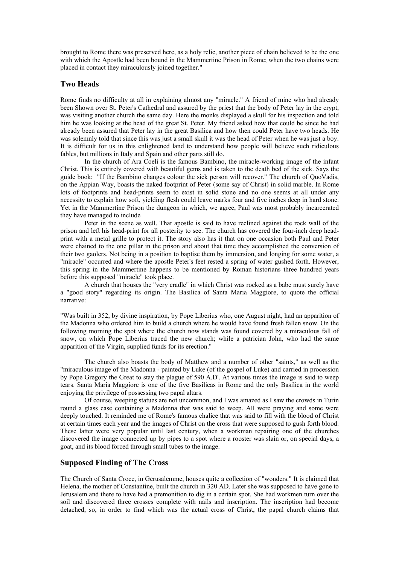brought to Rome there was preserved here, as a holy relic, another piece of chain believed to be the one with which the Apostle had been bound in the Mammertine Prison in Rome; when the two chains were placed in contact they miraculously joined together."

### **Two Heads**

Rome finds no difficulty at all in explaining almost any "miracle." A friend of mine who had already been Shown over St. Peter's Cathedral and assured by the priest that the body of Peter lay in the crypt, was visiting another church the same day. Here the monks displayed a skull for his inspection and told him he was looking at the head of the great St. Peter. My friend asked how that could be since he had already been assured that Peter lay in the great Basilica and how then could Peter have two heads. He was solemnly told that since this was just a small skull it was the head of Peter when he was just a boy. It is difficult for us in this enlightened land to understand how people will believe such ridiculous fables, but millions in Italy and Spain and other parts still do.

In the church of Ara Coeli is the famous Bambino, the miracle-working image of the infant Christ. This is entirely covered with beautiful gems and is taken to the death bed of the sick. Says the guide book: "If the Bambino changes colour the sick person will recover." The church of QuoVadis, on the Appian Way, boasts the naked footprint of Peter (some say of Christ) in solid marble. In Rome lots of footprints and head-prints seem to exist in solid stone and no one seems at all under any necessity to explain how soft, yielding flesh could leave marks four and five inches deep in hard stone. Yet in the Mammertine Prison the dungeon in which, we agree, Paul was most probably incarcerated they have managed to include

Peter in the scene as well. That apostle is said to have reclined against the rock wall of the prison and left his head-print for all posterity to see. The church has covered the four-inch deep headprint with a metal grille to protect it. The story also has it that on one occasion both Paul and Peter were chained to the one pillar in the prison and about that time they accomplished the conversion of their two gaolers. Not being in a position to baptise them by immersion, and longing for some water, a "miracle" occurred and where the apostle Peter's feet rested a spring of water gushed forth. However, this spring in the Mammertine happens to be mentioned by Roman historians three hundred years before this supposed "miracle" took place.

A church that houses the "very cradle" in which Christ was rocked as a babe must surely have a "good story" regarding its origin. The Basilica of Santa Maria Maggiore, to quote the official narrative:

"Was built in 352, by divine inspiration, by Pope Liberius who, one August night, had an apparition of the Madonna who ordered him to build a church where he would have found fresh fallen snow. On the following morning the spot where the church now stands was found covered by a miraculous fall of snow, on which Pope Liberius traced the new church; while a patrician John, who had the same apparition of the Virgin, supplied funds for its erection."

The church also boasts the body of Matthew and a number of other "saints," as well as the "miraculous image of the Madonna - painted by Luke (of the gospel of Luke) and carried in procession by Pope Gregory the Great to stay the plague of 590 A.D'. At various times the image is said to weep tears. Santa Maria Maggiore is one of the five Basilicas in Rome and the only Basilica in the world enjoying the privilege of possessing two papal altars.

Of course, weeping statues are not uncommon, and I was amazed as I saw the crowds in Turin round a glass case containing a Madonna that was said to weep. All were praying and some were deeply touched. It reminded me of Rome's famous chalice that was said to fill with the blood of Christ at certain times each year and the images of Christ on the cross that were supposed to gush forth blood. These latter were very popular until last century, when a workman repairing one of the churches discovered the image connected up by pipes to a spot where a rooster was slain or, on special days, a goat, and its blood forced through small tubes to the image.

## **Supposed Finding of The Cross**

The Church of Santa Croce, in Gerusalemme, houses quite a collection of "wonders." It is claimed that Helena, the mother of Constantine, built the church in 320 AD. Later she was supposed to have gone to Jerusalem and there to have had a premonition to dig in a certain spot. She had workmen turn over the soil and discovered three crosses complete with nails and inscription. The inscription had become detached, so, in order to find which was the actual cross of Christ, the papal church claims that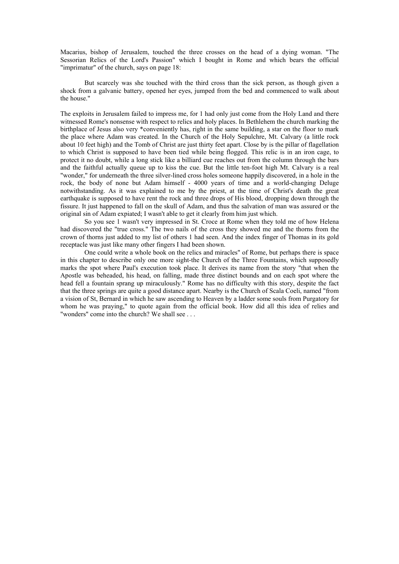Macarius, bishop of Jerusalem, touched the three crosses on the head of a dying woman. "The Sessorian Relics of the Lord's Passion" which I bought in Rome and which bears the official "imprimatur" of the church, says on page 18:

But scarcely was she touched with the third cross than the sick person, as though given a shock from a galvanic battery, opened her eyes, jumped from the bed and commenced to walk about the house."

The exploits in Jerusalem failed to impress me, for 1 had only just come from the Holy Land and there witnessed Rome's nonsense with respect to relics and holy places. In Bethlehem the church marking the birthplace of Jesus also very \*conveniently has, right in the same building, a star on the floor to mark the place where Adam was created. In the Church of the Holy Sepulchre, Mt. Calvary (a little rock about 10 feet high) and the Tomb of Christ are just thirty feet apart. Close by is the pillar of flagellation to which Christ is supposed to have been tied while being flogged. This relic is in an iron cage, to protect it no doubt, while a long stick like a billiard cue reaches out from the column through the bars and the faithful actually queue up to kiss the cue. But the little ten-foot high Mt. Calvary is a real "wonder," for underneath the three silver-lined cross holes someone happily discovered, in a hole in the rock, the body of none but Adam himself - 4000 years of time and a world-changing Deluge notwithstanding. As it was explained to me by the priest, at the time of Christ's death the great earthquake is supposed to have rent the rock and three drops of His blood, dropping down through the fissure. It just happened to fall on the skull of Adam, and thus the salvation of man was assured or the original sin of Adam expiated; I wasn't able to get it clearly from him just which.

So you see 1 wasn't very impressed in St. Croce at Rome when they told me of how Helena had discovered the "true cross." The two nails of the cross they showed me and the thorns from the crown of thorns just added to my list of others 1 had seen. And the index finger of Thomas in its gold receptacle was just like many other fingers I had been shown.

One could write a whole book on the relics and miracles" of Rome, but perhaps there is space in this chapter to describe only one more sight-the Church of the Three Fountains, which supposedly marks the spot where Paul's execution took place. It derives its name from the story "that when the Apostle was beheaded, his head, on falling, made three distinct bounds and on each spot where the head fell a fountain sprang up miraculously." Rome has no difficulty with this story, despite the fact that the three springs are quite a good distance apart. Nearby is the Church of Scala Coeli, named "from a vision of St, Bernard in which he saw ascending to Heaven by a ladder some souls from Purgatory for whom he was praying," to quote again from the official book. How did all this idea of relies and "wonders" come into the church? We shall see . . .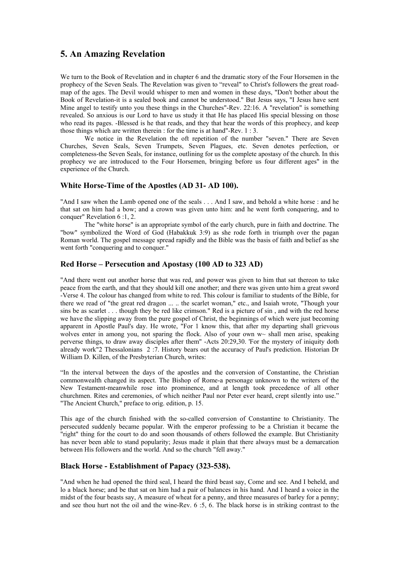## **5. An Amazing Revelation**

We turn to the Book of Revelation and in chapter 6 and the dramatic story of the Four Horsemen in the prophecy of the Seven Seals. The Revelation was given to "reveal" to Christ's followers the great roadmap of the ages. The Devil would whisper to men and women in these days, "Don't bother about the Book of Revelation-it is a sealed book and cannot be understood." But Jesus says, "I Jesus have sent Mine angel to testify unto you these things in the Churches"-Rev. 22:16. A "revelation" is something revealed. So anxious is our Lord to have us study it that He has placed His special blessing on those who read its pages. -Blessed is he that reads, and they that hear the words of this prophecy, and keep those things which are written therein : for the time is at hand"-Rev. 1 : 3.

We notice in the Revelation the oft repetition of the number "seven." There are Seven Churches, Seven Seals, Seven Trumpets, Seven Plagues, etc. Seven denotes perfection, or completeness-the Seven Seals, for instance, outlining for us the complete apostasy of the church. In this prophecy we are introduced to the Four Horsemen, bringing before us four different ages" in the experience of the Church.

## **White Horse-Time of the Apostles (AD 31- AD 100).**

"And I saw when the Lamb opened one of the seals . . . And I saw, and behold a white horse : and he that sat on him had a bow; and a crown was given unto him: and he went forth conquering, and to conquer" Revelation 6 :1, 2.

The "white horse" is an appropriate symbol of the early church, pure in faith and doctrine. The "bow" symbolized the Word of God (Habakkuk 3:9) as she rode forth in triumph over the pagan Roman world. The gospel message spread rapidly and the Bible was the basis of faith and belief as she went forth "conquering and to conquer."

## **Red Horse – Persecution and Apostasy (100 AD to 323 AD)**

"And there went out another horse that was red, and power was given to him that sat thereon to take peace from the earth, and that they should kill one another; and there was given unto him a great sword -Verse 4. The colour has changed from white to red. This colour is familiar to students of the Bible, for there we read of "the great red dragon ... .. the scarlet woman," etc., and Isaiah wrote, "Though your sins be as scarlet . . . though they be red like crimson." Red is a picture of sin , and with the red horse we have the slipping away from the pure gospel of Christ, the beginnings of which were just becoming apparent in Apostle Paul's day. He wrote, "For 1 know this, that after my departing shall grievous wolves enter in among you, not sparing the flock. Also of your own  $w<$  shall men arise, speaking perverse things, to draw away disciples after them" -Acts 20:29,30. 'For the mystery of iniquity doth already work"2 Thessalonians 2 :7. History bears out the accuracy of Paul's prediction. Historian Dr William D. Killen, of the Presbyterian Church, writes:

"In the interval between the days of the apostles and the conversion of Constantine, the Christian commonwealth changed its aspect. The Bishop of Rome-a personage unknown to the writers of the New Testament-meanwhile rose into prominence, and at length took precedence of all other churchmen. Rites and ceremonies, of which neither Paul nor Peter ever heard, crept silently into use." "The Ancient Church," preface to orig. edition, p. 15.

This age of the church finished with the so-called conversion of Constantine to Christianity. The persecuted suddenly became popular. With the emperor professing to be a Christian it became the "right" thing for the court to do and soon thousands of others followed the example. But Christianity has never been able to stand popularity; Jesus made it plain that there always must be a demarcation between His followers and the world. And so the church "fell away."

## **Black Horse - Establishment of Papacy (323-538).**

"And when he had opened the third seal, I heard the third beast say, Come and see. And I beheld, and lo a black horse; and be that sat on him had a pair of balances in his hand. And I heard a voice in the midst of the four beasts say, A measure of wheat for a penny, and three measures of barley for a penny; and see thou hurt not the oil and the wine-Rev. 6 :5, 6. The black horse is in striking contrast to the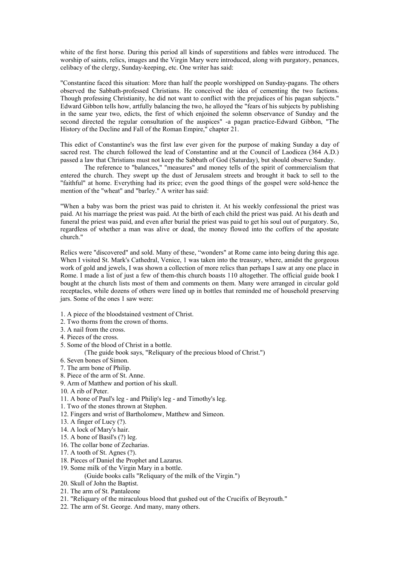white of the first horse. During this period all kinds of superstitions and fables were introduced. The worship of saints, relics, images and the Virgin Mary were introduced, along with purgatory, penances, celibacy of the clergy, Sunday-keeping, etc. One writer has said:

"Constantine faced this situation: More than half the people worshipped on Sunday-pagans. The others observed the Sabbath-professed Christians. He conceived the idea of cementing the two factions. Though professing Christianity, he did not want to conflict with the prejudices of his pagan subjects." Edward Gibbon tells how, artfully balancing the two, he alloyed the "fears of his subjects by publishing in the same year two, edicts, the first of which enjoined the solemn observance of Sunday and the second directed the regular consultation of the auspices" -a pagan practice-Edward Gibbon, "The History of the Decline and Fall of the Roman Empire," chapter 21.

This edict of Constantine's was the first law ever given for the purpose of making Sunday a day of sacred rest. The church followed the lead of Constantine and at the Council of Laodicea (364 A.D.) passed a law that Christians must not keep the Sabbath of God (Saturday), but should observe Sunday.

The reference to "balances," "measures" and money tells of the spirit of commercialism that entered the church. They swept up the dust of Jerusalem streets and brought it back to sell to the "faithful" at home. Everything had its price; even the good things of the gospel were sold-hence the mention of the "wheat" and "barley." A writer has said:

"When a baby was born the priest was paid to christen it. At his weekly confessional the priest was paid. At his marriage the priest was paid. At the birth of each child the priest was paid. At his death and funeral the priest was paid, and even after burial the priest was paid to get his soul out of purgatory. So, regardless of whether a man was alive or dead, the money flowed into the coffers of the apostate church."

Relics were "discovered" and sold. Many of these, "wonders" at Rome came into being during this age. When I visited St. Mark's Cathedral, Venice, 1 was taken into the treasury, where, amidst the gorgeous work of gold and jewels, I was shown a collection of more relics than perhaps I saw at any one place in Rome. I made a list of just a few of them-this church boasts 110 altogether. The official guide book I bought at the church lists most of them and comments on them. Many were arranged in circular gold receptacles, while dozens of others were lined up in bottles that reminded me of household preserving jars. Some of the ones 1 saw were:

- 1. A piece of the bloodstained vestment of Christ.
- 2. Two thorns from the crown of thorns.
- 3. A nail from the cross.
- 4. Pieces of the cross.
- 5. Some of the blood of Christ in a bottle.
	- (The guide book says, "Reliquary of the precious blood of Christ.")
- 6. Seven bones of Simon.
- 7. The arm bone of Philip.
- 8. Piece of the arm of St. Anne.
- 9. Arm of Matthew and portion of his skull.
- 10. A rib of Peter.
- 11. A bone of Paul's leg and Philip's leg and Timothy's leg.
- 1. Two of the stones thrown at Stephen.
- 12. Fingers and wrist of Bartholomew, Matthew and Simeon.
- 13. A finger of Lucy (?).
- 14. A lock of Mary's hair.
- 15. A bone of Basil's (?) leg.
- 16. The collar bone of Zecharias.
- 17. A tooth of St. Agnes (?).
- 18. Pieces of Daniel the Prophet and Lazarus.
- 19. Some milk of the Virgin Mary in a bottle.

(Guide books calls "Reliquary of the milk of the Virgin.")

- 20. Skull of John the Baptist.
- 21. The arm of St. Pantaleone
- 21. "Reliquary of the miraculous blood that gushed out of the Crucifix of Beyrouth."
- 22. The arm of St. George. And many, many others.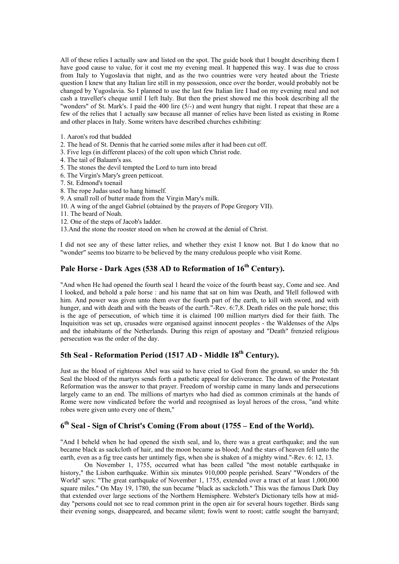All of these relies I actually saw and listed on the spot. The guide book that I bought describing them I have good cause to value, for it cost me my evening meal. It happened this way. I was due to cross from Italy to Yugoslavia that night, and as the two countries were very heated about the Trieste question I knew that any Italian lire still in my possession, once over the border, would probably not be changed by Yugoslavia. So I planned to use the last few Italian lire I had on my evening meal and not cash a traveller's cheque until I left Italy. But then the priest showed me this book describing all the "wonders" of St. Mark's. I paid the 400 lire (5/-) and went hungry that night. I repeat that these are a few of the relies that 1 actually saw because all manner of relies have been listed as existing in Rome and other places in Italy. Some writers have described churches exhibiting:

- 1. Aaron's rod that budded
- 2. The head of St. Dennis that he carried some miles after it had been cut off.
- 3. Five legs (in different places) of the colt upon which Christ rode.
- 4. The tail of Balaam's ass.
- 5. The stones the devil tempted the Lord to turn into bread
- 6. The Virgin's Mary's green petticoat.
- 7. St. Edmond's toenail
- 8. The rope Judas used to hang himself.
- 9. A small roll of butter made from the Virgin Mary's milk.
- 10. A wing of the angel Gabriel (obtained by the prayers of Pope Gregory VII).
- 11. The beard of Noah.
- 12. One of the steps of Jacob's ladder.
- 13.And the stone the rooster stood on when he crowed at the denial of Christ.

I did not see any of these latter relies, and whether they exist I know not. But I do know that no "wonder" seems too bizarre to be believed by the many credulous people who visit Rome.

## **Pale Horse - Dark Ages (538 AD to Reformation of 16th Century).**

"And when He had opened the fourth seal 1 heard the voice of the fourth beast say, Come and see. And I looked, and behold a pale horse : and his name that sat on him was Death, and 'Hell followed with him. And power was given unto them over the fourth part of the earth, to kill with sword, and with hunger, and with death and with the beasts of the earth."-Rev. 6:7,8. Death rides on the pale horse; this is the age of persecution, of which time it is claimed 100 million martyrs died for their faith. The Inquisition was set up, crusades were organised against innocent peoples - the Waldenses of the Alps and the inhabitants of the Netherlands. During this reign of apostasy and "Death" frenzied religious persecution was the order of the day.

## 5th Seal - Reformation Period (1517 AD - Middle 18<sup>th</sup> Century).

Just as the blood of righteous Abel was said to have cried to God from the ground, so under the 5th Seal the blood of the martyrs sends forth a pathetic appeal for deliverance. The dawn of the Protestant Reformation was the answer to that prayer. Freedom of worship came in many lands and persecutions largely came to an end. The millions of martyrs who had died as common criminals at the hands of Rome were now vindicated before the world and recognised as loyal heroes of the cross, "and white robes were given unto every one of them,"

## **6th Seal - Sign of Christ's Coming (From about (1755 – End of the World).**

"And I beheld when he had opened the sixth seal, and lo, there was a great earthquake; and the sun became black as sackcloth of hair, and the moon became as blood; And the stars of heaven fell unto the earth, even as a fig tree casts her untimely figs, when she is shaken of a mighty wind."-Rev. 6: 12, 13.

On November 1, 1755, occurred what has been called "the most notable earthquake in history," the Lisbon earthquake. Within six minutes 910,000 people perished. Sears' "Wonders of the World" says: "The great earthquake of November 1, 1755, extended over a tract of at least 1,000,000 square miles." On May 19, 1780, the sun became "black as sackcloth." This was the famous Dark Day that extended over large sections of the Northern Hemisphere. Webster's Dictionary tells how at midday "persons could not see to read common print in the open air for several hours together. Birds sang their evening songs, disappeared, and became silent; fowls went to roost; cattle sought the barnyard;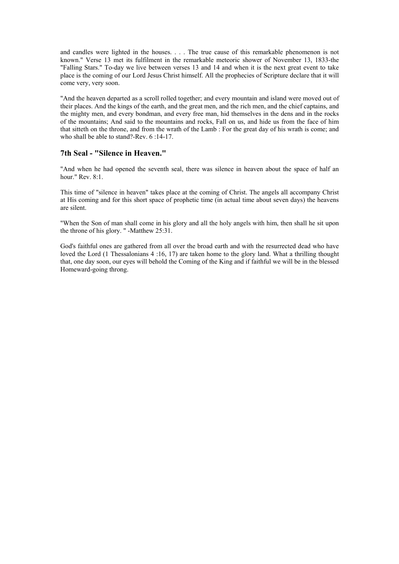and candles were lighted in the houses. . . . The true cause of this remarkable phenomenon is not known." Verse 13 met its fulfilment in the remarkable meteoric shower of November 13, 1833-the "Falling Stars." To-day we live between verses 13 and 14 and when it is the next great event to take place is the coming of our Lord Jesus Christ himself. All the prophecies of Scripture declare that it will come very, very soon.

"And the heaven departed as a scroll rolled together; and every mountain and island were moved out of their places. And the kings of the earth, and the great men, and the rich men, and the chief captains, and the mighty men, and every bondman, and every free man, hid themselves in the dens and in the rocks of the mountains; And said to the mountains and rocks, Fall on us, and hide us from the face of him that sitteth on the throne, and from the wrath of the Lamb : For the great day of his wrath is come; and who shall be able to stand?-Rev. 6 :14-17.

## **7th Seal - "Silence in Heaven."**

"And when he had opened the seventh seal, there was silence in heaven about the space of half an hour." Rev. 8:1.

This time of "silence in heaven" takes place at the coming of Christ. The angels all accompany Christ at His coming and for this short space of prophetic time (in actual time about seven days) the heavens are silent.

"When the Son of man shall come in his glory and all the holy angels with him, then shall he sit upon the throne of his glory. " -Matthew 25:31.

God's faithful ones are gathered from all over the broad earth and with the resurrected dead who have loved the Lord (1 Thessalonians 4 :16, 17) are taken home to the glory land. What a thrilling thought that, one day soon, our eyes will behold the Coming of the King and if faithful we will be in the blessed Homeward-going throng.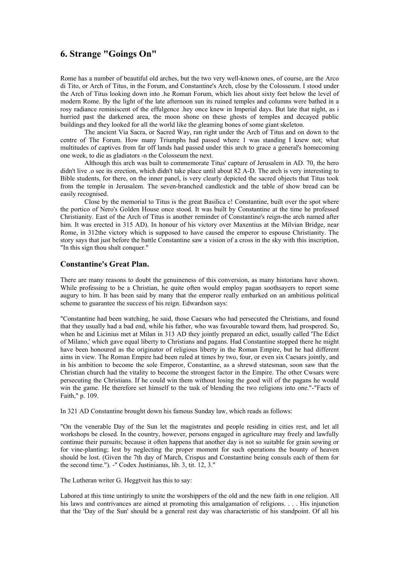## **6. Strange "Goings On"**

Rome has a number of beautiful old arches, but the two very well-known ones, of course, are the Arco di Tito, or Arch of Titus, in the Forum, and Constantine's Arch, close by the Colosseum. I stood under the Arch of Titus looking down into .he Roman Forum, which lies about sixty feet below the level of modern Rome. By the light of the late afternoon sun its ruined temples and columns were bathed in a rosy radiance reminiscent of the effulgence .hey once knew in Imperial days. But late that night, as i hurried past the darkened area, the moon shone on these ghosts of temples and decayed public buildings and they looked for all the world like the gleaming bones of some giant skeleton.

The ancient Via Sacra, or Sacred Way, ran right under the Arch of Titus and on down to the centre of The Forum. How many Triumphs had passed where 1 was standing I knew not; what multitudes of captives from far off lands had passed under this arch to grace a general's homecoming one week, to die as gladiators -n the Colosseum the next.

Although this arch was built to commemorate Titus' capture of Jerusalem in AD. 70, the hero didn't live .o see its erection, which didn't take place until about 82 A-D. The arch is very interesting to Bible students, for there, on the inner panel, is very clearly depicted the sacred objects that Titus took from the temple in Jerusalem. The seven-branched candlestick and the table of show bread can be easily recognised.

Close by the memorial to Titus is the great Basilica c! Constantine, built over the spot where the portico of Nero's Golden House once stood. It was built by Constantine at the time he professed Christianity. East of the Arch of Titus is another reminder of Constantine's reign-the arch named after him. It was erected in 315 AD). In honour of his victory over Maxentius at the Milvian Bridge, near Rome, in 312the victory which is supposed to have caused the emperor to espouse Christianity. The story says that just before the battle Constantine saw a vision of a cross in the sky with this inscription, "In this sign thou shalt conquer."

#### **Constantine's Great Plan.**

There are many reasons to doubt the genuineness of this conversion, as many historians have shown. While professing to be a Christian, he quite often would employ pagan soothsayers to report some augury to him. It has been said by many that the emperor really embarked on an ambitious political scheme to guarantee the success of his reign. Edwardson says:

"Constantine had been watching, he said, those Caesars who had persecuted the Christians, and found that they usually had a bad end, while his father, who was favourable toward them, had prospered. So, when he and Licinius met at Milan in 313 AD they jointly prepared an edict, usually called 'The Edict of Milano,' which gave equal liberty to Christians and pagans. Had Constantine stopped there he might have been honoured as the originator of religious liberty in the Roman Empire, but he had different aims in view. The Roman Empire had been ruled at times by two, four, or even six Caesars jointly, and in his ambition to become the sole Emperor, Constantine, as a shrewd statesman, soon saw that the Christian church had the vitality to become the strongest factor in the Empire. The other Cwsars were persecuting the Christians. If he could win them without losing the good will of the pagans he would win the game. He therefore set himself to the task of blending the two religions into one."-"Facts of Faith," p. 109.

In 321 AD Constantine brought down his famous Sunday law, which reads as follows:

"On the venerable Day of the Sun let the magistrates and people residing in cities rest, and let all workshops be closed. In the country, however, persons engaged in agriculture may freely and lawfully continue their pursuits; because it often happens that another day is not so suitable for grain sowing or for vine-planting; lest by neglecting the proper moment for such operations the bounty of heaven should be lost. (Given the 7th day of March, Crispus and Constantine being consuls each of them for the second time."). -" Codex Justinianus, lib. 3, tit. 12, 3."

The Lutheran writer G. Heggtveit has this to say:

Labored at this time untiringly to unite the worshippers of the old and the new faith in one religion. All his laws and contrivances are aimed at promoting this amalgamation of religions. . . . His injunction that the 'Day of the Sun' should be a general rest day was characteristic of his standpoint. Of all his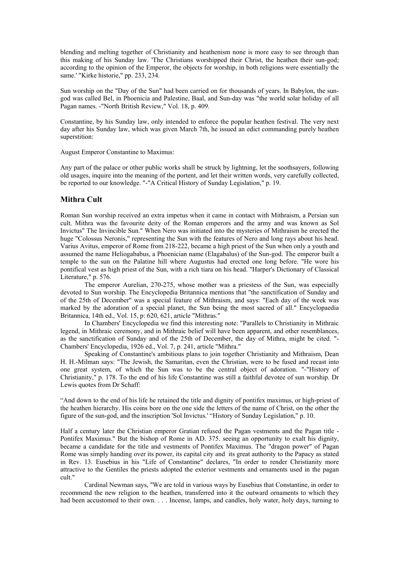blending and melting together of Christianity and heathenism none is more easy to see through than this making of his Sunday law. 'The Christians worshipped their Christ, the heathen their sun-god; according to the opinion of the Emperor, the objects for worship, in both religions were essentially the same.' "Kirke historie," pp. 233, 234.

Sun worship on the "Day of the Sun" had been carried on for thousands of years. In Babylon, the sungod was called Bel, in Phoenicia and Palestine, Baal, and Sun-day was "the world solar holiday of all Pagan names. -"North British Review," Vol. 18, p. 409.

Constantine, by his Sunday law, only intended to enforce the popular heathen festival. The very next day after his Sunday law, which was given March 7th, he issued an edict commanding purely heathen superstition:

August Emperor Constantine to Maximus:

Any part of the palace or other public works shall be struck by lightning, let the soothsayers, following old usages, inquire into the meaning of the portent, and let their written words, very carefully collected, be reported to our knowledge. "-"A Critical History of Sunday Legislation," p. 19.

## **Mithra Cult**

Roman Sun worship received an extra impetus when it came in contact with Mithraism, a Persian sun cult. Mithra was the favourite deity of the Roman emperors and the army and was known as Sol Invictus" The Invincible Sun." When Nero was initiated into the mysteries of Mithraism he erected the huge "Colossus Neronis," representing the Sun with the features of Nero and long rays about his head. Varius Avitus, emperor of Rome from 218-222, became a high priest of the Sun when only a youth and assumed the name Heliogababus, a Phoenician name (Elagabalus) of the Sun-god. The emperor built a temple to the sun on the Palatine hill where Augustus had erected one long before. "He wore his pontifical vest as high priest of the Sun, with a rich tiara on his head. "Harper's Dictionary of Classical Literature," p. 576.

The emperor Aurelian, 270-275, whose mother was a priestess of the Sun, was especially devoted to Sun worship. The Encyclopedia Britannica mentions that "the sanctification of Sunday and of the 25th of December" was a special feature of Mithraism, and says: "Each day of the week was marked by the adoration of a special planet, the Sun being the most sacred of all." Encyclopaedia Britannica, 14th ed., Vol. 15, p: 620, 621, article "Mithras."

In Chambers' Encyclopedia we find this interesting note: "Parallels to Christianity in Mithraic legend, in Mithraic ceremony, and in Mithraic belief will have been apparent, and other resemblances, as the sanctification of Sunday and of the 25th of December, the day of Mithra, might be cited. "- Chambers' Encyclopedia, 1926 ed., Vol. 7, p. 241, article "Mithra."

Speaking of Constantine's ambitious plans to join together Christianity and Mithraism, Dean H. H.-Milman says: "The Jewish, the Samaritan, even the Christian, were to be fused and recast into one great system, of which the Sun was to be the central object of adoration. "-"History of Christianity," p. 178. To the end of his life Constantine was still a faithful devotee of sun worship. Dr Lewis quotes from Dr Schaff:

"And down to the end of his life he retained the title and dignity of pontifex maximus, or high-priest of the heathen hierarchy. His coins bore on the one side the letters of the name of Christ, on the other the figure of the sun-god, and the inscription 'Sol Invictus.' "History of Sunday Legislation," p. 10.

Half a century later the Christian emperor Gratian refused the Pagan vestments and the Pagan title - Pontifex Maximus." But the bishop of Rome in AD. 375. seeing an opportunity to exalt his dignity, became a candidate for the title and vestments of Pontifex Maximus. The "dragon power" of Pagan Rome was simply handing over its power, its capital city and its great authority to the Papacy as stated in Rev. 13. Eusebius in his "Life of Constantine" declares, "In order to render Christianity more attractive to the Gentiles the priests adopted the exterior vestments and ornaments used in the pagan cult."

Cardinal Newman says, "We are told in various ways by Eusebius that Constantine, in order to recommend the new religion to the heathen, transferred into it the outward ornaments to which they had been accustomed to their own. . . . Incense, lamps, and candles, holy water, holy days, turning to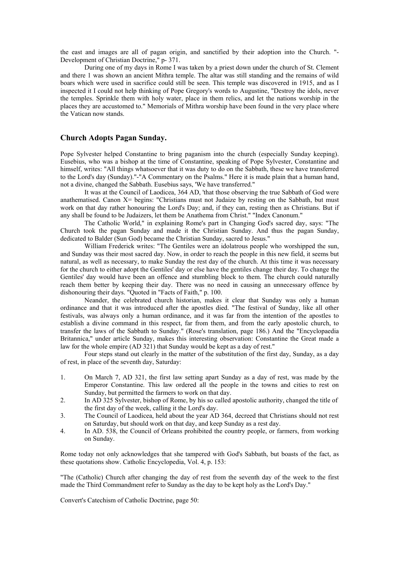the east and images are all of pagan origin, and sanctified by their adoption into the Church. "- Development of Christian Doctrine," p- 371.

During one of my days in Rome I was taken by a priest down under the church of St. Clement and there 1 was shown an ancient Mithra temple. The altar was still standing and the remains of wild boars which were used in sacrifice could still be seen. This temple was discovered in 1915, and as I inspected it I could not help thinking of Pope Gregory's words to Augustine, "Destroy the idols, never the temples. Sprinkle them with holy water, place in them relics, and let the nations worship in the places they are accustomed to." Memorials of Mithra worship have been found in the very place where the Vatican now stands.

## **Church Adopts Pagan Sunday.**

Pope Sylvester helped Constantine to bring paganism into the church (especially Sunday keeping). Eusebius, who was a bishop at the time of Constantine, speaking of Pope Sylvester, Constantine and himself, writes: "All things whatsoever that it was duty to do on the Sabbath, these we have transferred to the Lord's day (Sunday)."-"A Commentary on the Psalms." Here it is made plain that a human hand, not a divine, changed the Sabbath. Eusebius says, 'We have transferred."

It was at the Council of Laodicea, 364 AD, 'that those observing the true Sabbath of God were anathematised. Canon X= begins: "Christians must not Judaize by resting on the Sabbath, but must work on that day rather honouring the Lord's Day; and, if they can, resting then as Christians. But if any shall be found to be Judaizers, let them be Anathema from Christ." "Index Canonum."

The Catholic World," in explaining Rome's part in Changing God's sacred day, says: "The Church took the pagan Sunday and made it the Christian Sunday. And thus the pagan Sunday, dedicated to Balder (Sun God) became the Christian Sunday, sacred to Jesus."

William Frederick writes: "The Gentiles were an idolatrous people who worshipped the sun, and Sunday was their most sacred day. Now, in order to reach the people in this new field, it seems but natural, as well as necessary, to make Sunday the rest day of the church. At this time it was necessary for the church to either adopt the Gentiles' day or else have the gentiles change their day. To change the Gentiles' day would have been an offence and stumbling block to them. The church could naturally reach them better by keeping their day. There was no need in causing an unnecessary offence by dishonouring their days. "Quoted in "Facts of Faith," p. 100.

Neander, the celebrated church historian, makes it clear that Sunday was only a human ordinance and that it was introduced after the apostles died. "The festival of Sunday, like all other festivals, was always only a human ordinance, and it was far from the intention of the apostles to establish a divine command in this respect, far from them, and from the early apostolic church, to transfer the laws of the Sabbath to Sunday." (Rose's translation, page 186.) And the "Encyclopaedia Britannica," under article Sunday, makes this interesting observation: Constantine the Great made a law for the whole empire (AD 321) that Sunday would be kept as a day of rest."

Four steps stand out clearly in the matter of the substitution of the first day, Sunday, as a day of rest, in place of the seventh day, Saturday:

- 1. On March 7, AD 321, the first law setting apart Sunday as a day of rest, was made by the Emperor Constantine. This law ordered all the people in the towns and cities to rest on Sunday, but permitted the farmers to work on that day.
- 2. In AD 325 Sylvester, bishop of Rome, by his so called apostolic authority, changed the title of the first day of the week, calling it the Lord's day.
- 3. The Council of Laodicea, held about the year AD 364, decreed that Christians should not rest on Saturday, but should work on that day, and keep Sunday as a rest day.
- 4. In AD. 538, the Council of Orleans prohibited the country people, or farmers, from working on Sunday.

Rome today not only acknowledges that she tampered with God's Sabbath, but boasts of the fact, as these quotations show. Catholic Encyclopedia, Vol. 4, p. 153:

"The (Catholic) Church after changing the day of rest from the seventh day of the week to the first made the Third Commandment refer to Sunday as the day to be kept holy as the Lord's Day."

Convert's Catechism of Catholic Doctrine, page 50: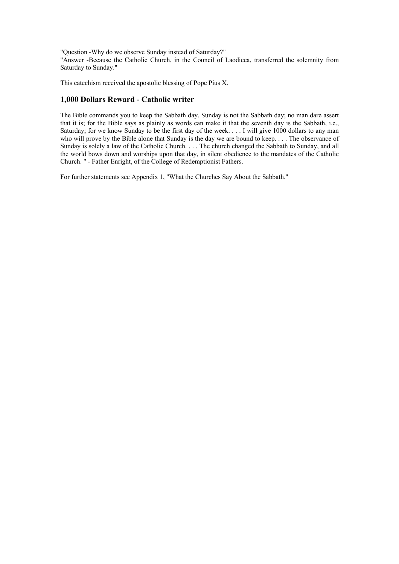"Question -Why do we observe Sunday instead of Saturday?" "Answer -Because the Catholic Church, in the Council of Laodicea, transferred the solemnity from Saturday to Sunday."

This catechism received the apostolic blessing of Pope Pius X.

## **1,000 Dollars Reward - Catholic writer**

The Bible commands you to keep the Sabbath day. Sunday is not the Sabbath day; no man dare assert that it is; for the Bible says as plainly as words can make it that the seventh day is the Sabbath, i.e., Saturday; for we know Sunday to be the first day of the week. . . . I will give 1000 dollars to any man who will prove by the Bible alone that Sunday is the day we are bound to keep. . . . The observance of Sunday is solely a law of the Catholic Church. . . . The church changed the Sabbath to Sunday, and all the world bows down and worships upon that day, in silent obedience to the mandates of the Catholic Church. " - Father Enright, of the College of Redemptionist Fathers.

For further statements see Appendix 1, "What the Churches Say About the Sabbath."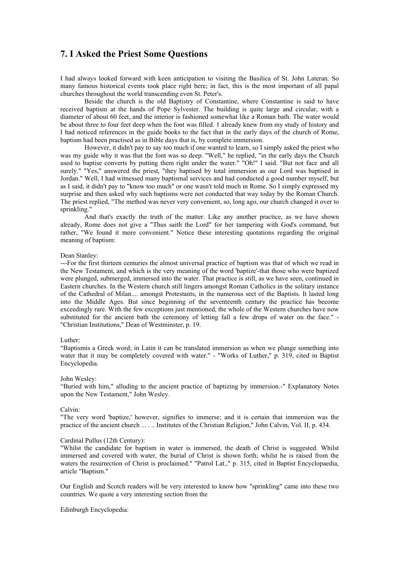## **7. I Asked the Priest Some Questions**

I had always looked forward with keen anticipation to visiting the Basilica of St. John Lateran. So many famous historical events took place right here; in fact, this is the most important of all papal churches throughout the world transcending even St. Peter's.

Beside the church is the old Baptistry of Constantine, where Constantine is said to have received baptism at the hands of Pope Sylvester. The building is quite large and circular, with a diameter of about 60 feet, and the interior is fashioned somewhat like a Roman bath. The water would be about three to four feet deep when the font was filled. 1 already knew from my study of history and I had noticed references in the guide books to the fact that in the early days of the church of Rome, baptism had been practised as in Bible days that is, by complete immersion.

However, it didn't pay to say too much if one wanted to learn, so I simply asked the priest who was my guide why it was that the font was so deep. "Well," he replied, "in the early days the Church used to baptise converts by putting them right under the water." "Oh!" I said. "But not face and all surely." "Yes," answered the priest, "they baptised by total immersion as our Lord was baptised in Jordan." Well, I had witnessed many baptismal services and had conducted a good number myself, but as I said, it didn't pay to "know too much" or one wasn't told much in Rome. So I simply expressed my surprise and then asked why such baptisms were not conducted that way today by the Roman Church. The priest replied, "The method was never very convenient, so, long ago, our church changed it over to sprinkling."

And that's exactly the truth of the matter. Like any another practice, as we have shown already, Rome does not give a "Thus saith the Lord" for her tampering with God's command, but rather, "We found it more convenient." Notice these interesting quotations regarding the original meaning of baptism:

#### Dean Stanley:

---For the first thirteen centuries the almost universal practice of baptism was that of which we read in the New Testament, and which is the very meaning of the word 'baptize'-that those who were baptized were plunged, submerged, immersed into the water. That practice is still, as we have seen, continued in Eastern churches. In the Western church still lingers amongst Roman Catholics in the solitary instance of the Cathedral of Milan.... amongst Protestants, in the numerous sect of the Baptists. It lasted long into the Middle Ages. But since beginning of the seventeenth century the practice has become exceedingly rare. With the few exceptions just mentioned, the whole of the Western churches have now substituted for the ancient bath the ceremony of letting fall a few drops of water on the face." - "Christian Institutions," Dean of Westminster, p. 19.

#### Luther:

"Baptismis a Greek word; in Latin it can be translated immersion as when we plunge something into water that it may be completely covered with water." - "Works of Luther," p. 319, cited in Baptist Encyclopedia.

#### John Wesley:

"Buried with him," alluding to the ancient practice of baptizing by immersion.-" Explanatory Notes upon the New Testament," John Wesley.

#### Calvin:

"The very word 'baptize,' however, signifies to immerse; and it is certain that immersion was the practice of the ancient church ... . .. Institutes of the Christian Religion," John Calvin, Vol. II, p. 434.

#### Cardinal Pullus (12th Century):

"Whilst the candidate for baptism in water is immersed, the death of Christ is suggested. Whilst immersed and covered with water, the burial of Christ is shown forth; whilst he is raised from the waters the resurrection of Christ is proclaimed." "Patrol Lat.," p. 315, cited in Baptist Encyclopaedia, article "Baptism."

Our English and Scotch readers will be very interested to know how "sprinkling" came into these two countries. We quote a very interesting section from the

Edinburgh Encyclopedia: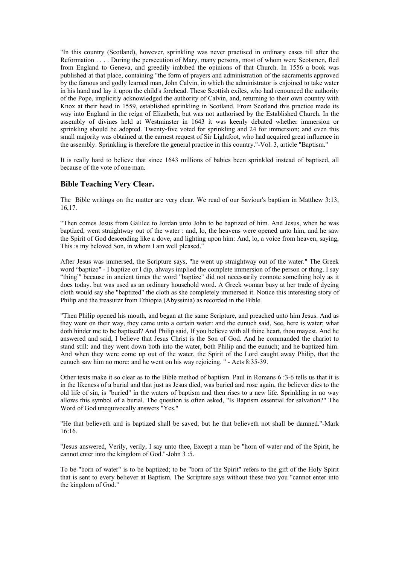"In this country (Scotland), however, sprinkling was never practised in ordinary cases till after the Reformation . . . . During the persecution of Mary, many persons, most of whom were Scotsmen, fled from England to Geneva, and greedily imbibed the opinions of that Church. In 1556 a book was published at that place, containing "the form of prayers and administration of the sacraments approved by the famous and godly learned man, John Calvin, in which the administrator is enjoined to take water in his hand and lay it upon the child's forehead. These Scottish exiles, who had renounced the authority of the Pope, implicitly acknowledged the authority of Calvin, and, returning to their own country with Knox at their head in 1559, established sprinkling in Scotland. From Scotland this practice made its way into England in the reign of Elizabeth, but was not authorised by the Established Church. In the assembly of divines held at Westminster in 1643 it was keenly debated whether immersion or sprinkling should be adopted. Twenty-five voted for sprinkling and 24 for immersion; and even this small majority was obtained at the earnest request of Sir Lightfoot, who had acquired great influence in the assembly. Sprinkling is therefore the general practice in this country."-Vol. 3, article "Baptism."

It is really hard to believe that since 1643 millions of babies been sprinkled instead of baptised, all because of the vote of one man.

#### **Bible Teaching Very Clear.**

The Bible writings on the matter are very clear. We read of our Saviour's baptism in Matthew 3:13, 16,17.

"Then comes Jesus from Galilee to Jordan unto John to be baptized of him. And Jesus, when he was baptized, went straightway out of the water : and, lo, the heavens were opened unto him, and he saw the Spirit of God descending like a dove, and lighting upon him: And, lo, a voice from heaven, saying, This :s my beloved Son, in whom I am well pleased."

After Jesus was immersed, the Scripture says, "he went up straightway out of the water." The Greek word "baptizo" - I baptize or I dip, always implied the complete immersion of the person or thing. I say "thing"' because in ancient times the word "baptize" did not necessarily connote something holy as it does today. but was used as an ordinary household word. A Greek woman busy at her trade of dyeing cloth would say she "baptized" the cloth as she completely immersed it. Notice this interesting story of Philip and the treasurer from Ethiopia (Abyssinia) as recorded in the Bible.

"Then Philip opened his mouth, and began at the same Scripture, and preached unto him Jesus. And as they went on their way, they came unto a certain water: and the eunuch said, See, here is water; what doth hinder me to be baptised? And Philip said, If you believe with all thine heart, thou mayest. And he answered and said, I believe that Jesus Christ is the Son of God. And he commanded the chariot to stand still: and they went down both into the water, both Philip and the eunuch; and he baptized him. And when they were come up out of the water, the Spirit of the Lord caught away Philip, that the eunuch saw him no more: and he went on his way rejoicing. " - Acts 8:35-39.

Other texts make it so clear as to the Bible method of baptism. Paul in Romans 6 :3-6 tells us that it is in the likeness of a burial and that just as Jesus died, was buried and rose again, the believer dies to the old life of sin, is "buried" in the waters of baptism and then rises to a new life. Sprinkling in no way allows this symbol of a burial. The question is often asked, "Is Baptism essential for salvation?" The Word of God unequivocally answers "Yes."

"He that believeth and is baptized shall be saved; but he that believeth not shall be damned."-Mark 16:16.

"Jesus answered, Verily, verily, I say unto thee, Except a man be "horn of water and of the Spirit, he cannot enter into the kingdom of God."-John 3 :5.

To be "born of water" is to be baptized; to be "born of the Spirit" refers to the gift of the Holy Spirit that is sent to every believer at Baptism. The Scripture says without these two you "cannot enter into the kingdom of God."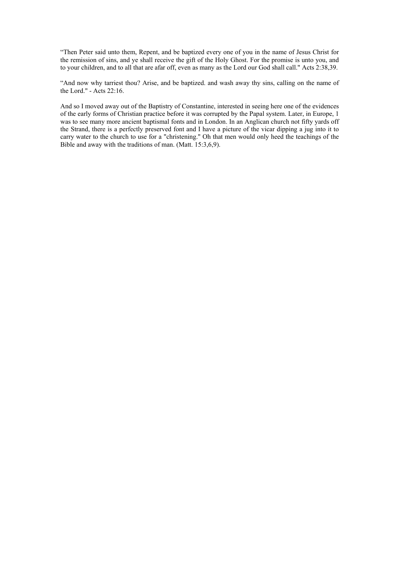"Then Peter said unto them, Repent, and be baptized every one of you in the name of Jesus Christ for the remission of sins, and ye shall receive the gift of the Holy Ghost. For the promise is unto you, and to your children, and to all that are afar off, even as many as the Lord our God shall call." Acts 2:38,39.

"And now why tarriest thou? Arise, and be baptized. and wash away thy sins, calling on the name of the Lord." - Acts 22:16.

And so I moved away out of the Baptistry of Constantine, interested in seeing here one of the evidences of the early forms of Christian practice before it was corrupted by the Papal system. Later, in Europe, 1 was to see many more ancient baptismal fonts and in London. In an Anglican church not fifty yards off the Strand, there is a perfectly preserved font and I have a picture of the vicar dipping a jug into it to carry water to the church to use for a "christening." Oh that men would only heed the teachings of the Bible and away with the traditions of man. (Matt. 15:3,6,9).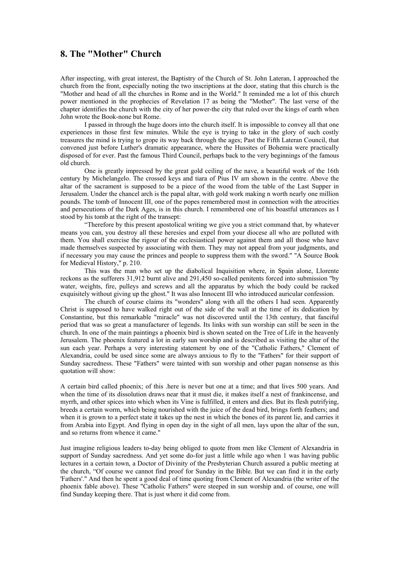## **8. The "Mother" Church**

After inspecting, with great interest, the Baptistry of the Church of St. John Lateran, I approached the church from the front, especially noting the two inscriptions at the door, stating that this church is the "Mother and head of all the churches in Rome and in the World." It reminded me a lot of this church power mentioned in the prophecies of Revelation 17 as being the "Mother". The last verse of the chapter identifies the church with the city of her power-the city that ruled over the kings of earth when John wrote the Book-none but Rome.

I passed in through the huge doors into the church itself. It is impossible to convey all that one experiences in those first few minutes. While the eye is trying to take in the glory of such costly treasures the mind is trying to grope its way back through the ages; Past the Fifth Lateran Council, that convened just before Luther's dramatic appearance, where the Hussites of Bohemia were practically disposed of for ever. Past the famous Third Council, perhaps back to the very beginnings of the famous old church.

One is greatly impressed by the great gold ceiling of the nave, a beautiful work of the 16th century by Michelangelo. The crossed keys and tiara of Pius IV am shown in the centre. Above the altar of the sacrament is supposed to be a piece of the wood from the table of the Last Supper in Jerusalem. Under the chancel arch is the papal altar, with gold work making n worth nearly one million pounds. The tomb of Innocent III, one of the popes remembered most in connection with the atrocities and persecutions of the Dark Ages, is in this church. I remembered one of his boastful utterances as I stood by his tomb at the right of the transept:

"Therefore by this present apostolical writing we give you a strict command that, by whatever means you can, you destroy all these heresies and expel from your diocese all who are polluted with them. You shall exercise the rigour of the ecclesiastical power against them and all those who have made themselves suspected by associating with them. They may not appeal from your judgments, and if necessary you may cause the princes and people to suppress them with the sword." "A Source Book for Medieval History," p. 210.

This was the man who set up the diabolical Inquisition where, in Spain alone, Llorente reckons as the sufferers 31,912 burnt alive and 291,450 so-called penitents forced into submission "by water, weights, fire, pulleys and screws and all the apparatus by which the body could be racked exquisitely without giving up the ghost." It was also Innocent III who introduced auricular confession.

The church of course claims its "wonders" along with all the others I had seen. Apparently Christ is supposed to have walked right out of the side of the wall at the time of its dedication by Constantine, but this remarkable "miracle" was not discovered until the 13th century, that fanciful period that was so great a manufacturer of legends. Its links with sun worship can still be seen in the church. In one of the main paintings a phoenix bird is shown seated on the Tree of Life in the heavenly Jerusalem. The phoenix featured a lot in early sun worship and is described as visiting the altar of the sun each year. Perhaps a very interesting statement by one of the "Catholic Fathers," Clement of Alexandria, could be used since some are always anxious to fly to the "Fathers" for their support of Sunday sacredness. These "Fathers" were tainted with sun worship and other pagan nonsense as this quotation will show:

A certain bird called phoenix; of this .here is never but one at a time; and that lives 500 years. And when the time of its dissolution draws near that it must die, it makes itself a nest of frankincense, and myrrh, and other spices into which when its Vine is fulfilled, it enters and dies. But its flesh putrifying, breeds a certain worm, which being nourished with the juice of the dead bird, brings forth feathers; and when it is grown to a perfect state it takes up the nest in which the bones of its parent lie, and carries it from Arabia into Egypt. And flying in open day in the sight of all men, lays upon the altar of the sun, and so returns from whence it came."

Just imagine religious leaders to-day being obliged to quote from men like Clement of Alexandria in support of Sunday sacredness. And yet some do-for just a little while ago when 1 was having public lectures in a certain town, a Doctor of Divinity of the Presbyterian Church assured a public meeting at the church, "Of course we cannot find proof for Sunday in the Bible. But we can find it in the early 'Fathers'." And then he spent a good deal of time quoting from Clement of Alexandria (the writer of the phoenix fable above). These "Catholic Fathers" were steeped in sun worship and. of course, one will find Sunday keeping there. That is just where it did come from.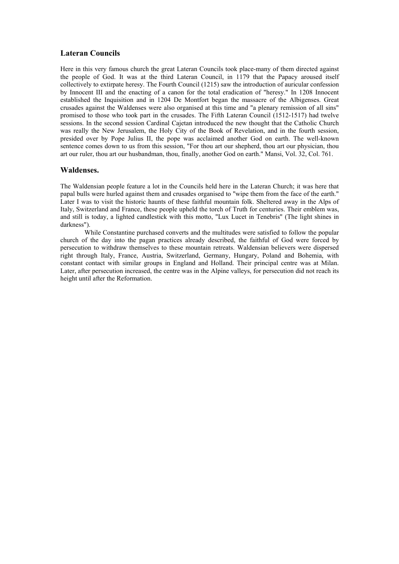## **Lateran Councils**

Here in this very famous church the great Lateran Councils took place-many of them directed against the people of God. It was at the third Lateran Council, in 1179 that the Papacy aroused itself collectively to extirpate heresy. The Fourth Council (1215) saw the introduction of auricular confession by Innocent III and the enacting of a canon for the total eradication of "heresy." In 1208 Innocent established the Inquisition and in 1204 De Montfort began the massacre of the Albigenses. Great crusades against the Waldenses were also organised at this time and "a plenary remission of all sins" promised to those who took part in the crusades. The Fifth Lateran Council (1512-1517) had twelve sessions. In the second session Cardinal Cajetan introduced the new thought that the Catholic Church was really the New Jerusalem, the Holy City of the Book of Revelation, and in the fourth session, presided over by Pope Julius II, the pope was acclaimed another God on earth. The well-known sentence comes down to us from this session, "For thou art our shepherd, thou art our physician, thou art our ruler, thou art our husbandman, thou, finally, another God on earth." Mansi, Vol. 32, Col. 761.

### **Waldenses.**

The Waldensian people feature a lot in the Councils held here in the Lateran Church; it was here that papal bulls were hurled against them and crusades organised to "wipe them from the face of the earth." Later I was to visit the historic haunts of these faithful mountain folk. Sheltered away in the Alps of Italy, Switzerland and France, these people upheld the torch of Truth for centuries. Their emblem was, and still is today, a lighted candlestick with this motto, "Lux Lucet in Tenebris" (The light shines in darkness").

While Constantine purchased converts and the multitudes were satisfied to follow the popular church of the day into the pagan practices already described, the faithful of God were forced by persecution to withdraw themselves to these mountain retreats. Waldensian believers were dispersed right through Italy, France, Austria, Switzerland, Germany, Hungary, Poland and Bohemia, with constant contact with similar groups in England and Holland. Their principal centre was at Milan. Later, after persecution increased, the centre was in the Alpine valleys, for persecution did not reach its height until after the Reformation.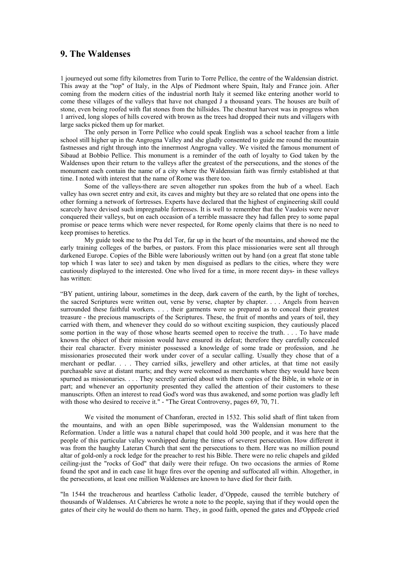## **9. The Waldenses**

1 journeyed out some fifty kilometres from Turin to Torre Pellice, the centre of the Waldensian district. This away at the "top" of Italy, in the Alps of Piedmont where Spain, Italy and France join. After coming from the modern cities of the industrial north Italy it seemed like entering another world to come these villages of the valleys that have not changed J a thousand years. The houses are built of stone, even being roofed with flat stones from the hillsides. The chestnut harvest was in progress when 1 arrived, long slopes of hills covered with brown as the trees had dropped their nuts and villagers with large sacks picked them up for market.

The only person in Torre Pellice who could speak English was a school teacher from a little school still higher up in the Angrogna Valley and she gladly consented to guide me round the mountain fastnesses and right through into the innermost Angrogna valley. We visited the famous monument of Sibaud at Bobbio Pellice. This monument is a reminder of the oath of loyalty to God taken by the Waldenses upon their return to the valleys after the greatest of the persecutions, and the stones of the monument each contain the name of a city where the Waldensian faith was firmly established at that time. I noted with interest that the name of Rome was there too.

Some of the valleys-there are seven altogether run spokes from the hub of a wheel. Each valley has own secret entry and exit, its caves and mighty but they are so related that one opens into the other forming a network of fortresses. Experts have declared that the highest of engineering skill could scarcely have devised such impregnable fortresses. It is well to remember that the Vaudois were never conquered their valleys, but on each occasion of a terrible massacre they had fallen prey to some papal promise or peace terms which were never respected, for Rome openly claims that there is no need to keep promises to heretics.

My guide took me to the Pra del Tor, far up in the heart of the mountains, and showed me the early training colleges of the barbes, or pastors. From this place missionaries were sent all through darkened Europe. Copies of the Bible were laboriously written out by hand (on a great flat stone table top which I was later to see) and taken by men disguised as pedlars to the cities, where they were cautiously displayed to the interested. One who lived for a time, in more recent days- in these valleys has written:

"BY patient, untiring labour, sometimes in the deep, dark cavern of the earth, by the light of torches, the sacred Scriptures were written out, verse by verse, chapter by chapter. . . . Angels from heaven surrounded these faithful workers. . . . their garments were so prepared as to conceal their greatest treasure - the precious manuscripts of the Scriptures. These, the fruit of months and years of toil, they carried with them, and whenever they could do so without exciting suspicion, they cautiously placed some portion in the way of those whose hearts seemed open to receive the truth. . . . To have made known the object of their mission would have ensured its defeat; therefore they carefully concealed their real character. Every minister possessed a knowledge of some trade or profession, and .he missionaries prosecuted their work under cover of a secular calling. Usually they chose that of a merchant or pedlar. . . . They carried silks, jewellery and other articles, at that time not easily purchasable save at distant marts; and they were welcomed as merchants where they would have been spurned as missionaries. . . . They secretly carried about with them copies of the Bible, in whole or in part; and whenever an opportunity presented they called the attention of their customers to these manuscripts. Often an interest to read God's word was thus awakened, and some portion was gladly left with those who desired to receive it." - "The Great Controversy, pages 69, 70, 71.

 We visited the monument of Chanforan, erected in 1532. This solid shaft of flint taken from the mountains, and with an open Bible superimposed, was the Waldensian monument to the Reformation. Under a little was a natural chapel that could hold 300 people, and it was here that the people of this particular valley worshipped during the times of severest persecution. How different it was from the haughty Lateran Church that sent the persecutions to them. Here was no million pound altar of gold-only a rock ledge for the preacher to rest his Bible. There were no relic chapels and gilded ceiling-just the "rocks of God" that daily were their refuge. On two occasions the armies of Rome found the spot and in each case lit huge fires over the opening and suffocated all within. Altogether, in the persecutions, at least one million Waldenses are known to have died for their faith.

"In 1544 the treacherous and heartless Catholic leader, d'Oppede, caused the terrible butchery of thousands of Waldenses. At Cabrieres he wrote a note to the people, saying that if they would open the gates of their city he would do them no harm. They, in good faith, opened the gates and d'Oppede cried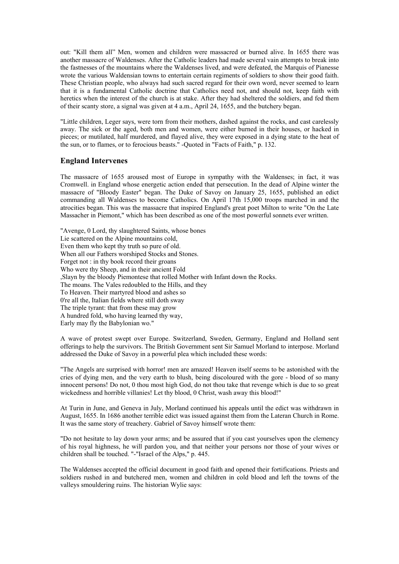out: "Kill them all" Men, women and children were massacred or burned alive. In 1655 there was another massacre of Waldenses. After the Catholic leaders had made several vain attempts to break into the fastnesses of the mountains where the Waldenses lived, and were defeated, the Marquis of Pianesse wrote the various Waldensian towns to entertain certain regiments of soldiers to show their good faith. These Christian people, who always had such sacred regard for their own word, never seemed to learn that it is a fundamental Catholic doctrine that Catholics need not, and should not, keep faith with heretics when the interest of the church is at stake. After they had sheltered the soldiers, and fed them of their scanty store, a signal was given at 4 a.m., April 24, 1655, and the butchery began.

"Little children, Leger says, were torn from their mothers, dashed against the rocks, and cast carelessly away. The sick or the aged, both men and women, were either burned in their houses, or hacked in pieces; or mutilated, half murdered, and flayed alive, they were exposed in a dying state to the heat of the sun, or to flames, or to ferocious beasts." -Quoted in "Facts of Faith," p. 132.

## **England Intervenes**

The massacre of 1655 aroused most of Europe in sympathy with the Waldenses; in fact, it was Cromwell. in England whose energetic action ended that persecution. In the dead of Alpine winter the massacre of "Bloody Easter" began. The Duke of Savoy on January 25, 1655, published an edict commanding all Waldenses to become Catholics. On April 17th 15,000 troops marched in and the atrocities began. This was the massacre that inspired England's great poet Milton to write "On the Late Massacher in Piemont," which has been described as one of the most powerful sonnets ever written.

"Avenge, 0 Lord, thy slaughtered Saints, whose bones Lie scattered on the Alpine mountains cold, Even them who kept thy truth so pure of old. When all our Fathers worshiped Stocks and Stones. Forget not : in thy book record their groans Who were thy Sheep, and in their ancient Fold ,Slayn by the bloody Piemontese that rolled Mother with Infant down the Rocks. The moans. The Vales redoubled to the Hills, and they To Heaven. Their martyred blood and ashes so 0're all the, Italian fields where still doth sway The triple tyrant: that from these may grow A hundred fold, who having learned thy way, Early may fly the Babylonian wo."

A wave of protest swept over Europe. Switzerland, Sweden, Germany, England and Holland sent offerings to help the survivors. The British Government sent Sir Samuel Morland to interpose. Morland addressed the Duke of Savoy in a powerful plea which included these words:

"The Angels are surprised with horror! men are amazed! Heaven itself seems to be astonished with the cries of dying men, and the very earth to blush, being discoloured with the gore - blood of so many innocent persons! Do not, 0 thou most high God, do not thou take that revenge which is due to so great wickedness and horrible villanies! Let thy blood, 0 Christ, wash away this blood!"

At Turin in June, and Geneva in July, Morland continued his appeals until the edict was withdrawn in August, 1655. In 1686 another terrible edict was issued against them from the Lateran Church in Rome. It was the same story of treachery. Gabriel of Savoy himself wrote them:

"Do not hesitate to lay down your arms; and be assured that if you cast yourselves upon the clemency of his royal highness, he will pardon you, and that neither your persons nor those of your wives or children shall be touched. "-"Israel of the Alps," p. 445.

The Waldenses accepted the official document in good faith and opened their fortifications. Priests and soldiers rushed in and butchered men, women and children in cold blood and left the towns of the valleys smouldering ruins. The historian Wylie says: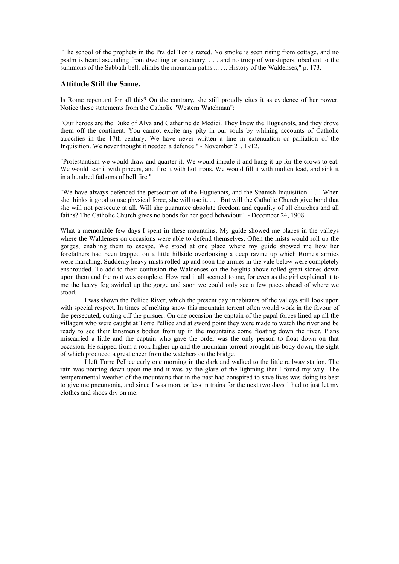"The school of the prophets in the Pra del Tor is razed. No smoke is seen rising from cottage, and no psalm is heard ascending from dwelling or sanctuary, . . . and no troop of worshipers, obedient to the summons of the Sabbath bell, climbs the mountain paths ... ... History of the Waldenses," p. 173.

## **Attitude Still the Same.**

Is Rome repentant for all this? On the contrary, she still proudly cites it as evidence of her power. Notice these statements from the Catholic "Western Watchman":

"Our heroes are the Duke of Alva and Catherine de Medici. They knew the Huguenots, and they drove them off the continent. You cannot excite any pity in our souls by whining accounts of Catholic atrocities in the 17th century. We have never written a line in extenuation or palliation of the Inquisition. We never thought it needed a defence." - November 21, 1912.

"Protestantism-we would draw and quarter it. We would impale it and hang it up for the crows to eat. We would tear it with pincers, and fire it with hot irons. We would fill it with molten lead, and sink it in a hundred fathoms of hell fire."

"We have always defended the persecution of the Huguenots, and the Spanish Inquisition. . . . When she thinks it good to use physical force, she will use it. . . . But will the Catholic Church give bond that she will not persecute at all. Will she guarantee absolute freedom and equality of all churches and all faiths? The Catholic Church gives no bonds for her good behaviour." - December 24, 1908.

What a memorable few days I spent in these mountains. My guide showed me places in the valleys where the Waldenses on occasions were able to defend themselves. Often the mists would roll up the gorges, enabling them to escape. We stood at one place where my guide showed me how her forefathers had been trapped on a little hillside overlooking a deep ravine up which Rome's armies were marching. Suddenly heavy mists rolled up and soon the armies in the vale below were completely enshrouded. To add to their confusion the Waldenses on the heights above rolled great stones down upon them and the rout was complete. How real it all seemed to me, for even as the girl explained it to me the heavy fog swirled up the gorge and soon we could only see a few paces ahead of where we stood.

I was shown the Pellice River, which the present day inhabitants of the valleys still look upon with special respect. In times of melting snow this mountain torrent often would work in the favour of the persecuted, cutting off the pursuer. On one occasion the captain of the papal forces lined up all the villagers who were caught at Torre Pellice and at sword point they were made to watch the river and be ready to see their kinsmen's bodies from up in the mountains come floating down the river. Plans miscarried a little and the captain who gave the order was the only person to float down on that occasion. He slipped from a rock higher up and the mountain torrent brought his body down, the sight of which produced a great cheer from the watchers on the bridge.

I left Torre Pellice early one morning in the dark and walked to the little railway station. The rain was pouring down upon me and it was by the glare of the lightning that I found my way. The temperamental weather of the mountains that in the past had conspired to save lives was doing its best to give me pneumonia, and since I was more or less in trains for the next two days 1 had to just let my clothes and shoes dry on me.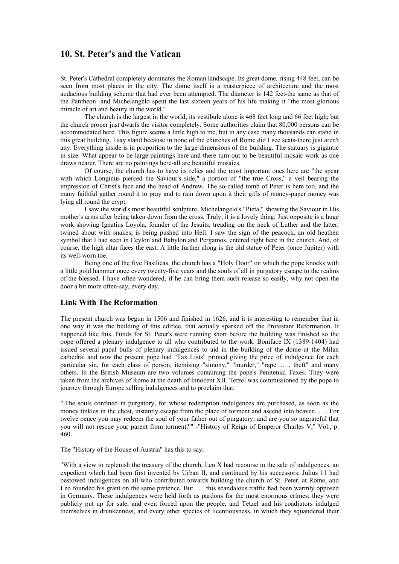## **10. St. Peter's and the Vatican**

St. Peter's Cathedral completely dominates the Roman landscape. Its great dome, rising 448 feet, can be seen from most places in the city. The dome itself is a masterpiece of architecture and the most audacious building scheme that had ever been attempted. The diameter is 142 feet-the same as that of the Pantheon -and Michelangelo spent the last sixteen years of his life making it "the most glorious miracle of art and beauty in the world."

The church is the largest in the world; its vestibule alone is 468 feet long and 66 feet high; but the church proper just dwarfs the visitor completely. Some authorities claim that 80,000 persons can be accommodated here. This figure seems a little high to me, but in any case many thousands can stand in this great building. I say stand because in none of the churches of Rome did I see seats-there just aren't any. Everything inside is in proportion to the large dimensions of the building. The statuary is gigantic in size. What appear to be large paintings here and there turn out to be beautiful mosaic work as one draws nearer. There are no paintings here-all are beautiful mosaics.

Of course, the church has to have its relies and the most important ones here are "the spear with which Longinus pierced the Saviour's side," a portion of "the true Cross," a veil bearing the impression of Christ's face and the head of Andrew. The so-called tomb of Peter is here too, and the many faithful gather round it to pray and to rain down upon it their gifts of money-paper money was lying all round the crypt.

I saw the world's most beautiful sculpture, Michelangelo's "Pieta," showing the Saviour in His mother's arms after being taken down from the cross. Truly, it is a lovely thing. Just opposite is a huge work showing Ignatius Loyola, founder of the Jesuits, treading on the neck of Luther and the latter, twined about with snakes, is being pushed into Hell. I saw the sign of the peacock, an old heathen symbol that I had seen in Ceylon and Babylon and Pergamos, entered right here in the church. And, of course, the high altar faces the east. A little further along is the old statue of Peter (once Jupiter) with its well-worn toe.

Being one of the five Basilicas, the church has a "Holy Door" on which the pope knocks with a little gold hammer once every twenty-five years and the souls of all in purgatory escape to the realms of the blessed. I have often wondered, if he can bring them such release so easily, why not open the door a bit more often-say, every day.

#### **Link With The Reformation**

The present church was begun in 1506 and finished in 1626, and it is interesting to remember that in one way it was the building of this edifice, that actually sparked off the Protestant Reformation. It happened like this. Funds for St. Peter's were running short before the building was finished so the pope offered a plenary indulgence to all who contributed to the work. Boniface IX (1389-1404) had issued several papal bulls of plenary indulgences to aid in the building of the dome at the Milan cathedral and now the present pope had "Tax Lists" printed giving the price of indulgence for each particular sin, for each class of person, itemising "simony," "murder," "rape ... .. theft" and many others. In the British Museum are two volumes containing the pope's Penitenial Taxes. They were taken from the archives of Rome at the death of Innocent XII. Tetzel was commissioned by the pope to journey through Europe selling indulgences and to proclaim that:

",The souls confined in purgatory, for whose redemption indulgences are purchased, as soon as the money tinkles in the chest, instantly escape from the place of torment and ascend into heaven. . . . For twelve pence you may redeem the soul of your father out of purgatory; and are you so ungrateful that you will not rescue your parent from torment?'" -"History of Reign of Emperor Charles V," Vol., p. 460.

The "History of the House of Austria" has this to say:

"With a view to replenish the treasury of the church, Leo X had recourse to the sale of indulgences, an expedient which had been first invented by Urban II, and continued by his successors; Julius 11 had bestowed indulgences on all who contributed towards building the church of St. Peter, at Rome, and Leo founded his grant on the same pretence. But . . . this scandalous traffic had been warmly opposed in Germany. These indulgences were held forth as pardons for the most enormous crimes; they were publicly put up for sale, and even forced upon the people, and Tetzel and his coadjutors indulged themselves in drunkenness, and every other species of licentiousness, in which they squandered their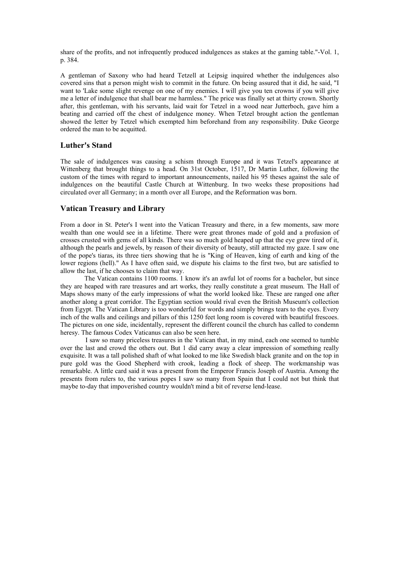share of the profits, and not infrequently produced indulgences as stakes at the gaming table."-Vol. 1, p. 384.

A gentleman of Saxony who had heard Tetzell at Leipsig inquired whether the indulgences also covered sins that a person might wish to commit in the future. On being assured that it did, he said, "I want to 'Lake some slight revenge on one of my enemies. I will give you ten crowns if you will give me a letter of indulgence that shall bear me harmless." The price was finally set at thirty crown. Shortly after, this gentleman, with his servants, laid wait for Tetzel in a wood near Jutterboch, gave him a beating and carried off the chest of indulgence money. When Tetzel brought action the gentleman showed the letter by Tetzel which exempted him beforehand from any responsibility. Duke George ordered the man to be acquitted.

## **Luther's Stand**

The sale of indulgences was causing a schism through Europe and it was Tetzel's appearance at Wittenberg that brought things to a head. On 31st October, 1517, Dr Martin Luther, following the custom of the times with regard to important announcements, nailed his 95 theses against the sale of indulgences on the beautiful Castle Church at Wittenburg. In two weeks these propositions had circulated over all Germany; in a month over all Europe, and the Reformation was born.

## **Vatican Treasury and Library**

From a door in St. Peter's I went into the Vatican Treasury and there, in a few moments, saw more wealth than one would see in a lifetime. There were great thrones made of gold and a profusion of crosses crusted with gems of all kinds. There was so much gold heaped up that the eye grew tired of it, although the pearls and jewels, by reason of their diversity of beauty, still attracted my gaze. I saw one of the pope's tiaras, its three tiers showing that he is "King of Heaven, king of earth and king of the lower regions (hell)." As I have often said, we dispute his claims to the first two, but are satisfied to allow the last, if he chooses to claim that way.

The Vatican contains 1100 rooms. 1 know it's an awful lot of rooms for a bachelor, but since they are heaped with rare treasures and art works, they really constitute a great museum. The Hall of Maps shows many of the early impressions of what the world looked like. These are ranged one after another along a great corridor. The Egyptian section would rival even the British Museum's collection from Egypt. The Vatican Library is too wonderful for words and simply brings tears to the eyes. Every inch of the walls and ceilings and pillars of this 1250 feet long room is covered with beautiful frescoes. The pictures on one side, incidentally, represent the different council the church has called to condemn heresy. The famous Codex Vaticanus can also be seen here.

 I saw so many priceless treasures in the Vatican that, in my mind, each one seemed to tumble over the last and crowd the others out. But 1 did carry away a clear impression of something really exquisite. It was a tall polished shaft of what looked to me like Swedish black granite and on the top in pure gold was the Good Shepherd with crook, leading a flock of sheep. The workmanship was remarkable. A little card said it was a present from the Emperor Francis Joseph of Austria. Among the presents from rulers to, the various popes I saw so many from Spain that I could not but think that maybe to-day that impoverished country wouldn't mind a bit of reverse lend-lease.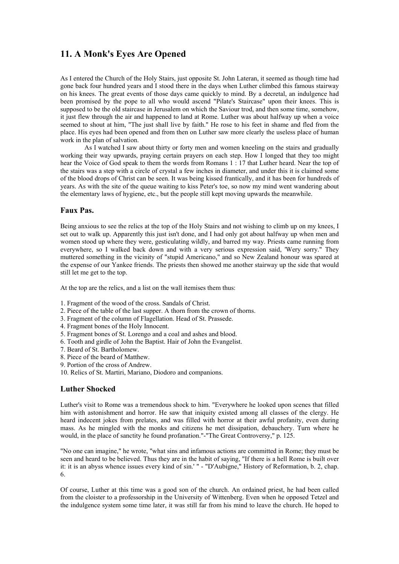## **11. A Monk's Eyes Are Opened**

As I entered the Church of the Holy Stairs, just opposite St. John Lateran, it seemed as though time had gone back four hundred years and I stood there in the days when Luther climbed this famous stairway on his knees. The great events of those days came quickly to mind. By a decretal, an indulgence had been promised by the pope to all who would ascend "Pilate's Staircase" upon their knees. This is supposed to be the old staircase in Jerusalem on which the Saviour trod, and then some time, somehow, it just flew through the air and happened to land at Rome. Luther was about halfway up when a voice seemed to shout at him, "The just shall live by faith." He rose to his feet in shame and fled from the place. His eyes had been opened and from then on Luther saw more clearly the useless place of human work in the plan of salvation.

As I watched I saw about thirty or forty men and women kneeling on the stairs and gradually working their way upwards, praying certain prayers on each step. How I longed that they too might hear the Voice of God speak to them the words from Romans 1 : 17 that Luther heard. Near the top of the stairs was a step with a circle of crystal a few inches in diameter, and under this it is claimed some of the blood drops of Christ can be seen. It was being kissed frantically, and it has been for hundreds of years. As with the site of the queue waiting to kiss Peter's toe, so now my mind went wandering about the elementary laws of hygiene, etc., but the people still kept moving upwards the meanwhile.

### **Faux Pas.**

Being anxious to see the relics at the top of the Holy Stairs and not wishing to climb up on my knees, I set out to walk up. Apparently this just isn't done, and I had only got about halfway up when men and women stood up where they were, gesticulating wildly, and barred my way. Priests came running from everywhere, so I walked back down and with a very serious expression said, 'Wery sorry." They muttered something in the vicinity of "stupid Americano," and so New Zealand honour was spared at the expense of our Yankee friends. The priests then showed me another stairway up the side that would still let me get to the top.

At the top are the relics, and a list on the wall itemises them thus:

- 1. Fragment of the wood of the cross. Sandals of Christ.
- 2. Piece of the table of the last supper. A thorn from the crown of thorns.
- 3. Fragment of the column of Flagellation. Head of St. Prassede.
- 4. Fragment bones of the Holy Innocent.
- 5. Fragment bones of St. Lorengo and a coal and ashes and blood.
- 6. Tooth and girdle of John the Baptist. Hair of John the Evangelist.
- 7. Beard of St. Bartholomew.
- 8. Piece of the beard of Matthew.
- 9. Portion of the cross of Andrew.
- 10. Relics of St. Martiri, Mariano, Diodoro and companions.

## **Luther Shocked**

Luther's visit to Rome was a tremendous shock to him. "Everywhere he looked upon scenes that filled him with astonishment and horror. He saw that iniquity existed among all classes of the clergy. He heard indecent jokes from prelates, and was filled with horror at their awful profanity, even during mass. As he mingled with the monks and citizens he met dissipation, debauchery. Turn where he would, in the place of sanctity he found profanation."-"The Great Controversy," p. 125.

"No one can imagine," he wrote, "what sins and infamous actions are committed in Rome; they must be seen and heard to be believed. Thus they are in the habit of saying, "If there is a hell Rome is built over it: it is an abyss whence issues every kind of sin.' " - "D'Aubigne," History of Reformation, b. 2, chap. 6.

Of course, Luther at this time was a good son of the church. An ordained priest, he had been called from the cloister to a professorship in the University of Wittenberg. Even when he opposed Tetzel and the indulgence system some time later, it was still far from his mind to leave the church. He hoped to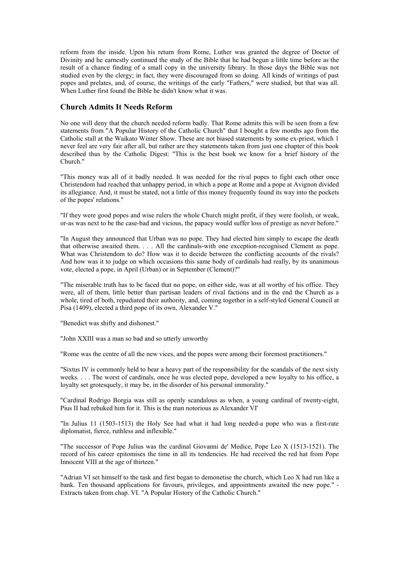reform from the inside. Upon his return from Rome, Luther was granted the degree of Doctor of Divinity and he earnestly continued the study of the Bible that he had begun a little time before as the result of a chance finding of a small copy in the university library. In those days the Bible was not studied even by the clergy; in fact, they were discouraged from so doing. All kinds of writings of past popes and prelates, and, of course, the writings of the early "Fathers," were studied, but that was all. When Luther first found the Bible he didn't know what it was.

## **Church Admits It Needs Reform**

No one will deny that the church needed reform badly. That Rome admits this will be seen from a few statements from "A Popular History of the Catholic Church" that I bought a few months ago from the Catholic stall at the Waikato Winter Show. These are not biased statements by some ex-priest, which 1 never feel are very fair after all, but rather are they statements taken from just one chapter of this book described thus by the Catholic Digest: "This is the best book we know for a brief history of the Church."

"This money was all of it badly needed. It was needed for the rival popes to fight each other once Christendom had reached that unhappy period, in which a pope at Rome and a pope at Avignon divided its allegiance. And, it must be stated, not a little of this money frequently found its way into the pockets of the popes' relations."

"If they were good popes and wise rulers the whole Church might profit, if they were foolish, or weak, or-as was next to be the case-bad and vicious, the papacy would suffer loss of prestige as never before."

"In August they announced that Urban was no pope. They had elected him simply to escape the death that otherwise awaited them. . . . All the cardinals-with one exception-recognised Clement as pope. What was Christendom to do? How was it to decide between the conflicting accounts of the rivals? And how was it to judge on which occasions this same body of cardinals had really, by its unanimous vote, elected a pope, in April (Urban) or in September (Clement)?"

"The miserable truth has to be faced that no pope, on either side, was at all worthy of his office. They were, all of them, little better than partisan leaders of rival factions and in the end the Church as a whole, tired of both, repudiated their authority, and, coming together in a self-styled General Council at Pisa (1409), elected a third pope of its own, Alexander V."

"Benedict was shifty and dishonest."

"John XXIII was a man so bad and so utterly unworthy

"Rome was the centre of all the new vices, and the popes were among their foremost practitioners."

"Sixtus IV is commonly held to bear a heavy part of the responsibility for the scandals of the next sixty weeks. . . . The worst of cardinals, once he was elected pope, developed a new loyalty to his office, a loyalty set grotesquely, it may be, in the disorder of his personal immorality."

"Cardinal Rodrigo Borgia was still as openly scandalous as when, a young cardinal of twenty-eight, Pius II had rebuked him for it. This is the man notorious as Alexander VI'

"In Julius 11 (1503-1513) the Holy See had what it had long needed-a pope who was a first-rate diplomatist, fierce, ruthless and inflexible."

"The successor of Pope Julius was the cardinal Giovanni de' Medice, Pope Leo X (1513-1521). The record of his career epitomises the time in all its tendencies. He had received the red hat from Pope Innocent VIII at the age of thirteen."

"Adrian VI set himself to the task and first began to demonetise the church, which Leo X had run like a bank. Ten thousand applications for favours, privileges, and appointments awaited the new pope." - Extracts taken from chap. VI. "A Popular History of the Catholic Church."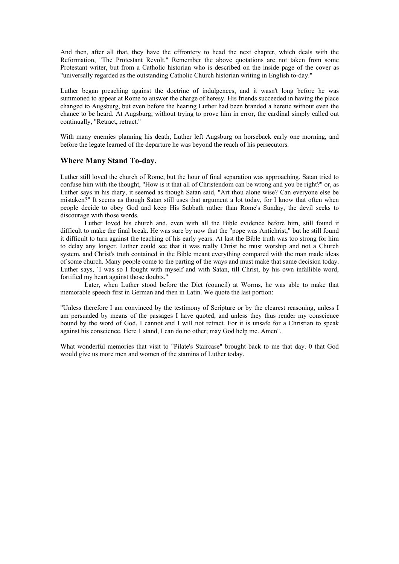And then, after all that, they have the effrontery to head the next chapter, which deals with the Reformation, "The Protestant Revolt." Remember the above quotations are not taken from some Protestant writer, but from a Catholic historian who is described on the inside page of the cover as "universally regarded as the outstanding Catholic Church historian writing in English to-day."

Luther began preaching against the doctrine of indulgences, and it wasn't long before he was summoned to appear at Rome to answer the charge of heresy. His friends succeeded in having the place changed to Augsburg, but even before the hearing Luther had been branded a heretic without even the chance to be heard. At Augsburg, without trying to prove him in error, the cardinal simply called out continually, "Retract, retract."

With many enemies planning his death, Luther left Augsburg on horseback early one morning, and before the legate learned of the departure he was beyond the reach of his persecutors.

## **Where Many Stand To-day.**

Luther still loved the church of Rome, but the hour of final separation was approaching. Satan tried to confuse him with the thought, "How is it that all of Christendom can be wrong and you be right?" or, as Luther says in his diary, it seemed as though Satan said, "Art thou alone wise? Can everyone else be mistaken?" It seems as though Satan still uses that argument a lot today, for I know that often when people decide to obey God and keep His Sabbath rather than Rome's Sunday, the devil seeks to discourage with those words.

Luther loved his church and, even with all the Bible evidence before him, still found it difficult to make the final break. He was sure by now that the "pope was Antichrist," but he still found it difficult to turn against the teaching of his early years. At last the Bible truth was too strong for him to delay any longer. Luther could see that it was really Christ he must worship and not a Church system, and Christ's truth contained in the Bible meant everything compared with the man made ideas of some church. Many people come to the parting of the ways and must make that same decision today. Luther says, `I was so I fought with myself and with Satan, till Christ, by his own infallible word, fortified my heart against those doubts."

Later, when Luther stood before the Diet (council) at Worms, he was able to make that memorable speech first in German and then in Latin. We quote the last portion:

"Unless therefore I am convinced by the testimony of Scripture or by the clearest reasoning, unless I am persuaded by means of the passages I have quoted, and unless they thus render my conscience bound by the word of God, I cannot and I will not retract. For it is unsafe for a Christian to speak against his conscience. Here 1 stand, I can do no other; may God help me. Amen".

What wonderful memories that visit to "Pilate's Staircase" brought back to me that day. 0 that God would give us more men and women of the stamina of Luther today.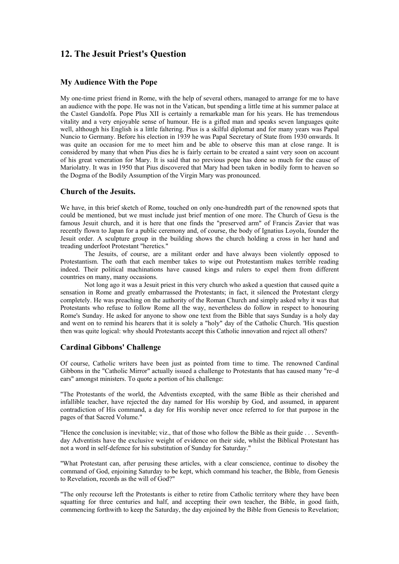# **12. The Jesuit Priest's Question**

## **My Audience With the Pope**

My one-time priest friend in Rome, with the help of several others, managed to arrange for me to have an audience with the pope. He was not in the Vatican, but spending a little time at his summer palace at the Castel Gandolfa. Pope Plus XII is certainly a remarkable man for his years. He has tremendous vitality and a very enjoyable sense of humour. He is a gifted man and speaks seven languages quite well, although his English is a little faltering. Pius is a skilful diplomat and for many years was Papal Nuncio to Germany. Before his election in 1939 he was Papal Secretary of State from 1930 onwards. It was quite an occasion for me to meet him and be able to observe this man at close range. It is considered by many that when Pius dies he is fairly certain to be created a saint very soon on account of his great veneration for Mary. It is said that no previous pope has done so much for the cause of Mariolatry. It was in 1950 that Pius discovered that Mary had been taken in bodily form to heaven so the Dogma of the Bodily Assumption of the Virgin Mary was pronounced.

## **Church of the Jesuits.**

We have, in this brief sketch of Rome, touched on only one-hundredth part of the renowned spots that could be mentioned, but we must include just brief mention of one more. The Church of Gesu is the famous Jesuit church, and it is here that one finds the "preserved arm" of Francis Zavier that was recently flown to Japan for a public ceremony and, of course, the body of Ignatius Loyola, founder the Jesuit order. A sculpture group in the building shows the church holding a cross in her hand and treading underfoot Protestant "heretics."

 The Jesuits, of course, are a militant order and have always been violently opposed to Protestantism. The oath that each member takes to wipe out Protestantism makes terrible reading indeed. Their political machinations have caused kings and rulers to expel them from different countries on many, many occasions.

Not long ago it was a Jesuit priest in this very church who asked a question that caused quite a sensation in Rome and greatly embarrassed the Protestants; in fact, it silenced the Protestant clergy completely. He was preaching on the authority of the Roman Church and simply asked why it was that Protestants who refuse to follow Rome all the way, nevertheless do follow in respect to honouring Rome's Sunday. He asked for anyone to show one text from the Bible that says Sunday is a holy day and went on to remind his hearers that it is solely a "holy" day of the Catholic Church. 'His question then was quite logical: why should Protestants accept this Catholic innovation and reject all others?

## **Cardinal Gibbons' Challenge**

Of course, Catholic writers have been just as pointed from time to time. The renowned Cardinal Gibbons in the "Catholic Mirror" actually issued a challenge to Protestants that has caused many "re~d ears" amongst ministers. To quote a portion of his challenge:

"The Protestants of the world, the Adventists excepted, with the same Bible as their cherished and infallible teacher, have rejected the day named for His worship by God, and assumed, in apparent contradiction of His command, a day for His worship never once referred to for that purpose in the pages of that Sacred Volume."

"Hence the conclusion is inevitable; viz., that of those who follow the Bible as their guide . . . Seventhday Adventists have the exclusive weight of evidence on their side, whilst the Biblical Protestant has not a word in self-defence for his substitution of Sunday for Saturday."

"What Protestant can, after perusing these articles, with a clear conscience, continue to disobey the command of God, enjoining Saturday to be kept, which command his teacher, the Bible, from Genesis to Revelation, records as the will of God?"

"The only recourse left the Protestants is either to retire from Catholic territory where they have been squatting for three centuries and half, and accepting their own teacher, the Bible, in good faith, commencing forthwith to keep the Saturday, the day enjoined by the Bible from Genesis to Revelation;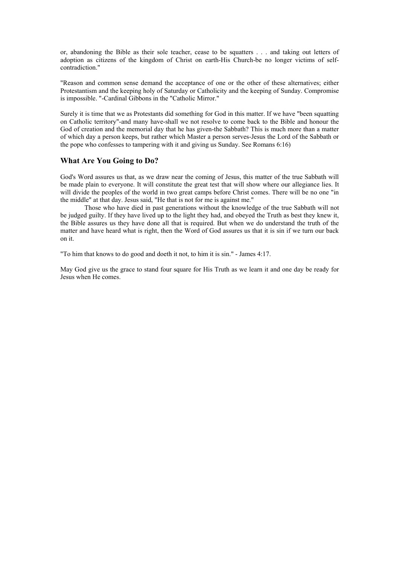or, abandoning the Bible as their sole teacher, cease to be squatters . . . and taking out letters of adoption as citizens of the kingdom of Christ on earth-His Church-be no longer victims of selfcontradiction."

"Reason and common sense demand the acceptance of one or the other of these alternatives; either Protestantism and the keeping holy of Saturday or Catholicity and the keeping of Sunday. Compromise is impossible. "-Cardinal Gibbons in the "Catholic Mirror."

Surely it is time that we as Protestants did something for God in this matter. If we have "been squatting on Catholic territory"-and many have-shall we not resolve to come back to the Bible and honour the God of creation and the memorial day that he has given-the Sabbath? This is much more than a matter of which day a person keeps, but rather which Master a person serves-Jesus the Lord of the Sabbath or the pope who confesses to tampering with it and giving us Sunday. See Romans 6:16)

## **What Are You Going to Do?**

God's Word assures us that, as we draw near the coming of Jesus, this matter of the true Sabbath will be made plain to everyone. It will constitute the great test that will show where our allegiance lies. It will divide the peoples of the world in two great camps before Christ comes. There will be no one "in the middle" at that day. Jesus said, "He that is not for me is against me."

Those who have died in past generations without the knowledge of the true Sabbath will not be judged guilty. If they have lived up to the light they had, and obeyed the Truth as best they knew it, the Bible assures us they have done all that is required. But when we do understand the truth of the matter and have heard what is right, then the Word of God assures us that it is sin if we turn our back on it.

"To him that knows to do good and doeth it not, to him it is sin." - James 4:17.

May God give us the grace to stand four square for His Truth as we learn it and one day be ready for Jesus when He comes.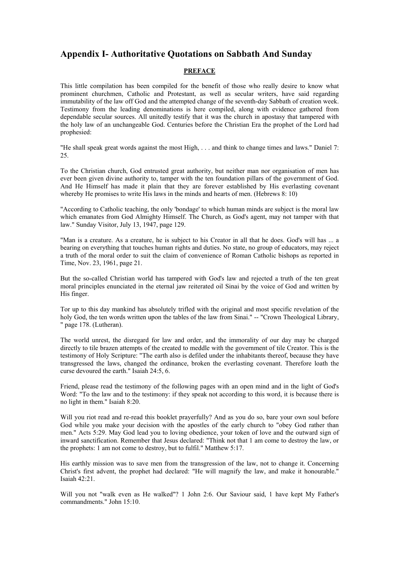# **Appendix I- Authoritative Quotations on Sabbath And Sunday**

## **PREFACE**

This little compilation has been compiled for the benefit of those who really desire to know what prominent churchmen, Catholic and Protestant, as well as secular writers, have said regarding immutability of the law off God and the attempted change of the seventh-day Sabbath of creation week. Testimony from the leading denominations is here compiled, along with evidence gathered from dependable secular sources. All unitedly testify that it was the church in apostasy that tampered with the holy law of an unchangeable God. Centuries before the Christian Era the prophet of the Lord had prophesied:

"He shall speak great words against the most High, . . . and think to change times and laws." Daniel 7: 25.

To the Christian church, God entrusted great authority, but neither man nor organisation of men has ever been given divine authority to, tamper with the ten foundation pillars of the government of God. And He Himself has made it plain that they are forever established by His everlasting covenant whereby He promises to write His laws in the minds and hearts of men. (Hebrews 8: 10)

"According to Catholic teaching, the only 'bondage' to which human minds are subject is the moral law which emanates from God Almighty Himself. The Church, as God's agent, may not tamper with that law." Sunday Visitor, July 13, 1947, page 129.

"Man is a creature. As a creature, he is subject to his Creator in all that he does. God's will has ... a bearing on everything that touches human rights and duties. No state, no group of educators, may reject a truth of the moral order to suit the claim of convenience of Roman Catholic bishops as reported in Time, Nov. 23, 1961, page 21.

But the so-called Christian world has tampered with God's law and rejected a truth of the ten great moral principles enunciated in the eternal jaw reiterated oil Sinai by the voice of God and written by His finger.

Tor up to this day mankind has absolutely trifled with the original and most specific revelation of the holy God, the ten words written upon the tables of the law from Sinai." -- "Crown Theological Library, " page 178. (Lutheran).

The world unrest, the disregard for law and order, and the immorality of our day may be charged directly to tile brazen attempts of the created to meddle with the government of tile Creator. This is the testimony of Holy Scripture: "The earth also is defiled under the inhabitants thereof, because they have transgressed the laws, changed the ordinance, broken the everlasting covenant. Therefore loath the curse devoured the earth." Isaiah 24:5, 6.

Friend, please read the testimony of the following pages with an open mind and in the light of God's Word: "To the law and to the testimony: if they speak not according to this word, it is because there is no light in them." Isaiah 8:20.

Will you riot read and re-read this booklet prayerfully? And as you do so, bare your own soul before God while you make your decision with the apostles of the early church to "obey God rather than men." Acts 5:29. May God lead you to loving obedience, your token of love and the outward sign of inward sanctification. Remember that Jesus declared: "Think not that 1 am come to destroy the law, or the prophets: 1 am not come to destroy, but to fulfil." Matthew 5:17.

His earthly mission was to save men from the transgression of the law, not to change it. Concerning Christ's first advent, the prophet had declared: "He will magnify the law, and make it honourable." Isaiah 42:21.

Will you not "walk even as He walked"? 1 John 2:6. Our Saviour said, 1 have kept My Father's commandments." John 15:10.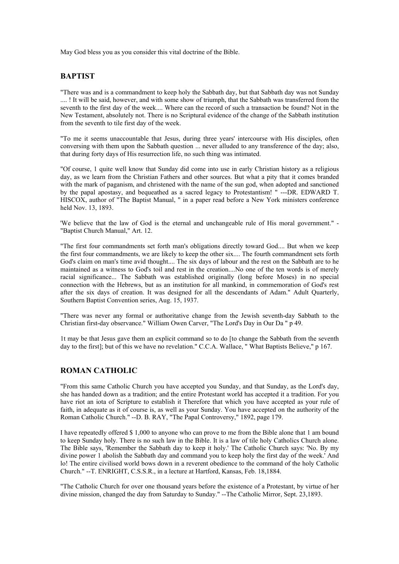May God bless you as you consider this vital doctrine of the Bible.

## **BAPTIST**

"There was and is a commandment to keep holy the Sabbath day, but that Sabbath day was not Sunday .... ! It will be said, however, and with some show of triumph, that the Sabbath was transferred from the seventh to the first day of the week.... Where can the record of such a transaction be found? Not in the New Testament, absolutely not. There is no Scriptural evidence of the change of the Sabbath institution from the seventh to tile first day of the week.

"To me it seems unaccountable that Jesus, during three years' intercourse with His disciples, often conversing with them upon the Sabbath question ... never alluded to any transference of the day; also, that during forty days of His resurrection life, no such thing was intimated.

"Of course, 1 quite well know that Sunday did come into use in early Christian history as a religious day, as we learn from the Christian Fathers and other sources. But what a pity that it comes branded with the mark of paganism, and christened with the name of the sun god, when adopted and sanctioned by the papal apostasy, and bequeathed as a sacred legacy to Protestantism! " ---DR. EDWARD T. HISCOX, author of "The Baptist Manual, " in a paper read before a New York ministers conference held Nov. 13, 1893.

'We believe that the law of God is the eternal and unchangeable rule of His moral government." - "Baptist Church Manual," Art. 12.

"The first four commandments set forth man's obligations directly toward God.... But when we keep the first four commandments, we are likely to keep the other six.... The fourth commandment sets forth God's claim on man's time avid thought.... The six days of labour and the rest on the Sabbath are to he maintained as a witness to God's toil and rest in the creation....No one of the ten words is of merely racial significance... The Sabbath was established originally (long before Moses) in no special connection with the Hebrews, but as an institution for all mankind, in commemoration of God's rest after the six days of creation. It was designed for all the descendants of Adam." Adult Quarterly, Southern Baptist Convention series, Aug. 15, 1937.

"There was never any formal or authoritative change from the Jewish seventh-day Sabbath to the Christian first-day observance." William Owen Carver, "The Lord's Day in Our Da " p 49.

1t may be that Jesus gave them an explicit command so to do [to change the Sabbath from the seventh day to the first]; but of this we have no revelation." C.C.A. Wallace, " What Baptists Believe," p 167.

## **ROMAN CATHOLIC**

"From this same Catholic Church you have accepted you Sunday, and that Sunday, as the Lord's day, she has handed down as a tradition; and the entire Protestant world has accepted it a tradition. For you have riot an iota of Scripture to establish it Therefore that which you have accepted as your rule of faith, in adequate as it of course is, as well as your Sunday. You have accepted on the authority of the Roman Catholic Church." --D. B. RAY, "The Papal Controversy," 1892, page 179.

I have repeatedly offered \$ 1,000 to anyone who can prove to me from the Bible alone that 1 am bound to keep Sunday holy. There is no such law in the Bible. It is a law of tile holy Catholics Church alone. The Bible says, 'Remember the Sabbath day to keep it holy.' The Catholic Church says: 'No. By my divine power 1 abolish the Sabbath day and command you to keep holy the first day of the week.' And lo! The entire civilised world bows down in a reverent obedience to the command of the holy Catholic Church." --T. ENRIGHT, C.S.S.R., in a lecture at Hartford, Kansas, Feb. 18,1884.

"The Catholic Church for over one thousand years before the existence of a Protestant, by virtue of her divine mission, changed the day from Saturday to Sunday." --The Catholic Mirror, Sept. 23,1893.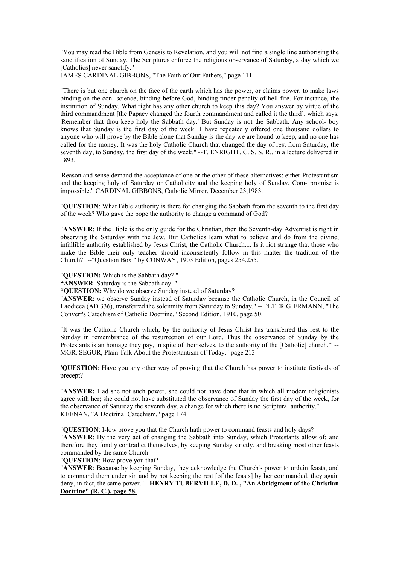"You may read the Bible from Genesis to Revelation, and you will not find a single line authorising the sanctification of Sunday. The Scriptures enforce the religious observance of Saturday, a day which we [Catholics] never sanctify."

JAMES CARDINAL GIBBONS, "The Faith of Our Fathers," page 111.

"There is but one church on the face of the earth which has the power, or claims power, to make laws binding on the con- science, binding before God, binding tinder penalty of hell-fire. For instance, the institution of Sunday. What right has any other church to keep this day? You answer by virtue of the third commandment [the Papacy changed the fourth commandment and called it the third], which says, 'Remember that thou keep holy the Sabbath day.' But Sunday is not the Sabbath. Any school- boy knows that Sunday is the first day of the week. 1 have repeatedly offered one thousand dollars to anyone who will prove by the Bible alone that Sunday is the day we are hound to keep, and no one has called for the money. It was the holy Catholic Church that changed the day of rest from Saturday, the seventh day, to Sunday, the first day of the week." --T. ENRIGHT, C. S. S. R., in a lecture delivered in 1893.

'Reason and sense demand the acceptance of one or the other of these alternatives: either Protestantism and the keeping holy of Saturday or Catholicity and the keeping holy of Sunday. Com- promise is impossible." CARDINAL GIBBONS, Catholic Mirror, December 23,1983.

"**QUESTION**: What Bible authority is there for changing the Sabbath from the seventh to the first day of the week? Who gave the pope the authority to change a command of God?

"**ANSWER**: If the Bible is the only guide for the Christian, then the Seventh-day Adventist is right in observing the Saturday with the Jew. But Catholics learn what to believe and do from the divine, infallible authority established by Jesus Christ, the Catholic Church.... Is it riot strange that those who make the Bible their only teacher should inconsistently follow in this matter the tradition of the Church?" --"Question Box " by CONWAY, 1903 Edition, pages 254,255.

"**QUESTION:** Which is the Sabbath day? "

**"ANSWER**: Saturday is the Sabbath day. "

**"QUESTION:** Why do we observe Sunday instead of Saturday?

"**ANSWER**: we observe Sunday instead of Saturday because the Catholic Church, in the Council of Laodicea (AD 336), transferred the solemnity from Saturday to Sunday." -- PETER GIERMANN, "The Convert's Catechism of Catholic Doctrine," Second Edition, 1910, page 50.

"It was the Catholic Church which, by the authority of Jesus Christ has transferred this rest to the Sunday in remembrance of the resurrection of our Lord. Thus the observance of Sunday by the Protestants is an homage they pay, in spite of themselves, to the authority of the [Catholic] church."' -- MGR. SEGUR, Plain Talk About the Protestantism of Today," page 213.

**'QUESTION**: Have you any other way of proving that the Church has power to institute festivals of precept?

"**ANSWER:** Had she not such power, she could not have done that in which all modem religionists agree with her; she could not have substituted the observance of Sunday the first day of the week, for the observance of Saturday the seventh day, a change for which there is no Scriptural authority." KEENAN, "A Doctrinal Catechism," page 174.

"**QUESTION**: I-low prove you that the Church hath power to command feasts and holy days?

"**ANSWER**: By the very act of changing the Sabbath into Sunday, which Protestants allow of; and therefore they fondly contradict themselves, by keeping Sunday strictly, and breaking most other feasts commanded by the same Church.

"**QUESTION**: How prove you that?

"**ANSWER**: Because by keeping Sunday, they acknowledge the Church's power to ordain feasts, and to command them under sin and by not keeping the rest [of the feasts] by her commanded, they again deny, in fact, the same power." **- HENRY TUBERVILLE, D. D. , "An Abridgment of the Christian Doctrine" (R. C.), page 58.**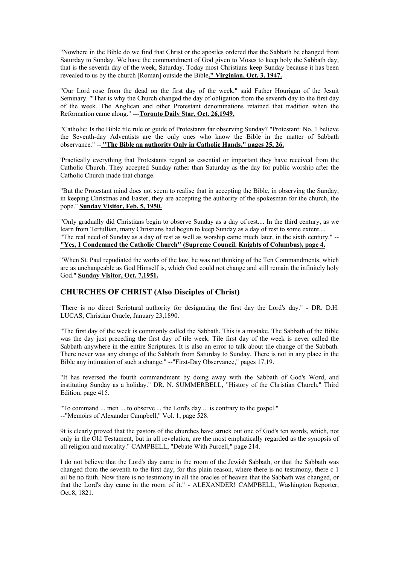"Nowhere in the Bible do we find that Christ or the apostles ordered that the Sabbath be changed from Saturday to Sunday. We have the commandment of God given to Moses to keep holy the Sabbath day, that is the seventh day of the week, Saturday. Today most Christians keep Sunday because it has been revealed to us by the church [Roman] outside the Bible**." Virginian, Oct. 3, 1947.**

"Our Lord rose from the dead on the first day of the week," said Father Hourigan of the Jesuit Seminary. "'That is why the Church changed the day of obligation from the seventh day to the first day of the week. The Anglican and other Protestant denominations retained that tradition when the Reformation came along." ---**Toronto Daily Star, Oct. 26,1949.**

"Catholic: Is the Bible tile rule or guide of Protestants far observing Sunday? "Protestant: No, 1 believe the Seventh-day Adventists are the only ones who know the Bible in the matter of Sabbath observance." -- **"The Bible an authority Only in Catholic Hands," pages 25, 26.**

'Practically everything that Protestants regard as essential or important they have received from the Catholic Church. They accepted Sunday rather than Saturday as the day for public worship after the Catholic Church made that change.

"But the Protestant mind does not seem to realise that in accepting the Bible, in observing the Sunday, in keeping Christmas and Easter, they are accepting the authority of the spokesman for the church, the pope." **Sunday Visitor, Feb. 5, 1950.**

"Only gradually did Christians begin to observe Sunday as a day of rest.... In the third century, as we learn from Tertullian, many Christians had begun to keep Sunday as a day of rest to some extent.... "The real need of Sunday as a day of rest as well as worship came much later, in the sixth century." -- **"Yes, 1 Condemned the Catholic Church" (Supreme Council. Knights of Columbus), page 4.**

"When St. Paul repudiated the works of the law, he was not thinking of the Ten Commandments, which are as unchangeable as God Himself is, which God could not change and still remain the infinitely holy God." **Sunday Visitor, Oct. 7,1951.**

## **CHURCHES OF CHRIST (Also Disciples of Christ)**

'There is no direct Scriptural authority for designating the first day the Lord's day." - DR. D.H. LUCAS, Christian Oracle, January 23,1890.

"The first day of the week is commonly called the Sabbath. This is a mistake. The Sabbath of the Bible was the day just preceding the first day of tile week. Tile first day of the week is never called the Sabbath anywhere in the entire Scriptures. It is also an error to talk about tile change of the Sabbath. There never was any change of the Sabbath from Saturday to Sunday. There is not in any place in the Bible any intimation of such a change." --"First-Day Observance," pages 17,19.

"It has reversed the fourth commandment by doing away with the Sabbath of God's Word, and instituting Sunday as a holiday." DR. N. SUMMERBELL, "History of the Christian Church," Third Edition, page 415.

"To command ... men ... to observe ... the Lord's day ... is contrary to the gospel." --"Memoirs of Alexander Campbell," Vol. 1, page 528.

9t is clearly proved that the pastors of the churches have struck out one of God's ten words, which, not only in the Old Testament, but in all revelation, are the most emphatically regarded as the synopsis of all religion and morality." CAMPBELL, "Debate With Purcell," page 214.

I do not believe that the Lord's day came in the room of the Jewish Sabbath, or that the Sabbath was changed from the seventh to the first day, for this plain reason, where there is no testimony, there c 1 ail be no faith. Now there is no testimony in all the oracles of heaven that the Sabbath was changed, or that the Lord's day came in the room of it." - ALEXANDER! CAMPBELL, Washington Reporter, Oct.8, 1821.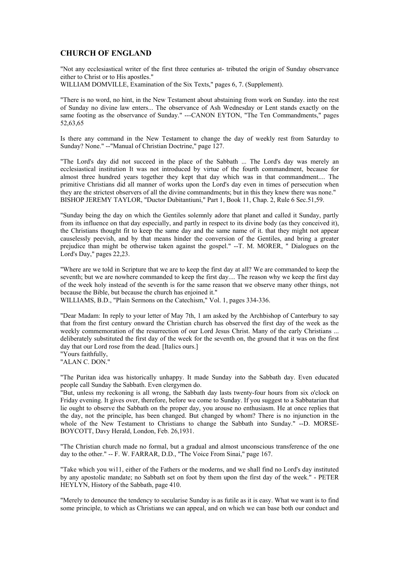## **CHURCH OF ENGLAND**

"Not any ecclesiastical writer of the first three centuries at- tributed the origin of Sunday observance either to Christ or to His apostles."

WILLIAM DOMVILLE, Examination of the Six Texts," pages 6, 7. (Supplement).

"There is no word, no hint, in the New Testament about abstaining from work on Sunday. into the rest of Sunday no divine law enters... The observance of Ash Wednesday or Lent stands exactly on the same footing as the observance of Sunday." ---CANON EYTON, "The Ten Commandments," pages 52,63,65

Is there any command in the New Testament to change the day of weekly rest from Saturday to Sunday? None." --"Manual of Christian Doctrine," page 127.

"The Lord's day did not succeed in the place of the Sabbath ... The Lord's day was merely an ecclesiastical institution It was not introduced by virtue of the fourth commandment, because for almost three hundred years together they kept that day which was in that commandment.... The primitive Christians did all manner of works upon the Lord's day even in times of persecution when they are the strictest observers of all the divine commandments; but in this they knew there was none." BISHOP JEREMY TAYLOR, "Ductor Dubitantiuni," Part 1, Book 11, Chap. 2, Rule 6 Sec.51,59.

"Sunday being the day on which the Gentiles solemnly adore that planet and called it Sunday, partly from its influence on that day especially, and partly in respect to its divine body (as they conceived it), the Christians thought fit to keep the same day and the same name of it. that they might not appear causelessly peevish, and by that means hinder the conversion of the Gentiles, and bring a greater prejudice than might be otherwise taken against the gospel." --T. M. MORER, " Dialogues on the Lord's Day," pages 22,23.

"Where are we told in Scripture that we are to keep the first day at all? We are commanded to keep the seventh; but we are nowhere commanded to keep the first day.... The reason why we keep the first day of the week holy instead of the seventh is for the same reason that we observe many other things, not because the Bible, but because the church has enjoined it."

WILLIAMS, B.D., "Plain Sermons on the Catechism," Vol. 1, pages 334-336.

"Dear Madam: In reply to your letter of May 7th, 1 am asked by the Archbishop of Canterbury to say that from the first century onward the Christian church has observed the first day of the week as the weekly commemoration of the resurrection of our Lord Jesus Christ. Many of the early Christians ... deliberately substituted the first day of the week for the seventh on, the ground that it was on the first day that our Lord rose from the dead. [Italics ours.]

"ALAN C. DON."

"The Puritan idea was historically unhappy. It made Sunday into the Sabbath day. Even educated people call Sunday the Sabbath. Even clergymen do.

"But, unless my reckoning is all wrong, the Sabbath day lasts twenty-four hours from six o'clock on Friday evening. It gives over, therefore, before we come to Sunday. If you suggest to a Sabbatarian that lie ought to observe the Sabbath on the proper day, you arouse no enthusiasm. He at once replies that the day, not the principle, has been changed. But changed by whom? There is no injunction in the whole of the New Testament to Christians to change the Sabbath into Sunday." --D. MORSE-BOYCOTT, Davy Herald, London, Feb. 26,1931.

"The Christian church made no formal, but a gradual and almost unconscious transference of the one day to the other." -- F. W. FARRAR, D.D., "The Voice From Sinai," page 167.

"Take which you wi11, either of the Fathers or the moderns, and we shall find no Lord's day instituted by any apostolic mandate; no Sabbath set on foot by them upon the first day of the week." - PETER HEYLYN, History of the Sabbath, page 410.

"Merely to denounce the tendency to secularise Sunday is as futile as it is easy. What we want is to find some principle, to which as Christians we can appeal, and on which we can base both our conduct and

<sup>&</sup>quot;Yours faithfully,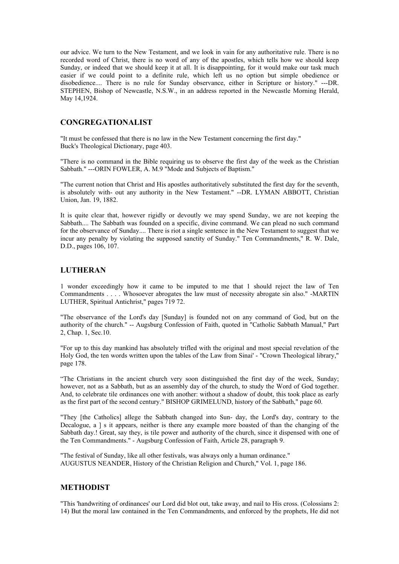our advice. We turn to the New Testament, and we look in vain for any authoritative rule. There is no recorded word of Christ, there is no word of any of the apostles, which tells how we should keep Sunday, or indeed that we should keep it at all. It is disappointing, for it would make our task much easier if we could point to a definite rule, which left us no option but simple obedience or disobedience.... There is no rule for Sunday observance, either in Scripture or history." ---DR. STEPHEN, Bishop of Newcastle, N.S.W., in an address reported in the Newcastle Morning Herald, May 14,1924.

## **CONGREGATIONALIST**

"It must be confessed that there is no law in the New Testament concerning the first day." Buck's Theological Dictionary, page 403.

"There is no command in the Bible requiring us to observe the first day of the week as the Christian Sabbath." ---ORIN FOWLER, A. M.9 "Mode and Subjects of Baptism."

"The current notion that Christ and His apostles authoritatively substituted the first day for the seventh, is absolutely with- out any authority in the New Testament." --DR. LYMAN ABBOTT, Christian Union, Jan. 19, 1882.

It is quite clear that, however rigidly or devoutly we may spend Sunday, we are not keeping the Sabbath.... The Sabbath was founded on a specific, divine command. We can plead no such command for the observance of Sunday.... There is riot a single sentence in the New Testament to suggest that we incur any penalty by violating the supposed sanctity of Sunday." Ten Commandments," R. W. Dale, D.D., pages 106, 107.

## **LUTHERAN**

1 wonder exceedingly how it came to be imputed to me that 1 should reject the law of Ten Commandments . . . . Whosoever abrogates the law must of necessity abrogate sin also." -MARTIN LUTHER, Spiritual Antichrist," pages 719 72.

"The observance of the Lord's day [Sunday] is founded not on any command of God, but on the authority of the church." -- Augsburg Confession of Faith, quoted in "Catholic Sabbath Manual," Part 2, Chap. 1, Sec.10.

"For up to this day mankind has absolutely trifled with the original and most special revelation of the Holy God, the ten words written upon the tables of the Law from Sinai' - "Crown Theological library," page 178.

"The Christians in the ancient church very soon distinguished the first day of the week, Sunday; however, not as a Sabbath, but as an assembly day of the church, to study the Word of God together. And, to celebrate tile ordinances one with another: without a shadow of doubt, this took place as early as the first part of the second century." BISHOP GRIMELUND, history of the Sabbath," page 60.

"They [the Catholics] allege the Sabbath changed into Sun- day, the Lord's day, contrary to the Decalogue, a ] s it appears, neither is there any example more boasted of than the changing of the Sabbath day.! Great, say they, is tile power and authority of the church, since it dispensed with one of the Ten Commandments." - Augsburg Confession of Faith, Article 28, paragraph 9.

"The festival of Sunday, like all other festivals, was always only a human ordinance." AUGUSTUS NEANDER, History of the Christian Religion and Church," Vol. 1, page 186.

## **METHODIST**

"This 'handwriting of ordinances' our Lord did blot out, take away, and nail to His cross. (Colossians 2: 14) But the moral law contained in the Ten Commandments, and enforced by the prophets, He did not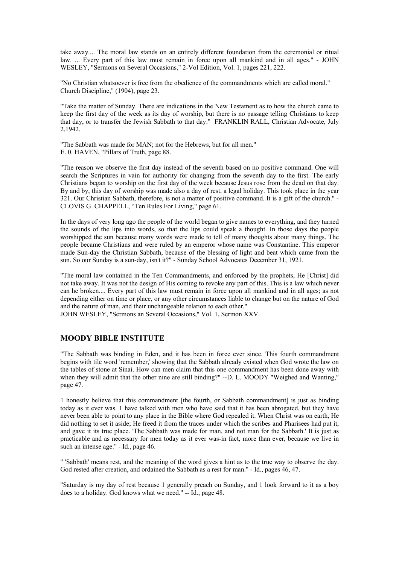take away.... The moral law stands on an entirely different foundation from the ceremonial or ritual law. ... Every part of this law must remain in force upon all mankind and in all ages." - JOHN WESLEY, "Sermons on Several Occasions," 2-Vol Edition, Vol. 1, pages 221, 222.

"No Christian whatsoever is free from the obedience of the commandments which are called moral." Church Discipline," (1904), page 23.

"Take the matter of Sunday. There are indications in the New Testament as to how the church came to keep the first day of the week as its day of worship, but there is no passage telling Christians to keep that day, or to transfer the Jewish Sabbath to that day." FRANKLIN RALL, Christian Advocate, July 2,1942.

"The Sabbath was made for MAN; not for the Hebrews, but for all men." E. 0. HAVEN, "Pillars of Truth, page 88.

"The reason we observe the first day instead of the seventh based on no positive command. One will search the Scriptures in vain for authority for changing from the seventh day to the first. The early Christians began to worship on the first day of the week because Jesus rose from the dead on that day. By and by, this day of worship was made also a day of rest, a legal holiday. This took place in the year 321. Our Christian Sabbath, therefore, is not a matter of positive command. It is a gift of the church." - CLOVIS G. CHAPPELL, "Ten Rules For Living," page 61.

In the days of very long ago the people of the world began to give names to everything, and they turned the sounds of the lips into words, so that the lips could speak a thought. In those days the people worshipped the sun because many words were made to tell of many thoughts about many things. The people became Christians and were ruled by an emperor whose name was Constantine. This emperor made Sun-day the Christian Sabbath, because of the blessing of light and beat which came from the sun. So our Sunday is a sun-day, isn't it?" - Sunday School Advocates December 31, 1921.

"The moral law contained in the Ten Commandments, and enforced by the prophets, He [Christ] did not take away. It was not the design of His coming to revoke any part of this. This is a law which never can he broken.... Every part of this law must remain in force upon all mankind and in all ages; as not depending either on time or place, or any other circumstances liable to change but on the nature of God and the nature of man, and their unchangeable relation to each other."

JOHN WESLEY, "Sermons an Several Occasions," Vol. 1, Sermon XXV.

## **MOODY BIBLE INSTITUTE**

"The Sabbath was binding in Eden, and it has been in force ever since. This fourth commandment begins with tile word 'remember,' showing that the Sabbath already existed when God wrote the law on the tables of stone at Sinai. How can men claim that this one commandment has been done away with when they will admit that the other nine are still binding?" --D. L. MOODY "Weighed and Wanting," page 47.

1 honestly believe that this commandment [the fourth, or Sabbath commandment] is just as binding today as it ever was. 1 have talked with men who have said that it has been abrogated, but they have never been able to point to any place in the Bible where God repealed it. When Christ was on earth, He did nothing to set it aside; He freed it from the traces under which the scribes and Pharisees had put it, and gave it its true place. 'The Sabbath was made for man, and not man for the Sabbath.' It is just as practicable and as necessary for men today as it ever was-in fact, more than ever, because we live in such an intense age." - Id., page 46.

" 'Sabbath' means rest, and the meaning of the word gives a hint as to the true way to observe the day. God rested after creation, and ordained the Sabbath as a rest for man." - Id., pages 46, 47.

"Saturday is my day of rest because 1 generally preach on Sunday, and 1 look forward to it as a boy does to a holiday. God knows what we need." -- Id., page 48.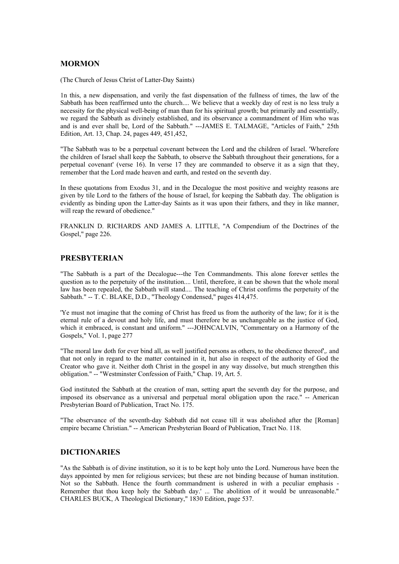## **MORMON**

(The Church of Jesus Christ of Latter-Day Saints)

1n this, a new dispensation, and verily the fast dispensation of the fullness of times, the law of the Sabbath has been reaffirmed unto the church.... We believe that a weekly day of rest is no less truly a necessity for the physical well-being of man than for his spiritual growth; but primarily and essentially, we regard the Sabbath as divinely established, and its observance a commandment of Him who was and is and ever shall be, Lord of the Sabbath." ---JAMES E. TALMAGE, "Articles of Faith," 25th Edition, Art. 13, Chap. 24, pages 449, 451,452,

"The Sabbath was to be a perpetual covenant between the Lord and the children of Israel. 'Wherefore the children of Israel shall keep the Sabbath, to observe the Sabbath throughout their generations, for a perpetual covenant' (verse 16). In verse 17 they are commanded to observe it as a sign that they, remember that the Lord made heaven and earth, and rested on the seventh day.

In these quotations from Exodus 31, and in the Decalogue the most positive and weighty reasons are given by tile Lord to the fathers of the house of Israel, for keeping the Sabbath day. The obligation is evidently as binding upon the Latter-day Saints as it was upon their fathers, and they in like manner, will reap the reward of obedience."

FRANKLIN D. RICHARDS AND JAMES A. LITTLE, "A Compendium of the Doctrines of the Gospel," page 226.

## **PRESBYTERIAN**

"The Sabbath is a part of the Decalogue---the Ten Commandments. This alone forever settles the question as to the perpetuity of the institution.... Until, therefore, it can be shown that the whole moral law has been repealed, the Sabbath will stand.... The teaching of Christ confirms the perpetuity of the Sabbath." -- T. C. BLAKE, D.D., "Theology Condensed," pages 414,475.

'Ye must not imagine that the coming of Christ has freed us from the authority of the law; for it is the eternal rule of a devout and holy life, and must therefore be as unchangeable as the justice of God, which it embraced, is constant and uniform." ---JOHNCALVIN, "Commentary on a Harmony of the Gospels," Vol. 1, page 277

"The moral law doth for ever bind all, as well justified persons as others, to the obedience thereof',. and that not only in regard to the matter contained in it, hut also in respect of the authority of God the Creator who gave it. Neither doth Christ in the gospel in any way dissolve, but much strengthen this obligation." -- "Westminster Confession of Faith," Chap. 19, Art. 5.

God instituted the Sabbath at the creation of man, setting apart the seventh day for the purpose, and imposed its observance as a universal and perpetual moral obligation upon the race." -- American Presbyterian Board of Publication, Tract No. 175.

"The observance of the seventh-day Sabbath did not cease till it was abolished after the [Roman] empire became Christian." -- American Presbyterian Board of Publication, Tract No. 118.

## **DICTIONARIES**

"As the Sabbath is of divine institution, so it is to be kept holy unto the Lord. Numerous have been the days appointed by men for religious services; but these are not binding because of human institution. Not so the Sabbath. Hence the fourth commandment is ushered in with a peculiar emphasis - Remember that thou keep holy the Sabbath day.' ... The abolition of it would be unreasonable." CHARLES BUCK, A Theological Dictionary," 1830 Edition, page 537.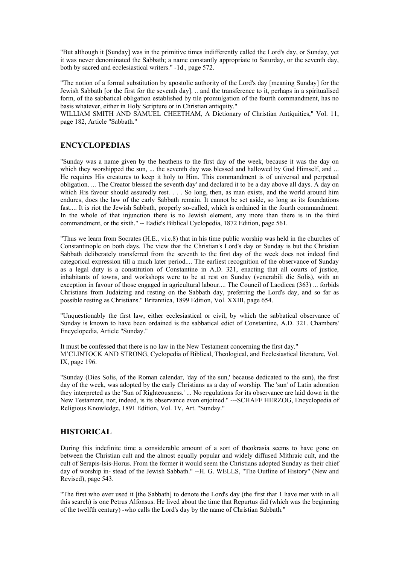"But although it [Sunday] was in the primitive times indifferently called the Lord's day, or Sunday, yet it was never denominated the Sabbath; a name constantly appropriate to Saturday, or the seventh day, both by sacred and ecclesiastical writers." -1d., page 572.

"The notion of a formal substitution by apostolic authority of the Lord's day [meaning Sunday] for the Jewish Sabbath [or the first for the seventh day]. .. and the transference to it, perhaps in a spiritualised form, of the sabbatical obligation established by tile promulgation of the fourth commandment, has no basis whatever, either in Holy Scripture or in Christian antiquity."

WILLIAM SMITH AND SAMUEL CHEETHAM, A Dictionary of Christian Antiquities," Vol. 11, page 182, Article "Sabbath."

# **ENCYCLOPEDIAS**

"Sunday was a name given by the heathens to the first day of the week, because it was the day on which they worshipped the sun, ... the seventh day was blessed and hallowed by God Himself, and ... He requires His creatures to keep it holy to Him. This commandment is of universal and perpetual obligation. ... The Creator blessed the seventh day' and declared it to be a day above all days. A day on which His favour should assuredly rest. . . . So long, then, as man exists, and the world around him endures, does the law of the early Sabbath remain. It cannot be set aside, so long as its foundations fast.... It is riot the Jewish Sabbath, properly so-called, which is ordained in the fourth commandment. In the whole of that injunction there is no Jewish element, any more than there is in the third commandment, or the sixth." -- Eadie's Biblical Cyclopedia, 1872 Edition, page 561.

"Thus we learn from Socrates (H.E., vi.c.8) that in his time public worship was held in the churches of Constantinople on both days. The view that the Christian's Lord's day or Sunday is but the Christian Sabbath deliberately transferred from the seventh to the first day of the week does not indeed find categorical expression till a much later period.... The earliest recognition of the observance of Sunday as a legal duty is a constitution of Constantine in A.D. 321, enacting that all courts of justice, inhabitants of towns, and workshops were to be at rest on Sunday (venerabili die Solis), with an exception in favour of those engaged in agricultural labour.... The Council of Laodicea (363) ... forbids Christians from Judaizing and resting on the Sabbath day, preferring the Lord's day, and so far as possible resting as Christians." Britannica, 1899 Edition, Vol. XXIII, page 654.

"Unquestionably the first law, either ecclesiastical or civil, by which the sabbatical observance of Sunday is known to have been ordained is the sabbatical edict of Constantine, A.D. 321. Chambers' Encyclopedia, Article "Sunday."

It must be confessed that there is no law in the New Testament concerning the first day." M'CLINTOCK AND STRONG, Cyclopedia of Biblical, Theological, and Ecclesiastical literature, Vol. IX, page 196.

"Sunday (Dies Solis, of the Roman calendar, 'day of the sun,' because dedicated to the sun), the first day of the week, was adopted by the early Christians as a day of worship. The 'sun' of Latin adoration they interpreted as the 'Sun of Righteousness.' ... No regulations for its observance are laid down in the New Testament, nor, indeed, is its observance even enjoined." ---SCHAFF HERZOG, Encyclopedia of Religious Knowledge, 1891 Edition, Vol. 1V, Art. "Sunday."

## **HISTORICAL**

During this indefinite time a considerable amount of a sort of theokrasia seems to have gone on between the Christian cult and the almost equally popular and widely diffused Mithraic cult, and the cult of Serapis-Isis-Horus. From the former it would seem the Christians adopted Sunday as their chief day of worship in- stead of the Jewish Sabbath." --H. G. WELLS, "The Outline of History" (New and Revised), page 543.

"The first who ever used it [the Sabbath] to denote the Lord's day (the first that 1 have met with in all this search) is one Petrus Alfonsus. He lived about the time that Repurtus did (which was the beginning of the twelfth century) -who calls the Lord's day by the name of Christian Sabbath."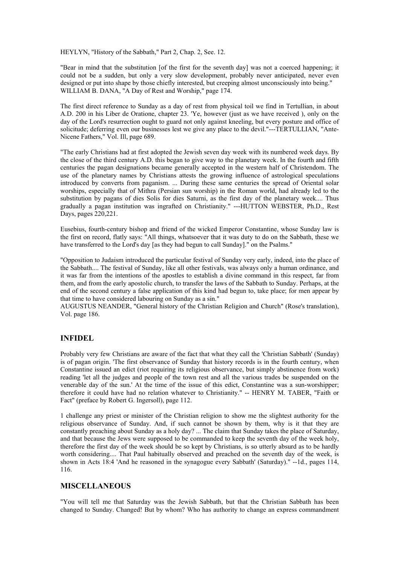HEYLYN, "History of the Sabbath," Part 2, Chap. 2, See. 12.

"Bear in mind that the substitution [of the first for the seventh day] was not a coerced happening; it could not be a sudden, but only a very slow development, probably never anticipated, never even designed or put into shape by those chiefly interested, but creeping almost unconsciously into being." WILLIAM B. DANA, "A Day of Rest and Worship," page 174.

The first direct reference to Sunday as a day of rest from physical toil we find in Tertullian, in about A.D. 200 in his Liber de Oratione, chapter 23. 'Ye, however (just as we have received ), only on the day of the Lord's resurrection ought to guard not only against kneeling, but every posture and office of solicitude; deferring even our businesses lest we give any place to the devil."---TERTULLIAN, "Ante-Nicene Fathers," Vol. Ill, page 689.

"The early Christians had at first adopted the Jewish seven day week with its numbered week days. By the close of the third century A.D. this began to give way to the planetary week. In the fourth and fifth centuries the pagan designations became generally accepted in the western half of Christendom. The use of the planetary names by Christians attests the growing influence of astrological speculations introduced by converts from paganism. ... During these same centuries the spread of Oriental solar worships, especially that of Mithra (Persian sun worship) in the Roman world, had already led to the substitution by pagans of dies Solis for dies Saturni, as the first day of the planetary week.... Thus gradually a pagan institution was ingrafted on Christianity." ---HUTTON WEBSTER, Ph.D., Rest Days, pages 220,221.

Eusebius, fourth-century bishop and friend of the wicked Emperor Constantine, whose Sunday law is the first on record, flatly says: "All things, whatsoever that it was duty to do on the Sabbath, these we have transferred to the Lord's day [as they had begun to call Sunday]." on the Psalms."

"Opposition to Judaism introduced the particular festival of Sunday very early, indeed, into the place of the Sabbath.... The festival of Sunday, like all other festivals, was always only a human ordinance, and it was far from the intentions of the apostles to establish a divine command in this respect, far from them, and from the early apostolic church, to transfer the laws of the Sabbath to Sunday. Perhaps, at the end of the second century a false application of this kind had begun to, take place; for men appear by that time to have considered labouring on Sunday as a sin."

AUGUSTUS NEANDER, "General history of the Christian Religion and Church" (Rose's translation), Vol. page 186.

## **INFIDEL**

Probably very few Christians are aware of the fact that what they call the 'Christian Sabbath' (Sunday) is of pagan origin. 'The first observance of Sunday that history records is in the fourth century, when Constantine issued an edict (riot requiring its religious observance, but simply abstinence from work) reading 'let all the judges and people of the town rest and all the various trades be suspended on the venerable day of the sun.' At the time of the issue of this edict, Constantine was a sun-worshipper; therefore it could have had no relation whatever to Christianity." -- HENRY M. TABER, "Faith or Fact" (preface by Robert G. Ingersoll), page 112.

1 challenge any priest or minister of the Christian religion to show me the slightest authority for the religious observance of Sunday. And, if such cannot be shown by them, why is it that they are constantly preaching about Sunday as a holy day? ... The claim that Sunday takes the place of Saturday, and that because the Jews were supposed to be commanded to keep the seventh day of the week holy, therefore the first day of the week should be so kept by Christians, is so utterly absurd as to be hardly worth considering.... That Paul habitually observed and preached on the seventh day of the week, is shown in Acts 18:4 'And he reasoned in the synagogue every Sabbath' (Saturday)." --1d., pages 114, 116.

## **MISCELLANEOUS**

"You will tell me that Saturday was the Jewish Sabbath, but that the Christian Sabbath has been changed to Sunday. Changed! But by whom? Who has authority to change an express commandment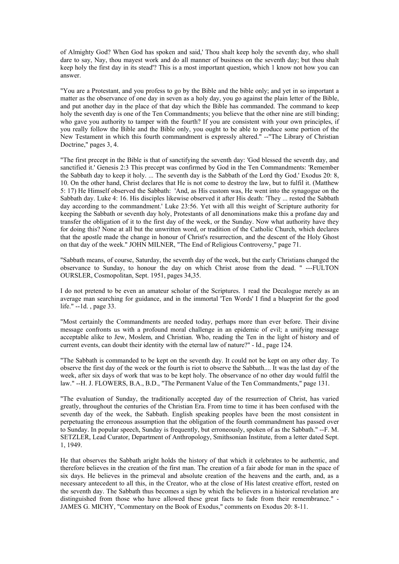of Almighty God? When God has spoken and said,' Thou shalt keep holy the seventh day, who shall dare to say, Nay, thou mayest work and do all manner of business on the seventh day; but thou shalt keep holy the first day in its stead'? This is a most important question, which 1 know not how you can answer.

"You are a Protestant, and you profess to go by the Bible and the bible only; and yet in so important a matter as the observance of one day in seven as a holy day, you go against the plain letter of the Bible, and put another day in the place of that day which the Bible has commanded. The command to keep holy the seventh day is one of the Ten Commandments; you believe that the other nine are still binding; who gave you authority to tamper with the fourth? If you are consistent with your own principles, if you really follow the Bible and the Bible only, you ought to be able to produce some portion of the New Testament in which this fourth commandment is expressly altered." --"The Library of Christian Doctrine," pages 3, 4.

"The first precept in the Bible is that of sanctifying the seventh day: 'God blessed the seventh day, and sanctified it.' Genesis 2:3 This precept was confirmed by God in the Ten Commandments: 'Remember the Sabbath day to keep it holy. ... The seventh day is the Sabbath of the Lord thy God.' Exodus 20: 8, 10. On the other hand, Christ declares that He is not come to destroy the law, but to fulfil it. (Matthew 5: 17) He Himself observed the Sabbath: 'And, as His custom was, He went into the synagogue on the Sabbath day. Luke 4: 16. His disciples likewise observed it after His death: 'They ... rested the Sabbath day according to the commandment.' Luke 23:56. Yet with all this weight of Scripture authority for keeping the Sabbath or seventh day holy, Protestants of all denominations make this a profane day and transfer the obligation of it to the first day of the week, or the Sunday. Now what authority have they for doing this? None at all but the unwritten word, or tradition of the Catholic Church, which declares that the apostle made the change in honour of Christ's resurrection, and the descent of the Holy Ghost on that day of the week." JOHN MILNER, "The End of Religious Controversy," page 71.

"Sabbath means, of course, Saturday, the seventh day of the week, but the early Christians changed the observance to Sunday, to honour the day on which Christ arose from the dead. " ---FULTON OURSLER, Cosmopolitan, Sept. 1951, pages 34,35.

I do not pretend to be even an amateur scholar of the Scriptures. 1 read the Decalogue merely as an average man searching for guidance, and in the immortal 'Ten Words' I find a blueprint for the good life." --1d. , page 33.

"Most certainly the Commandments are needed today, perhaps more than ever before. Their divine message confronts us with a profound moral challenge in an epidemic of evil; a unifying message acceptable alike to Jew, Moslem, and Christian. Who, reading the Ten in the light of history and of current events, can doubt their identity with the eternal law of nature?" - Id., page 124.

"The Sabbath is commanded to be kept on the seventh day. It could not be kept on any other day. To observe the first day of the week or the fourth is riot to observe the Sabbath.... It was the last day of the week, after six days of work that was to be kept holy. The observance of no other day would fulfil the law." --H. J. FLOWERS, B.A., B.D., "The Permanent Value of the Ten Commandments," page 131.

"The evaluation of Sunday, the traditionally accepted day of the resurrection of Christ, has varied greatly, throughout the centuries of the Christian Era. From time to time it has been confused with the seventh day of the week, the Sabbath. English speaking peoples have been the most consistent in perpetuating the erroneous assumption that the obligation of the fourth commandment has passed over to Sunday. In popular speech, Sunday is frequently, but erroneously, spoken of as the Sabbath." --F. M. SETZLER, Lead Curator, Department of Anthropology, Smithsonian Institute, from a letter dated Sept. 1, 1949.

He that observes the Sabbath aright holds the history of that which it celebrates to be authentic, and therefore believes in the creation of the first man. The creation of a fair abode for man in the space of six days. He believes in the primeval and absolute creation of the heavens and the earth, and, as a necessary antecedent to all this, in the Creator, who at the close of His latest creative effort, rested on the seventh day. The Sabbath thus becomes a sign by which the believers in a historical revelation are distinguished from those who have allowed these great facts to fade from their remembrance." - JAMES G. MICHY, "Commentary on the Book of Exodus," comments on Exodus 20: 8-11.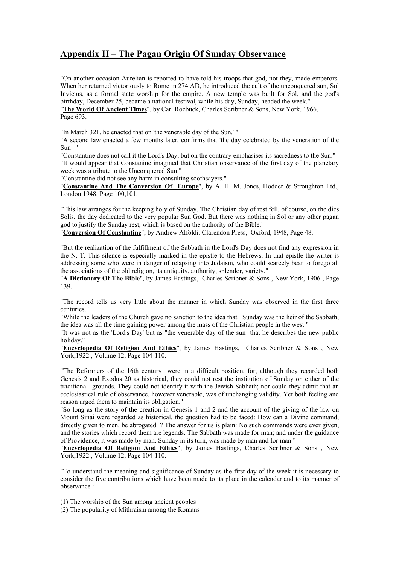# **Appendix II – The Pagan Origin Of Sunday Observance**

"On another occasion Aurelian is reported to have told his troops that god, not they, made emperors. When her returned victoriously to Rome in 274 AD, he introduced the cult of the unconquered sun, Sol Invictus, as a formal state worship for the empire. A new temple was built for Sol, and the god's birthday, December 25, became a national festival, while his day, Sunday, headed the week."

"**The World Of Ancient Times**", by Carl Roebuck, Charles Scribner & Sons, New York, 1966, Page 693.

"In March 321, he enacted that on 'the venerable day of the Sun.' "

"A second law enacted a few months later, confirms that 'the day celebrated by the veneration of the Sun ' "

"Constantine does not call it the Lord's Day, but on the contrary emphasises its sacredness to the Sun." "It would appear that Constanine imagined that Christian observance of the first day of the planetary week was a tribute to the Unconquered Sun."

"Constantine did not see any harm in consulting soothsayers."

"**Constantine And The Conversion Of Europe**", by A. H. M. Jones, Hodder & Stroughton Ltd., London 1948, Page 100,101.

"This law arranges for the keeping holy of Sunday. The Christian day of rest fell, of course, on the dies Solis, the day dedicated to the very popular Sun God. But there was nothing in Sol or any other pagan god to justify the Sunday rest, which is based on the authority of the Bible."

"**Conversion Of Constantine**", by Andrew Alfoldi, Clarendon Press, Oxford, 1948, Page 48.

"But the realization of the fulfillment of the Sabbath in the Lord's Day does not find any expression in the N. T. This silence is especially marked in the epistle to the Hebrews. In that epistle the writer is addressing some who were in danger of relapsing into Judaism, who could scarcely bear to forego all the associations of the old religion, its antiquity, authority, splendor, variety."

"**A Dictionary Of The Bible**", by James Hastings, Charles Scribner & Sons , New York, 1906 , Page 139.

"The record tells us very little about the manner in which Sunday was observed in the first three centuries."

"While the leaders of the Church gave no sanction to the idea that Sunday was the heir of the Sabbath, the idea was all the time gaining power among the mass of the Christian people in the west."

"It was not as the 'Lord's Day' but as ''the venerable day of the sun that he describes the new public holiday."

"**Encyclopedia Of Religion And Ethics**", by James Hastings, Charles Scribner & Sons , New York,1922 , Volume 12, Page 104-110.

"The Reformers of the 16th century were in a difficult position, for, although they regarded both Genesis 2 and Exodus 20 as historical, they could not rest the institution of Sunday on either of the traditional grounds. They could not identify it with the Jewish Sabbath; nor could they admit that an ecclesiastical rule of observance, however venerable, was of unchanging validity. Yet both feeling and reason urged them to maintain its obligation."

"So long as the story of the creation in Genesis 1 and 2 and the account of the giving of the law on Mount Sinai were regarded as historical, the question had to be faced: How can a Divine command, directly given to men, be abrogated ? The answer for us is plain: No such commands were ever given, and the stories which record them are legends. The Sabbath was made for man; and under the guidance of Providence, it was made by man. Sunday in its turn, was made by man and for man."

"**Encyclopedia Of Religion And Ethics**", by James Hastings, Charles Scribner & Sons , New York,1922 , Volume 12, Page 104-110.

"To understand the meaning and significance of Sunday as the first day of the week it is necessary to consider the five contributions which have been made to its place in the calendar and to its manner of observance :

(1) The worship of the Sun among ancient peoples

(2) The popularity of Mithraism among the Romans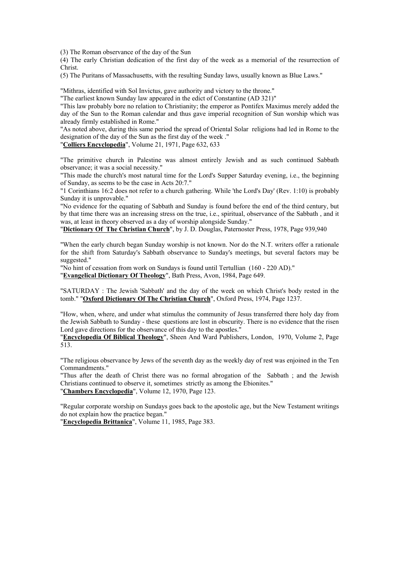(3) The Roman observance of the day of the Sun

(4) The early Christian dedication of the first day of the week as a memorial of the resurrection of Christ.

(5) The Puritans of Massachusetts, with the resulting Sunday laws, usually known as Blue Laws."

"Mithras, identified with Sol Invictus, gave authority and victory to the throne."

"The earliest known Sunday law appeared in the edict of Constantine (AD 321)"

"This law probably bore no relation to Christianity; the emperor as Pontifex Maximus merely added the day of the Sun to the Roman calendar and thus gave imperial recognition of Sun worship which was already firmly established in Rome."

"As noted above, during this same period the spread of Oriental Solar religions had led in Rome to the designation of the day of the Sun as the first day of the week ."

"**Colliers Encyclopedia**", Volume 21, 1971, Page 632, 633

"The primitive church in Palestine was almost entirely Jewish and as such continued Sabbath observance; it was a social necessity."

"This made the church's most natural time for the Lord's Supper Saturday evening, i.e., the beginning of Sunday, as seems to be the case in Acts 20:7."

"1 Corinthians 16:2 does not refer to a church gathering. While 'the Lord's Day' (Rev. 1:10) is probably Sunday it is unprovable."

"No evidence for the equating of Sabbath and Sunday is found before the end of the third century, but by that time there was an increasing stress on the true, i.e., spiritual, observance of the Sabbath , and it was, at least in theory observed as a day of worship alongside Sunday."

"**Dictionary Of The Christian Church**", by J. D. Douglas, Paternoster Press, 1978, Page 939,940

"When the early church began Sunday worship is not known. Nor do the N.T. writers offer a rationale for the shift from Saturday's Sabbath observance to Sunday's meetings, but several factors may be suggested."

"No hint of cessation from work on Sundays is found until Tertullian (160 - 220 AD)."

"**Evangelical Dictionary Of Theology**", Bath Press, Avon, 1984, Page 649.

"SATURDAY : The Jewish 'Sabbath' and the day of the week on which Christ's body rested in the tomb." "**Oxford Dictionary Of The Christian Church**", Oxford Press, 1974, Page 1237.

"How, when, where, and under what stimulus the community of Jesus transferred there holy day from the Jewish Sabbath to Sunday - these questions are lost in obscurity. There is no evidence that the risen Lord gave directions for the observance of this day to the apostles."

"**Encyclopedia Of Biblical Theology**", Sheen And Ward Publishers, London, 1970, Volume 2, Page 513.

"The religious observance by Jews of the seventh day as the weekly day of rest was enjoined in the Ten Commandments."

"Thus after the death of Christ there was no formal abrogation of the Sabbath ; and the Jewish Christians continued to observe it, sometimes strictly as among the Ebionites."

"**Chambers Encyclopedia**", Volume 12, 1970, Page 123.

"Regular corporate worship on Sundays goes back to the apostolic age, but the New Testament writings do not explain how the practice began."

"**Encyclopedia Brittanica**", Volume 11, 1985, Page 383.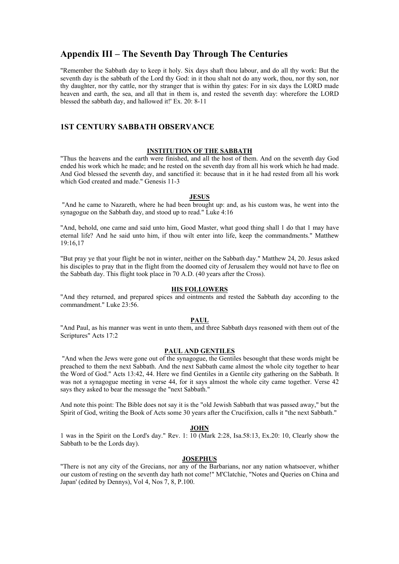# **Appendix III – The Seventh Day Through The Centuries**

"Remember the Sabbath day to keep it holy. Six days shaft thou labour, and do all thy work: But the seventh day is the sabbath of the Lord thy God: in it thou shalt not do any work, thou, nor thy son, nor thy daughter, nor thy cattle, nor thy stranger that is within thy gates: For in six days the LORD made heaven and earth, the sea, and all that in them is, and rested the seventh day: wherefore the LORD blessed the sabbath day, and hallowed it!' Ex. 20: 8-11

## **1ST CENTURY SABBATH OBSERVANCE**

### **INSTITUTION OF THE SABBATH**

"Thus the heavens and the earth were finished, and all the host of them. And on the seventh day God ended his work which he made; and he rested on the seventh day from all his work which he had made. And God blessed the seventh day, and sanctified it: because that in it he had rested from all his work which God created and made." Genesis 11-3

### **JESUS**

 "And he came to Nazareth, where he had been brought up: and, as his custom was, he went into the synagogue on the Sabbath day, and stood up to read." Luke 4:16

"And, behold, one came and said unto him, Good Master, what good thing shall 1 do that 1 may have eternal life? And he said unto him, if thou wilt enter into life, keep the commandments." Matthew 19:16,17

"But pray ye that your flight be not in winter, neither on the Sabbath day." Matthew 24, 20. Jesus asked his disciples to pray that in the flight from the doomed city of Jerusalem they would not have to flee on the Sabbath day. This flight took place in 70 A.D. (40 years after the Cross).

#### **HIS FOLLOWERS**

"And they returned, and prepared spices and ointments and rested the Sabbath day according to the commandment." Luke 23:56.

## **PAUL**

"And Paul, as his manner was went in unto them, and three Sabbath days reasoned with them out of the Scriptures" Acts 17:2

#### **PAUL AND GENTILES**

 "And when the Jews were gone out of the synagogue, the Gentiles besought that these words might be preached to them the next Sabbath. And the next Sabbath came almost the whole city together to hear the Word of God." Acts 13:42, 44. Here we find Gentiles in a Gentile city gathering on the Sabbath. It was not a synagogue meeting in verse 44, for it says almost the whole city came together. Verse 42 says they asked to bear the message the "next Sabbath."

And note this point: The Bible does not say it is the "old Jewish Sabbath that was passed away," but the Spirit of God, writing the Book of Acts some 30 years after the Crucifixion, calls it "the next Sabbath."

#### **JOHN**

1 was in the Spirit on the Lord's day." Rev. 1: 10 (Mark 2:28, Isa.58:13, Ex.20: 10, Clearly show the Sabbath to be the Lords day).

## **JOSEPHUS**

"There is not any city of the Grecians, nor any of the Barbarians, nor any nation whatsoever, whither our custom of resting on the seventh day hath not come!" M'Clatchie, "Notes and Queries on China and Japan' (edited by Dennys), Vol 4, Nos 7, 8, P.100.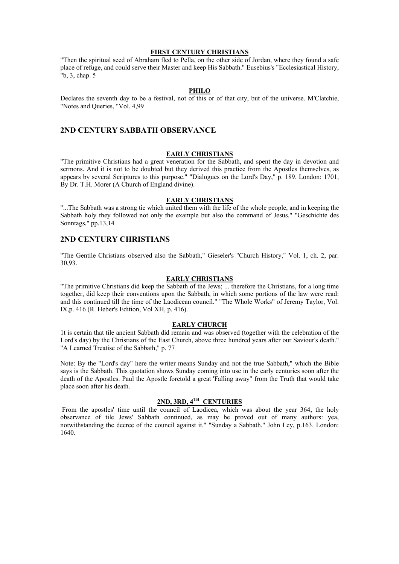#### **FIRST CENTURY CHRISTIANS**

"Then the spiritual seed of Abraham fled to Pella, on the other side of Jordan, where they found a safe place of refuge, and could serve their Master and keep His Sabbath." Eusebius's "Ecclesiastical History, "b, 3, chap. 5

#### **PHILO**

Declares the seventh day to be a festival, not of this or of that city, but of the universe. M'Clatchie, "Notes and Queries, "Vol. 4,99

## **2ND CENTURY SABBATH OBSERVANCE**

### **EARLY CHRISTIANS**

"The primitive Christians had a great veneration for the Sabbath, and spent the day in devotion and sermons. And it is not to be doubted but they derived this practice from the Apostles themselves, as appears by several Scriptures to this purpose." "Dialogues on the Lord's Day," p. 189. London: 1701, By Dr. T.H. Morer (A Church of England divine).

#### **EARLY CHRISTIANS**

"...The Sabbath was a strong tie which united them with the life of the whole people, and in keeping the Sabbath holy they followed not only the example but also the command of Jesus." "Geschichte des Sonntags," pp.13,14

## **2ND CENTURY CHRISTIANS**

"The Gentile Christians observed also the Sabbath," Gieseler's "Church History," Vol. 1, ch. 2, par. 30,93.

### **EARLY CHRISTIANS**

"The primitive Christians did keep the Sabbath of the Jews; ... therefore the Christians, for a long time together, did keep their conventions upon the Sabbath, in which some portions of the law were read: and this continued till the time of the Laodicean council." "The Whole Works" of Jeremy Taylor, Vol. IX,p. 416 (R. Heber's Edition, Vol XH, p. 416).

#### **EARLY CHURCH**

1t is certain that tile ancient Sabbath did remain and was observed (together with the celebration of the Lord's day) by the Christians of the East Church, above three hundred years after our Saviour's death." "A Learned Treatise of the Sabbath," p. 77

Note: By the "Lord's day" here the writer means Sunday and not the true Sabbath," which the Bible says is the Sabbath. This quotation shows Sunday coming into use in the early centuries soon after the death of the Apostles. Paul the Apostle foretold a great 'Falling away" from the Truth that would take place soon after his death.

## **2ND, 3RD, 4TH CENTURIES**

 From the apostles' time until the council of Laodicea, which was about the year 364, the holy observance of tile Jews' Sabbath continued, as may be proved out of many authors: yea, notwithstanding the decree of the council against it." "Sunday a Sabbath." John Ley, p.163. London: 1640.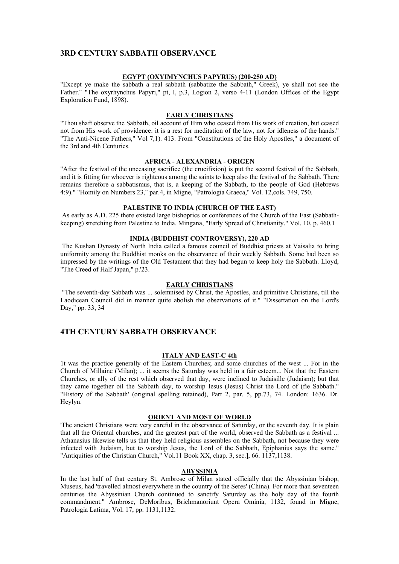## **3RD CENTURY SABBATH OBSERVANCE**

#### **EGYPT (OXYIMYNCHUS PAPYRUS) (200-250 AD)**

"Except ye make the sabbath a real sabbath (sabbatize the Sabbath," Greek), ye shall not see the Father." "The oxyrhynchus Papyri," pt, l, p.3, Logion 2, verso 4-11 (London Offices of the Egypt Exploration Fund, 1898).

## **EARLY CHRISTIANS**

"Thou shaft observe the Sabbath, oil account of Him who ceased from His work of creation, but ceased not from His work of providence: it is a rest for meditation of the law, not for idleness of the hands." "The Anti-Nicene Fathers," Vol 7,1). 413. From "Constitutions of the Holy Apostles," a document of the 3rd and 4th Centuries.

## **AFRICA - ALEXANDRIA - ORIGEN**

"After the festival of the unceasing sacrifice (the crucifixion) is put the second festival of the Sabbath, and it is fitting for whoever is righteous among the saints to keep also the festival of the Sabbath. There remains therefore a sabbatismus, that is, a keeping of the Sabbath, to the people of God (Hebrews 4:9)." "Homily on Numbers 23," par.4, in Migne, "Patrologia Graeca," Vol. 12,cols. 749, 750.

## **PALESTINE TO INDIA (CHURCH OF THE EAST)**

 As early as A.D. 225 there existed large bishoprics or conferences of the Church of the East (Sabbathkeeping) stretching from Palestine to India. Mingana, "Early Spread of Christianity." Vol. 10, p. 460.1

## **INDIA (BUDDHIST CONTROVERSY), 220 AD**

 The Kushan Dynasty of North India called a famous council of Buddhist priests at Vaisalia to bring uniformity among the Buddhist monks on the observance of their weekly Sabbath. Some had been so impressed by the writings of the Old Testament that they had begun to keep holy the Sabbath. Lloyd, "The Creed of Half Japan," p.'23.

## **EARLY CHRISTIANS**

 "The seventh-day Sabbath was ... solemnised by Christ, the Apostles, and primitive Christians, till the Laodicean Council did in manner quite abolish the observations of it." "Dissertation on the Lord's Day," pp. 33, 34

## **4TH CENTURY SABBATH OBSERVANCE**

## **ITALY AND EAST-C 4th**

1t was the practice generally of the Eastern Churches; and some churches of the west ... For in the Church of Millaine (Milan); ... it seems the Saturday was held in a fair esteem... Not that the Eastern Churches, or ally of the rest which observed that day, were inclined to Judaisille (Judaism); but that they came together oil the Sabbath day, to worship Iesus (Jesus) Christ the Lord of (fie Sabbath." "History of the Sabbath' (original spelling retained), Part 2, par. 5, pp.73, 74. London: 1636. Dr. Heylyn.

## **ORIENT AND MOST OF WORLD**

'The ancient Christians were very careful in the observance of Saturday, or the seventh day. It is plain that all the Oriental churches, and the greatest part of the world, observed the Sabbath as a festival ... Athanasius likewise tells us that they held religious assembles on the Sabbath, not because they were infected with Judaism, but to worship Jesus, the Lord of the Sabbath, Epiphanius says the same." "Antiquities of the Christian Church," Vol.11 Book XX, chap. 3, sec.], 66. 1137,1138.

#### **ABYSSINIA**

In the last half of that century St. Ambrose of Milan stated officially that the Abyssinian bishop, Museus, had 'travelled almost everywhere in the country of the Seres' (China). For more than seventeen centuries the Abyssinian Church continued to sanctify Saturday as the holy day of the fourth commandment." Ambrose, DeMoribus, Brichmanoriunt Opera Ominia, 1132, found in Migne, Patrologia Latima, Vol. 17, pp. 1131,1132.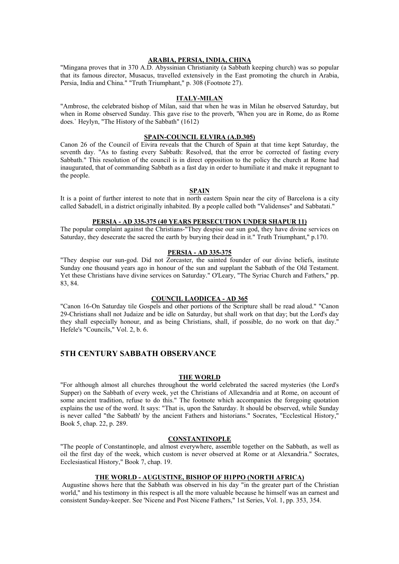### **ARABIA, PERSIA, INDIA, CHINA**

"Mingana proves that in 370 A.D. Abyssinian Christianity (a Sabbath keeping church) was so popular that its famous director, Musacus, travelled extensively in the East promoting the church in Arabia, Persia, India and China." "Truth Triumphant," p. 308 (Footnote 27).

### **ITALY-MILAN**

"Ambrose, the celebrated bishop of Milan, said that when he was in Milan he observed Saturday, but when in Rome observed Sunday. This gave rise to the proverb, 'When you are in Rome, do as Rome does.` Heylyn, "The History of the Sabbath" (1612)

### **SPAIN-COUNCIL ELVIRA (A.D.305)**

Canon 26 of the Council of Eivira reveals that the Church of Spain at that time kept Saturday, the seventh day. "As to fasting every Sabbath: Resolved, that the error be corrected of fasting every Sabbath." This resolution of the council is in direct opposition to the policy the church at Rome had inaugurated, that of commanding Sabbath as a fast day in order to humiliate it and make it repugnant to the people.

#### **SPAIN**

It is a point of further interest to note that in north eastern Spain near the city of Barcelona is a city called Sabadell, in a district originally inhabited. By a people called both "Validenses" and Sabbatati."

### **PERSIA - AD 335-375 (40 YEARS PERSECUTION UNDER SHAPUR 11)**

The popular complaint against the Christians-"They despise our sun god, they have divine services on Saturday, they desecrate the sacred the earth by burying their dead in it." Truth Triumphant," p.170.

## **PERSIA - AD 335-375**

"They despise our sun-god. Did not Zorcaster, the sainted founder of our divine beliefs, institute Sunday one thousand years ago in honour of the sun and supplant the Sabbath of the Old Testament. Yet these Christians have divine services on Saturday." O'Leary, "The Syriac Church and Fathers," pp. 83, 84.

### **COUNCIL LAODICEA - AD 365**

"Canon 16-On Saturday tile Gospels and other portions of the Scripture shall be read aloud." "Canon 29-Christians shall not Judaize and be idle on Saturday, but shall work on that day; but the Lord's day they shall especially honour, and as being Christians, shall, if possible, do no work on that day." Hefele's "Councils," Vol. 2, b. 6.

## **5TH CENTURY SABBATH OBSERVANCE**

#### **THE WORLD**

"For although almost all churches throughout the world celebrated the sacred mysteries (the Lord's Supper) on the Sabbath of every week, yet the Christians of Allexandria and at Rome, on account of some ancient tradition, refuse to do this." The footnote which accompanies the foregoing quotation explains the use of the word. It says: "That is, upon the Saturday. It should be observed, while Sunday is never called "the Sabbath' by the ancient Fathers and historians." Socrates, "Ecclestical History," Book 5, chap. 22, p. 289.

#### **CONSTANTINOPLE**

"The people of Constantinople, and almost everywhere, assemble together on the Sabbath, as well as oil the first day of the week, which custom is never observed at Rome or at Alexandria." Socrates, Ecclesiastical History," Book 7, chap. 19.

### **THE WORLD - AUGUSTINE, BISHOP OF H1PPO (NORTH AFRICA)**

 Augustine shows here that the Sabbath was observed in his day "in the greater part of the Christian world," and his testimony in this respect is all the more valuable because he himself was an earnest and consistent Sunday-keeper. See 'Nicene and Post Nicene Fathers," 1st Series, Vol. 1, pp. 353, 354.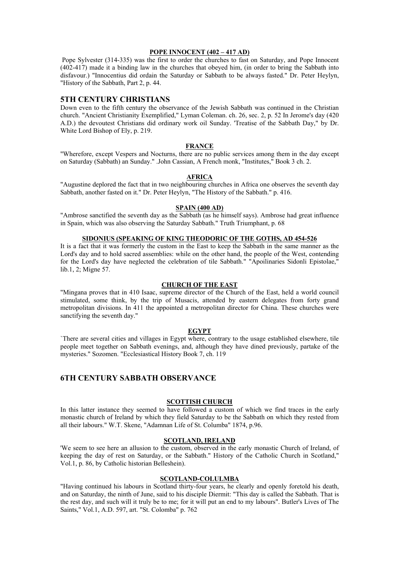#### **POPE INNOCENT (402 – 417 AD)**

 Pope Sylvester (314-335) was the first to order the churches to fast on Saturday, and Pope Innocent (402-417) made it a binding law in the churches that obeyed him, (in order to bring the Sabbath into disfavour.) "Innocentius did ordain the Saturday or Sabbath to be always fasted." Dr. Peter Heylyn, "History of the Sabbath, Part 2, p. 44.

## **5TH CENTURY CHRISTIANS**

Down even to the fifth century the observance of the Jewish Sabbath was continued in the Christian church. "Ancient Christianity Exemplified," Lyman Coleman. ch. 26, sec. 2, p. 52 In Jerome's day (420 A.D.) the devoutest Christians did ordinary work oil Sunday. 'Treatise of the Sabbath Day," by Dr. White Lord Bishop of Ely, p. 219.

#### **FRANCE**

"Wherefore, except Vespers and Nocturns, there are no public services among them in the day except on Saturday (Sabbath) an Sunday." .John Cassian, A French monk, "Institutes," Book 3 ch. 2.

## **AFRICA**

"Augustine deplored the fact that in two neighbouring churches in Africa one observes the seventh day Sabbath, another fasted on it." Dr. Peter Heylyn, "The History of the Sabbath." p. 416.

### **SPAIN (400 AD)**

"Ambrose sanctified the seventh day as the Sabbath (as he himself says). Ambrose had great influence in Spain, which was also observing the Saturday Sabbath." Truth Triumphant, p. 68

### **SIDONIUS (SPEAKING OF KING THEODORIC OF THE GOTHS, AD 454-526**

It is a fact that it was formerly the custom in the East to keep the Sabbath in the same manner as the Lord's day and to hold sacred assemblies: while on the other hand, the people of the West, contending for the Lord's day have neglected the celebration of tile Sabbath." "Apoilinaries Sidonli Epistolae," lib.1, 2; Migne 57.

### **CHURCH OF THE EAST**

"Mingana proves that in 410 Isaac, supreme director of the Church of the East, held a world council stimulated, some think, by the trip of Musacis, attended by eastern delegates from forty grand metropolitan divisions. In 411 the appointed a metropolitan director for China. These churches were sanctifying the seventh day."

#### **EGYPT**

`There are several cities and villages in Egypt where, contrary to the usage established elsewhere, tile people meet together on Sabbath evenings, and, although they have dined previously, partake of the mysteries." Sozomen. "Ecclesiastical History Book 7, ch. 119

## **6TH CENTURY SABBATH OBSERVANCE**

#### **SCOTTISH CHURCH**

In this latter instance they seemed to have followed a custom of which we find traces in the early monastic church of Ireland by which they field Saturday to be the Sabbath on which they rested from all their labours." W.T. Skene, "Adamnan Life of St. Columba" 1874, p.96.

## **SCOTLAND, IRELAND**

'We seem to see here an allusion to the custom, observed in the early monastic Church of Ireland, of keeping the day of rest on Saturday, or the Sabbath." History of the Catholic Church in Scotland," Vol.1, p. 86, by Catholic historian Belleshein).

#### **SCOTLAND-COLULMBA**

"Having continued his labours in Scotland thirty-four years, he clearly and openly foretold his death, and on Saturday, the ninth of June, said to his disciple Diermit: "This day is called the Sabbath. That is the rest day, and such will it truly be to me; for it will put an end to my labours". Butler's Lives of The Saints," Vol.1, A.D. 597, art. "St. Colomba" p. 762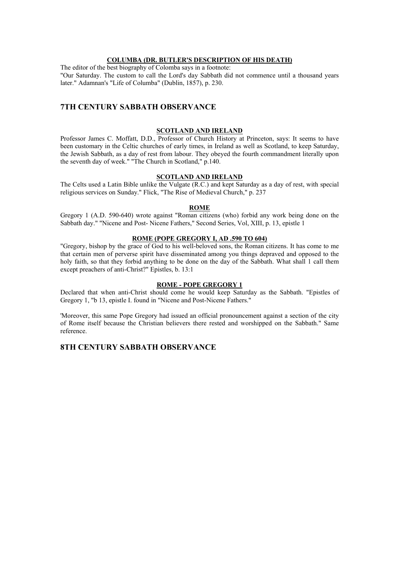### **COLUMBA (DR. BUTLER'S DESCRIPTION OF HIS DEATH)**

The editor of the best biography of Colomba says in a footnote: "Our Saturday. The custom to call the Lord's day Sabbath did not commence until a thousand years later." Adamnan's "Life of Columba" (Dublin, 1857), p. 230.

## **7TH CENTURY SABBATH OBSERVANCE**

## **SCOTLAND AND IRELAND**

Professor James C. Moffatt, D.D., Professor of Church History at Princeton, says: It seems to have been customary in the Celtic churches of early times, in Ireland as well as Scotland, to keep Saturday, the Jewish Sabbath, as a day of rest from labour. They obeyed the fourth commandment literally upon the seventh day of week." "The Church in Scotland," p.140.

## **SCOTLAND AND IRELAND**

The Celts used a Latin Bible unlike the Vulgate (R.C.) and kept Saturday as a day of rest, with special religious services on Sunday." Flick, "The Rise of Medieval Church," p. 237

#### **ROME**

Gregory 1 (A.D. 590-640) wrote against "Roman citizens (who) forbid any work being done on the Sabbath day." "Nicene and Post- Nicene Fathers," Second Series, Vol, XIII, p. 13, epistle 1

### **ROME (POPE GREGORY I, AD .590 TO 604)**

"Gregory, bishop by the grace of God to his well-beloved sons, the Roman citizens. It has come to me that certain men of perverse spirit have disseminated among you things depraved and opposed to the holy faith, so that they forbid anything to be done on the day of the Sabbath. What shall 1 call them except preachers of anti-Christ?" Epistles, b. 13:1

## **ROME - POPE GREGORY 1**

Declared that when anti-Christ should come he would keep Saturday as the Sabbath. "Epistles of Gregory 1, "b 13, epistle I. found in "Nicene and Post-Nicene Fathers."

'Moreover, this same Pope Gregory had issued an official pronouncement against a section of the city of Rome itself because the Christian believers there rested and worshipped on the Sabbath." Same reference.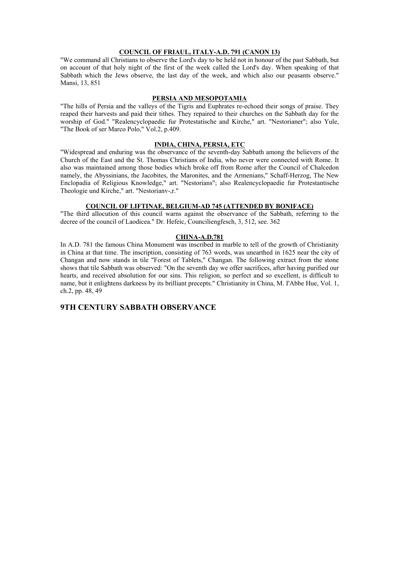### **COUNCIL OF FRIAUL, ITALY-A.D. 791 (CANON 13)**

"We command all Christians to observe the Lord's day to be held not in honour of the past Sabbath, but on account of that holy night of the first of the week called the Lord's day. When speaking of that Sabbath which the Jews observe, the last day of the week, and which also our peasants observe." Mansi, 13, 851

### **PERSIA AND MESOPOTAMIA**

"The hills of Persia and the valleys of the Tigris and Euphrates re-echoed their songs of praise. They reaped their harvests and paid their tithes. They repaired to their churches on the Sabbath day for the worship of God." "Realencyclopaedic fur Protestatische and Kirche," art. "Nestorianer"; also Yule, "The Book of ser Marco Polo," Vol.2, p.409.

#### **INDIA, CHINA, PERSIA, ETC**

"Widespread and enduring was the observance of the seventh-day Sabbath among the believers of the Church of the East and the St. Thomas Christians of India, who never were connected with Rome. It also was maintained among those bodies which broke off from Rome after the Council of Chalcedon namely, the Abyssinians, the Jacobites, the Maronites, and the Armenians," Schaff-Herzog, The New Enclopadia of Religious Knowledge," art. "Nestorians"; also Realencyclopaedie fur Protestantische Theologie und Kirche," art. "Nestorianv-,r."

### **COUNCIL OF LIFTINAE, BELGIUM-AD 745 (ATTENDED BY BONIFACE)**

"The third allocution of this council warns against the observance of the Sabbath, referring to the decree of the council of Laodicea." Dr. Hefeic, Counciliengfesch, 3, 512, see. 362

### **CHINA-A.D.781**

In A.D. 781 the famous China Monument was inscribed in marble to tell of the growth of Christianity in China at that time. The inscription, consisting of 763 words, was unearthed in 1625 near the city of Changan and now stands in tile "Forest of Tablets," Changan. The following extract from the stone shows that tile Sabbath was observed: "On the seventh day we offer sacrifices, after having purified our hearts, and received absolution for our sins. This religion, so perfect and so excellent, is difficult to name, but it enlightens darkness by its brilliant precepts." Christianity in China, M. I'Abbe Hue, Vol. 1, ch.2, pp. 48, 49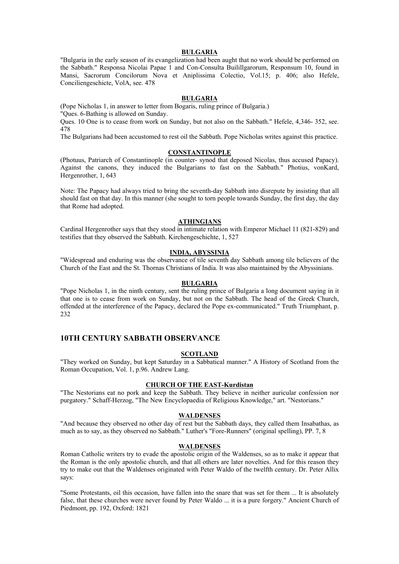#### **BULGARIA**

"Bulgaria in the early season of its evangelization had been aught that no work should be performed on the Sabbath." Responsa Nicolai Papae 1 and Con-Consulta Builillgarorum, Responsum 10, found in Mansi, Sacrorum Concilorum Nova et Aniplissima Colectio, Vol.15; p. 406; also Hefele, Conciliengeschicte, VolA, see. 478

#### **BULGARIA**

(Pope Nicholas 1, in answer to letter from Bogaris, ruling prince of Bulgaria.)

"Ques. 6-Bathing is allowed on Sunday.

Ques. 10 One is to cease from work on Sunday, but not also on the Sabbath." Hefele, 4,346- 352, see. 478

The Bulgarians had been accustomed to rest oil the Sabbath. Pope Nicholas writes against this practice.

### **CONSTANTINOPLE**

(Photuus, Patriarch of Constantinople (in counter- synod that deposed Nicolas, thus accused Papacy). Against the canons, they induced the Bulgarians to fast on the Sabbath." Photius, vonKard, Hergenrother, 1, 643

Note: The Papacy had always tried to bring the seventh-day Sabbath into disrepute by insisting that all should fast on that day. In this manner (she sought to torn people towards Sunday, the first day, the day that Rome had adopted.

# **ATHINGIANS**

Cardinal Hergenrother says that they stood in intimate relation with Emperor Michael 11 (821-829) and testifies that they observed the Sabbath. Kirchengeschichte, 1, 527

### **INDIA, ABYSSINIA**

"Widespread and enduring was the observance of tile seventh day Sabbath among tile believers of the Church of the East and the St. Thornas Christians of India. It was also maintained by the Abyssinians.

#### **BULGARIA**

"Pope Nicholas 1, in the ninth century, sent the ruling prince of Bulgaria a long document saying in it that one is to cease from work on Sunday, but not on the Sabbath. The head of the Greek Church, offended at the interference of the Papacy, declared the Pope ex-communicated." Truth Triumphant, p. 232

## **10TH CENTURY SABBATH OBSERVANCE**

#### **SCOTLAND**

"They worked on Sunday, but kept Saturday in a Sabbatical manner." A History of Scotland from the Roman Occupation, Vol. 1, p.96. Andrew Lang.

## **CHURCH OF THE EAST-Kurdistan**

"The Nestorians eat no pork and keep the Sabbath. They believe in neither auricular confession nor purgatory." Schaff-Herzog, "The New Encyclopaedia of Religious Knowledge," art. "Nestorians."

## **WALDENSES**

"And because they observed no other day of rest but the Sabbath days, they called them Insabathas, as much as to say, as they observed no Sabbath." Luther's "Fore-Runners" (original spelling), PP. 7, 8

#### **WALDENSES**

Roman Catholic writers try to evade the apostolic origin of the Waldenses, so as to make it appear that the Roman is the only apostolic church, and that all others are later novelties. And for this reason they try to make out that the Waldenses originated with Peter Waldo of the twelfth century. Dr. Peter Allix says:

"Some Protestants, oil this occasion, have fallen into the snare that was set for them ... It is absolutely false, that these churches were never found by Peter Waldo ... it is a pure forgery." Ancient Church of Piedmont, pp. 192, Oxford: 1821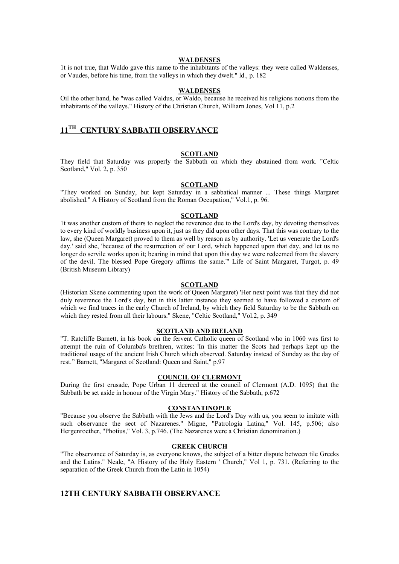#### **WALDENSES**

1t is not true, that Waldo gave this name to the inhabitants of the valleys: they were called Waldenses, or Vaudes, before his time, from the valleys in which they dwelt." ld., p. 182

#### **WALDENSES**

Oil the other hand, he "was called Valdus, or Waldo, because he received his religions notions from the inhabitants of the valleys." History of the Christian Church, Williarn Jones, Vol 11, p.2

## **11TH CENTURY SABBATH OBSERVANCE**

#### **SCOTLAND**

They field that Saturday was properly the Sabbath on which they abstained from work. "Celtic Scotland," Vol. 2, p. 350

#### **SCOTLAND**

"They worked on Sunday, but kept Saturday in a sabbatical manner ... These things Margaret abolished." A History of Scotland from the Roman Occupation," Vol.1, p. 96.

### **SCOTLAND**

1t was another custom of theirs to neglect the reverence due to the Lord's day, by devoting themselves to every kind of worldly business upon it, just as they did upon other days. That this was contrary to the law, she (Queen Margaret) proved to them as well by reason as by authority. 'Let us venerate the Lord's day.' said she, 'because of the resurrection of our Lord, which happened upon that day, and let us no longer do servile works upon it; bearing in mind that upon this day we were redeemed from the slavery of the devil. The blessed Pope Gregory affirms the same."' Life of Saint Margaret, Turgot, p. 49 (British Museum Library)

#### **SCOTLAND**

(Historian Skene commenting upon the work of Queen Margaret) 'Her next point was that they did not duly reverence the Lord's day, but in this latter instance they seemed to have followed a custom of which we find traces in the early Church of Ireland, by which they field Saturday to be the Sabbath on which they rested from all their labours." Skene, "Celtic Scotland," Vol.2, p. 349

## **SCOTLAND AND IRELAND**

"T. Ratcliffe Barnett, in his book on the fervent Catholic queen of Scotland who in 1060 was first to attempt the ruin of Columba's brethren, writes: 'In this matter the Scots had perhaps kept up the traditional usage of the ancient Irish Church which observed. Saturday instead of Sunday as the day of rest." Barnett, "Margaret of Scotland: Queen and Saint," p.97

#### **COUNCIL OF CLERMONT**

During the first crusade, Pope Urban 11 decreed at the council of Clermont (A.D. 1095) that the Sabbath be set aside in honour of the Virgin Mary." History of the Sabbath, p.672

### **CONSTANTINOPLE**

"Because you observe the Sabbath with the Jews and the Lord's Day with us, you seem to imitate with such observance the sect of Nazarenes." Migne, "Patrologia Latina," Vol. 145, p.506; also Hergenroether, "Photius," Vol. 3, p.746. (The Nazarenes were a Christian denomination.)

### **GREEK CHURCH**

"The observance of Saturday is, as everyone knows, the subject of a bitter dispute between tile Greeks and the Latins." Neale, "A History of the Holy Eastern ' Church," Vol 1, p. 731. (Referring to the separation of the Greek Church from the Latin in 1054)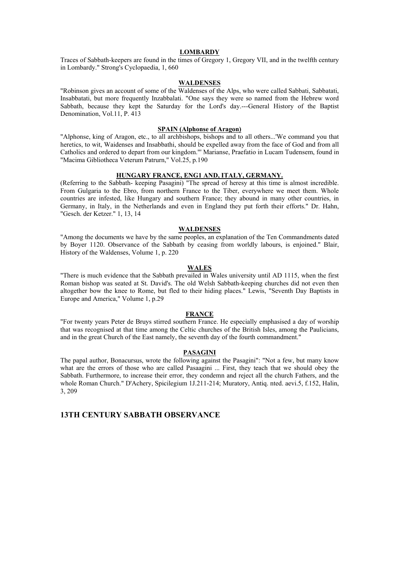#### **LOMBARDY**

Traces of Sabbath-keepers are found in the times of Gregory 1, Gregory VII, and in the twelfth century in Lombardy." Strong's Cyclopaedia, 1, 660

### **WALDENSES**

"Robinson gives an account of some of the Waldenses of the Alps, who were called Sabbati, Sabbatati, Insabbatati, but more frequently Inzabbalati. "One says they were so named from the Hebrew word Sabbath, because they kept the Saturday for the Lord's day.---General History of the Baptist Denomination, Vol.11, P. 413

## **SPAIN (Alphonse of Aragon)**

"Alphonse, king of Aragon, etc., to all archbishops, bishops and to all others...'We command you that heretics, to wit. Waidenses and Insabbathi, should be expelled away from the face of God and from all Catholics and ordered to depart from our kingdom."' Marianse, Praefatio in Lucam Tudensem, found in "Macima Gibliotheca Veterum Patrurn," Vol.25, p.190

### **HUNGARY FRANCE, ENG1 AND, ITALY, GERMANY.**

(Referring to the Sabbath- keeping Pasagini) "The spread of heresy at this time is almost incredible. From Gulgaria to the Ebro, from northern France to the Tiber, everywhere we meet them. Whole countries are infested, like Hungary and southern France; they abound in many other countries, in Germany, in Italy, in the Netherlands and even in England they put forth their efforts." Dr. Hahn, "Gesch. der Ketzer." 1, 13, 14

### **WALDENSES**

"Among the documents we have by the same peoples, an explanation of the Ten Commandments dated by Boyer 1120. Observance of the Sabbath by ceasing from worldly labours, is enjoined." Blair, History of the Waldenses, Volume 1, p. 220

#### **WALES**

"There is much evidence that the Sabbath prevailed in Wales university until AD 1115, when the first Roman bishop was seated at St. David's. The old Welsh Sabbath-keeping churches did not even then altogether bow the knee to Rome, but fled to their hiding places." Lewis, "Seventh Day Baptists in Europe and America," Volume 1, p.29

## **FRANCE**

"For twenty years Peter de Bruys stirred southern France. He especially emphasised a day of worship that was recognised at that time among the Celtic churches of the British Isles, among the Paulicians, and in the great Church of the East namely, the seventh day of the fourth commandment."

#### **PASAGINI**

The papal author, Bonacursus, wrote the following against the Pasagini": "Not a few, but many know what are the errors of those who are called Pasaagini ... First, they teach that we should obey the Sabbath. Furthermore, to increase their error, they condemn and reject all the church Fathers, and the whole Roman Church." D'Achery, Spicilegium 1J.211-214; Muratory, Antiq. nted. aevi.5, f.152, Halin, 3, 209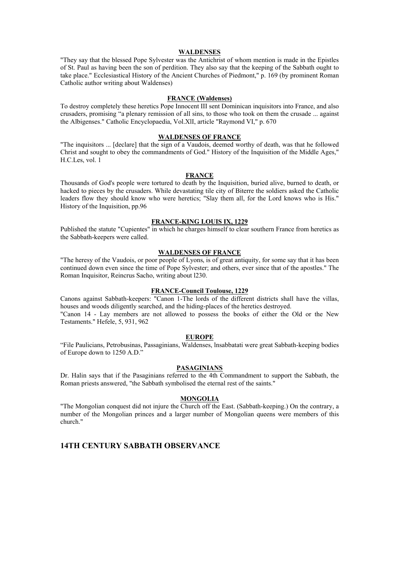#### **WALDENSES**

"They say that the blessed Pope Sylvester was the Antichrist of whom mention is made in the Epistles of St. Paul as having been the son of perdition. They also say that the keeping of the Sabbath ought to take place." Ecclesiastical History of the Ancient Churches of Piedmont," p. 169 (by prominent Roman Catholic author writing about Waldenses)

## **FRANCE (Waldenses)**

To destroy completely these heretics Pope Innocent III sent Dominican inquisitors into France, and also crusaders, promising "a plenary remission of all sins, to those who took on them the crusade ... against the Albigenses." Catholic Encyclopaedia, Vol.XlI, article "Raymond VI," p. 670

## **WALDENSES OF FRANCE**

"The inquisitors ... [declare] that the sign of a Vaudois, deemed worthy of death, was that he followed Christ and sought to obey the commandments of God." History of the Inquisition of the Middle Ages," H.C.Les, vol. 1

#### **FRANCE**

Thousands of God's people were tortured to death by the Inquisition, buried alive, burned to death, or hacked to pieces by the crusaders. While devastating tile city of Biterre the soldiers asked the Catholic leaders flow they should know who were heretics; "Slay them all, for the Lord knows who is His." History of the Inquisition, pp.96

### **FRANCE-KING LOUIS IX, 1229**

Published the statute "Cupientes" in which he charges himself to clear southern France from heretics as the Sabbath-keepers were called.

### **WALDENSES OF FRANCE**

"The heresy of the Vaudois, or poor people of Lyons, is of great antiquity, for some say that it has been continued down even since the time of Pope Sylvester; and others, ever since that of the apostles." The Roman Inquisitor, Reincrus Sacho, writing about l230.

## **FRANCE-Council Toulouse, 1229**

Canons against Sabbath-keepers: "Canon 1-The lords of the different districts shall have the villas, houses and woods diligently searched, and the hiding-places of the heretics destroyed. "Canon 14 - Lay members are not allowed to possess the books of either the Old or the New Testaments." Hefele, 5, 931, 962

#### **EUROPE**

"File Paulicians, Petrobusinas, Passaginians, Waldenses, lnsabbatati were great Sabbath-keeping bodies of Europe down to 1250 A.D."

#### **PASAGINIANS**

Dr. Halin says that if the Pasaginians referred to the 4th Commandment to support the Sabbath, the Roman priests answered, "the Sabbath symbolised the eternal rest of the saints."

### **MONGOLIA**

"The Mongolian conquest did not injure the Church off the East. (Sabbath-keeping.) On the contrary, a number of the Mongolian princes and a larger number of Mongolian queens were members of this church."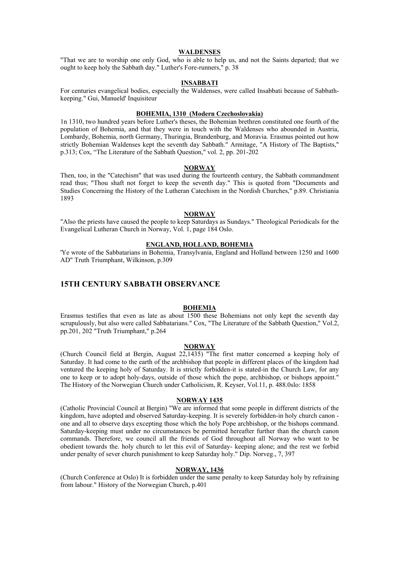#### **WALDENSES**

"That we are to worship one only God, who is able to help us, and not the Saints departed; that we ought to keep holy the Sabbath day." Luther's Fore-runners," p. 38

#### **INSABBATI**

For centuries evangelical bodies, especially the Waldenses, were called Insabbati because of Sabbathkeeping." Gui, Manueld' Inquisiteur

## **BOHEMIA, 1310 (Modern Czechoslovakia)**

1n 1310, two hundred years before Luther's theses, the Bohemian brethren constituted one fourth of the population of Bohemia, and that they were in touch with the Waldenses who abounded in Austria, Lombardy, Bohemia, north Germany, Thuringia, Brandenburg, and Moravia. Erasmus pointed out how strictly Bohemian Waldenses kept the seventh day Sabbath." Armitage, "A History of The Baptists," p.313; Cox, "The Literature of the Sabbath Question," vol. 2, pp. 201-202

### **NORWAY**

Then, too, in the "Catechism" that was used during the fourteenth century, the Sabbath commandment read thus; "Thou shaft not forget to keep the seventh day." This is quoted from "Documents and Studies Concerning the History of the Lutheran Catechism in the Nordish Churches," p.89. Christiania 1893

### **NORWAY**

"Also the priests have caused the people to keep Saturdays as Sundays." Theological Periodicals for the Evangelical Lutheran Church in Norway, Vol. 1, page 184 Oslo.

## **ENGLAND, HOLLAND, BOHEMIA**

'Ye wrote of the Sabbatarians in Bohemia, Transylvania, England and Holland between 1250 and 1600 AD" Truth Triumphant, Wilkinson, p.309

## **15TH CENTURY SABBATH OBSERVANCE**

#### **BOHEMIA**

Erasmus testifies that even as late as about 1500 these Bohemians not only kept the seventh day scrupulously, but also were called Sabbatarians." Cox, "The Literature of the Sabbath Question," Vol.2, pp.201, 202 "Truth Triumphant," p.264

## **NORWAY**

(Church Council field at Bergin, August 22,1435) "The first matter concerned a keeping holy of Saturday. It had come to the earth of the archbishop that people in different places of the kingdom had ventured the keeping holy of Saturday. It is strictly forbidden-it is stated-in the Church Law, for any one to keep or to adopt holy-days, outside of those which the pope, archbishop, or bishops appoint." The History of the Norwegian Church under Catholicism, R. Keyser, Vol.11, p. 488.0slo: 1858

#### **NORWAY 1435**

(Catholic Provincial Council at Bergin) "We are informed that some people in different districts of the kingdom, have adopted and observed Saturday-keeping. It is severely forbidden-in holy church canon one and all to observe days excepting those which the holy Pope archbishop, or the bishops command. Saturday-keeping must under no circumstances be permitted hereafter further than the church canon commands. Therefore, we council all the friends of God throughout all Norway who want to be obedient towards the. holy church to let this evil of Saturday- keeping alone; and the rest we forbid under penalty of sever church punishment to keep Saturday holy." Dip. Norveg., 7, 397

### **NORWAY, 1436**

(Church Conference at Oslo) It is forbidden under the same penalty to keep Saturday holy by refraining from labour." History of the Norwegian Church, p.401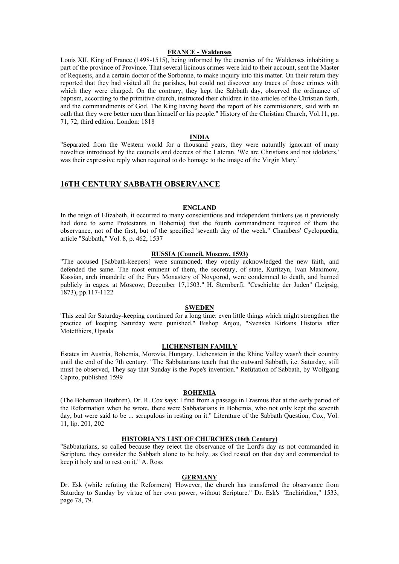#### **FRANCE - Waldenses**

Louis XII, King of France (1498-1515), being informed by the enemies of the Waldenses inhabiting a part of the province of Province. That several licinous crimes were laid to their account, sent the Master of Requests, and a certain doctor of the Sorbonne, to make inquiry into this matter. On their return they reported that they had visited all the parishes, but could not discover any traces of those crimes with which they were charged. On the contrary, they kept the Sabbath day, observed the ordinance of baptism, according to the primitive church, instructed their children in the articles of the Christian faith, and the commandments of God. The King having heard the report of his commisioners, said with an oath that they were better men than himself or his people." History of the Christian Church, Vol.11, pp. 71, 72, third edition. London: 1818

### **INDIA**

"Separated from the Western world for a thousand years, they were naturally ignorant of many novelties introduced by the councils and decrees of the Lateran. 'We are Christians and not idolaters,' was their expressive reply when required to do homage to the image of the Virgin Mary.`

## **16TH CENTURY SABBATH OBSERVANCE**

#### **ENGLAND**

In the reign of Elizabeth, it occurred to many conscientious and independent thinkers (as it previously had done to some Protestants in Bohemia) that the fourth commandment required of them the observance, not of the first, but of the specified 'seventh day of the week." Chambers' Cyclopaedia, article "Sabbath," Vol. 8, p. 462, 1537

## **RUSSIA (Council, Moscow, 1593)**

"The accused [Sabbath-keepers] were summoned; they openly acknowledged the new faith, and defended the same. The most eminent of them, the secretary, of state, Kuritzyn, lvan Maximow, Kassian, arch irnandrilc of the Fury Monastery of Novgorod, were condemned to death, and burned publicly in cages, at Moscow; December 17,1503." H. Sternberfi, "Ceschichte der Juden" (Lcipsig, 1873), pp.117-1122

#### **SWEDEN**

'This zeal for Saturday-keeping continued for a long time: even little things which might strengthen the practice of keeping Saturday were punished." Bishop Anjou, "Svenska Kirkans Historia after Motetthiers, Upsala

### **LICHENSTEIN FAMILY**

Estates im Austria, Bohemia, Morovia, Hungary. Lichenstein in the Rhine Valley wasn't their country until the end of the 7th century. "The Sabbatarians teach that the outward Sabbath, i.e. Saturday, still must be observed, They say that Sunday is the Pope's invention." Refutation of Sabbath, by Wolfgang Capito, published 1599

### **BOHEMIA**

(The Bohemian Brethren). Dr. R. Cox says: I find from a passage in Erasmus that at the early period of the Reformation when he wrote, there were Sabbatarians in Bohemia, who not only kept the seventh day, but were said to be ... scrupulous in resting on it." Literature of the Sabbath Question, Cox, Vol. 11, lip. 201, 202

#### **HISTORIAN'S LIST OF CHURCHES (16th Century)**

"Sabbatarians, so called because they reject the observance of the Lord's day as not commanded in Scripture, they consider the Sabbath alone to be holy, as God rested on that day and commanded to keep it holy and to rest on it." A. Ross

#### **GERMANY**

Dr. Esk (while refuting the Reformers) 'However, the church has transferred the observance from Saturday to Sunday by virtue of her own power, without Scripture." Dr. Esk's "Enchiridion," 1533, page 78, 79.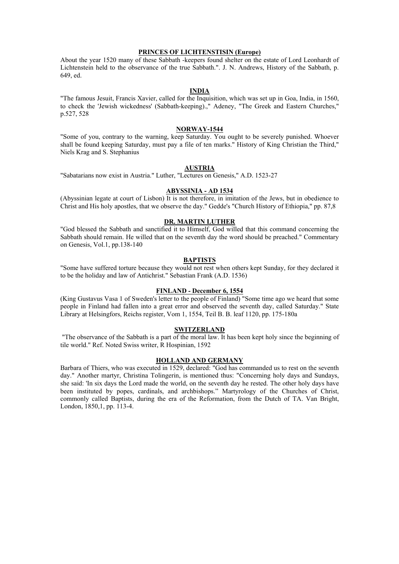### **PRINCES OF LICHTENSTISIN (Europe)**

About the year 1520 many of these Sabbath -keepers found shelter on the estate of Lord Leonhardt of Lichtenstein held to the observance of the true Sabbath.". J. N. Andrews, History of the Sabbath, p. 649, ed.

#### **INDIA**

"The famous Jesuit, Francis Xavier, called for the Inquisition, which was set up in Goa, India, in 1560, to check the 'Jewish wickedness' (Sabbath-keeping).," Adeney, "The Greek and Eastern Churches," p.527, 528

### **NORWAY-1544**

"Some of you, contrary to the warning, keep Saturday. You ought to be severely punished. Whoever shall be found keeping Saturday, must pay a file of ten marks." History of King Christian the Third," Niels Krag and S. Stephanius

#### **AUSTRIA**

"Sabatarians now exist in Austria." Luther, "Lectures on Genesis," A.D. 1523-27

#### **ABYSSINIA - AD 1534**

(Abyssinian legate at court of Lisbon) It is not therefore, in imitation of the Jews, but in obedience to Christ and His holy apostles, that we observe the day." Gedde's "Church History of Ethiopia," pp. 87,8

#### **DR. MARTIN LUTHER**

"God blessed the Sabbath and sanctified it to Himself, God willed that this command concerning the Sabbath should remain. He willed that on the seventh day the word should be preached." Commentary on Genesis, Vol.1, pp.138-140

### **BAPTISTS**

"Some have suffered torture because they would not rest when others kept Sunday, for they declared it to be the holiday and law of Antichrist." Sebastian Frank (A.D. 1536)

## **FINLAND - December 6, 1554**

(King Gustavus Vasa 1 of Sweden's letter to the people of Finland) "Some time ago we heard that some people in Finland had fallen into a great error and observed the seventh day, called Saturday." State Library at Helsingfors, Reichs register, Vom 1, 1554, Teil B. B. leaf 1120, pp. 175-180a

### **SWITZERLAND**

 "The observance of the Sabbath is a part of the moral law. It has been kept holy since the beginning of tile world." Ref. Noted Swiss writer, R Hospinian, 1592

#### **HOLLAND AND GERMANY**

Barbara of Thiers, who was executed in 1529, declared: "God has commanded us to rest on the seventh day." Another martyr, Christina Tolingerin, is mentioned thus: "Concerning holy days and Sundays, she said: 'In six days the Lord made the world, on the seventh day he rested. The other holy days have been instituted by popes, cardinals, and archbishops." Martyrology of the Churches of Christ, commonly called Baptists, during the era of the Reformation, from the Dutch of TA. Van Bright, London, 1850,1, pp. 113-4.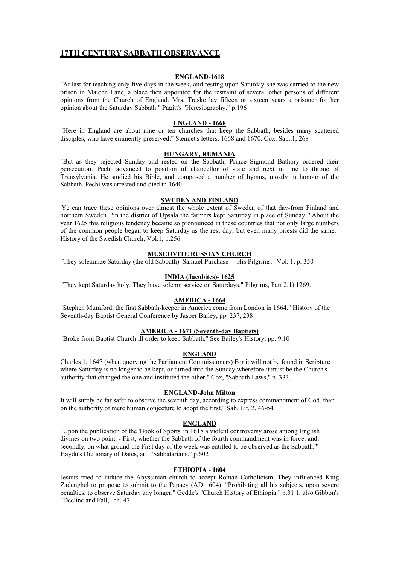# **17TH CENTURY SABBATH OBSERVANCE**

## **ENGLAND-1618**

"At last for teaching only five days in the week, and resting upon Saturday she was carried to the new prison in Maiden Lane, a place then appointed for the restraint of several other persons of different opinions from the Church of England. Mrs. Traske lay fifteen or sixteen years a prisoner for her opinion about the Saturday Sabbath." Pagitt's "Heresiography." p.196

#### **ENGLAND - 1668**

"Here in England are about nine or ten churches that keep the Sabbath, besides many scattered disciples, who have eminently preserved." Stennet's letters, 1668 and 1670. Cox, Sab.,1, 268

### **HUNGARY, RUMANIA**

"But as they rejected Sunday and rested on the Sabbath, Prince Sigmond Bathory ordered their persecution. Pechi advanced to position of chancellor of state and next in line to throne of Transylvania. He studied his Bible, and composed a number of hymns, mostly in honour of the Sabbath. Pechi was arrested and died in 1640.

### **SWEDEN AND FINLAND**

'Ye can trace these opinions over almost the whole extent of Sweden of that day-from Finland and northern Sweden. "in the district of Upsala the farmers kept Saturday in place of Sunday. "About the year 1625 this religious tendency became so pronounced in these countries that not only large numbers of the common people began to keep Saturday as the rest day, but even many priests did the same." History of the Swedish Church, Vol.1, p.256

## **MUSCOVITE RUSSIAN CHURCH**

"They solemnize Saturday (the old Sabbath). Samuel Purchase - "His Pilgrims." Vol. 1, p. 350

### **INDIA (Jacobites)- 1625**

"They kept Saturday holy. They have solemn service on Saturdays." Pilgrims, Part 2,1).1269.

## **AMERICA - 1664**

"Stephen Mumford, the first Sabbath-keeper in America come from London in 1664." History of the Seventh-day Baptist General Conference by Jasper Bailey, pp. 237, 238

## **AMERICA - 1671 (Seventh-day Baptists)**

"Broke front Baptist Church ill order to keep Sabbath." See Bailey's History, pp. 9,10

#### **ENGLAND**

Charles 1, 1647 (when querying the Parliament Commissioners) For it will not be found in Scripture where Saturday is no longer to be kept, or turned into the Sunday wherefore it must be the Church's authority that changed the one and instituted the other." Cox, "Sabbath Laws," p. 333.

### **ENGLAND-John Milton**

It will surely be far safer to observe the seventh day, according to express commandment of God, than on the authority of mere human conjecture to adopt the first." Sab. Lit. 2, 46-54

### **ENGLAND**

"Upon the publication of the 'Book of Sports' in 1618 a violent controversy arose among English divines on two point. - First, whether the Sabbath of the fourth commandment was in force; and, secondly, on what ground the First day of the week was entitled to be observed as the Sabbath."' Haydn's Dictionary of Dates, art. "Sabbatarians." p.602

### **ETHIOPIA - 1604**

Jesuits tried to induce the Abyssinian church to accept Roman Catholicism. They influenced King Zadenghel to propose to submit to the Papacy (AD 1604). "Prohibiting all his subjects, upon severe penalties, to observe Saturday any longer." Gedde's "Church History of Ethiopia." p.31 1, also Gibbon's "Decline and Fall," ch. 47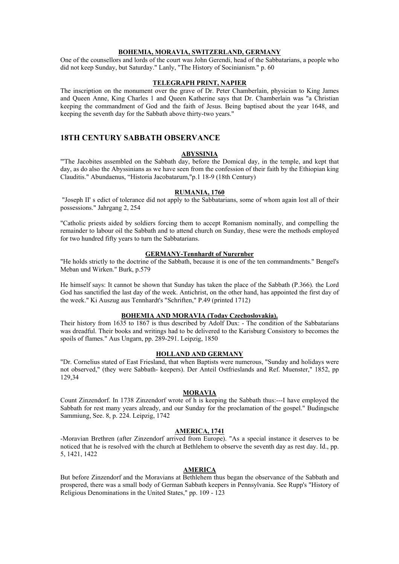#### **BOHEMIA, MORAVIA, SWITZERLAND, GERMANY**

One of the counsellors and lords of the court was John Gerendi, head of the Sabbatarians, a people who did not keep Sunday, but Saturday." Lanly, "The History of Socinianism." p. 60

#### **TELEGRAPH PRINT, NAPIER**

The inscription on the monument over the grave of Dr. Peter Chamberlain, physician to King James and Queen Anne, King Charles 1 and Queen Katherine says that Dr. Chamberlain was "a Christian keeping the commandment of God and the faith of Jesus. Being baptised about the year 1648, and keeping the seventh day for the Sabbath above thirty-two years."

## **18TH CENTURY SABBATH OBSERVANCE**

### **ABYSSINIA**

"'The Jacobites assembled on the Sabbath day, before the Domical day, in the temple, and kept that day, as do also the Abyssinians as we have seen from the confession of their faith by the Ethiopian king Clauditis." Abundaenus, "Historia Jacobatarum,"p.1 18-9 (18th Century)

#### **RUMANIA, 1760**

 "Joseph II' s edict of tolerance did not apply to the Sabbatarians, some of whom again lost all of their possessions." Jahrgang 2, 254

"Catholic priests aided by soldiers forcing them to accept Romanism nominally, and compelling the remainder to labour oil the Sabbath and to attend church on Sunday, these were the methods employed for two hundred fifty years to turn the Sabbatarians.

## **GERMANY-Tennhardt of Nurernber**

"He holds strictly to the doctrine of the Sabbath, because it is one of the ten commandments." Bengel's Meban und Wirken." Burk, p.579

He himself says: It cannot be shown that Sunday has taken the place of the Sabbath (P.366). the Lord God has sanctified the last day of the week. Antichrist, on the other hand, has appointed the first day of the week." Ki Auszug aus Tennhardt's "Schriften," P.49 (printed 1712)

### **BOHEMIA AND MORAVIA (Today Czechoslovakia).**

Their history from 1635 to 1867 is thus described by Adolf Dux: - The condition of the Sabbatarians was dreadful. Their books and writings had to be delivered to the Karisburg Consistory to becomes the spoils of flames." Aus Ungarn, pp. 289-291. Leipzig, 1850

#### **HOLLAND AND GERMANY**

"Dr. Cornelius stated of East Friesland, that when Baptists were numerous, "Sunday and holidays were not observed," (they were Sabbath- keepers). Der Anteil Ostfrieslands and Ref. Muenster," 1852, pp 129,34

### **MORAVIA**

Count Zinzendorf. In 1738 Zinzendorf wrote of h is keeping the Sabbath thus:---I have employed the Sabbath for rest many years already, and our Sunday for the proclamation of the gospel." Budingsche Sammiung, See. 8, p. 224. Leipzig, 1742

#### **AMERICA, 1741**

-Moravian Brethren (after Zinzendorf arrived from Europe). "As a special instance it deserves to be noticed that he is resolved with the church at Bethlehem to observe the seventh day as rest day. Id., pp. 5, 1421, 1422

### **AMERICA**

But before Zinzendorf and the Moravians at Bethlehem thus began the observance of the Sabbath and prospered, there was a small body of German Sabbath keepers in Pennsylvania. See Rupp's "History of Religious Denominations in the United States," pp. 109 - 123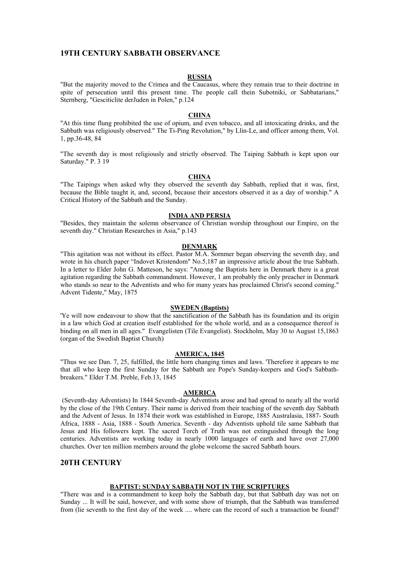## **19TH CENTURY SABBATH OBSERVANCE**

## **RUSSIA**

"But the majority moved to the Crimea and the Caucasus, where they remain true to their doctrine in spite of persecution until this present time. The people call thein Subotniki, or Sabbatarians," Sternberg, "Gesciticlite derJuden in Polen," p.124

#### **CHINA**

"At this time flung prohibited the use of opium, and even tobacco, and all intoxicating drinks, and the Sabbath was religiously observed." The Ti-Ping Revolution," by Llin-Le, and officer among them, Vol. 1, pp.36-48, 84

"The seventh day is most religiously and strictly observed. The Taiping Sabbath is kept upon our Saturday." P. 3 19

#### **CHINA**

"The Taipings when asked why they observed the seventh day Sabbath, replied that it was, first, because the Bible taught it, and, second, because their ancestors observed it as a day of worship." A Critical History of the Sabbath and the Sunday.

### **INDIA AND PERSIA**

"Besides, they maintain the solemn observance of Christian worship throughout our Empire, on the seventh day." Christian Researches in Asia," p.143

## **DENMARK**

"This agitation was not without its effect. Pastor M.A. Sornmer began observing the seventh day, and wrote in his church paper "Indovet Kristendom" No.5,187 an impressive article about the true Sabbath. In a letter to Elder John G. Matteson, he says: "Among the Baptists here in Denmark there is a great agitation regarding the Sabbath commandment. However, 1 am probably the only preacher in Denmark who stands so near to the Adventists and who for many years has proclaimed Christ's second coming." Advent Tidente," May, 1875

### **SWEDEN (Baptists)**

'Ye will now endeavour to show that the sanctification of the Sabbath has its foundation and its origin in a law which God at creation itself established for the whole world, and as a consequence thereof is binding on all men in all ages." Evangelisten (Tile Evangelist). Stockholm, May 30 to August 15,1863 (organ of the Swedish Baptist Church)

### **AMERICA, 1845**

"Thus we see Dan. 7, 25, fulfilled, the little horn changing times and laws. 'Therefore it appears to me that all who keep the first Sunday for the Sabbath are Pope's Sunday-keepers and God's Sabbathbreakers." Elder T.M. Preble, Feb.13, 1845

### **AMERICA**

 (Seventh-day Adventists) In 1844 Seventh-day Adventists arose and had spread to nearly all the world by the close of the 19th Century. Their name is derived from their teaching of the seventh day Sabbath and the Advent of Jesus. In 1874 their work was established in Europe, 1885 Australasia, 1887- South Africa, 1888 - Asia, 1888 - South America. Seventh - day Adventists uphold tile same Sabbath that Jesus and His followers kept. The sacred Torch of Truth was not extinguished through the long centuries. Adventists are working today in nearly 1000 languages of earth and have over 27,000 churches. Over ten million members around the globe welcome the sacred Sabbath hours.

## **20TH CENTURY**

### **BAPTIST: SUNDAY SABBATH NOT IN THE SCRIPTURES**

"There was and is a commandment to keep holy the Sabbath day, but that Sabbath day was not on Sunday ... It will be said, however, and with some show of triumph, that the Sabbath was transferred from (lie seventh to the first day of the week .... where can the record of such a transaction be found?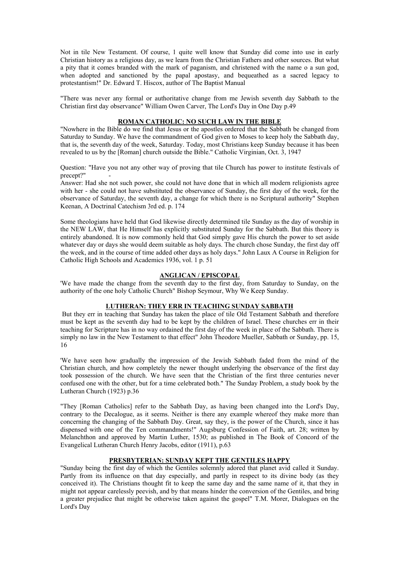Not in tile New Testament. Of course, 1 quite well know that Sunday did come into use in early Christian history as a religious day, as we learn from the Christian Fathers and other sources. But what a pity that it comes branded with the mark of paganism, and christened with the name o a sun god, when adopted and sanctioned by the papal apostasy, and bequeathed as a sacred legacy to protestantism!" Dr. Edward T. Hiscox, author of The Baptist Manual

"There was never any formal or authoritative change from me Jewish seventh day Sabbath to the Christian first day observance" William Owen Carver, The Lord's Day in One Day p.49

## **ROMAN CATHOLIC: NO SUCH LAW IN THE BIBLE**

"Nowhere in the Bible do we find that Jesus or the apostles ordered that the Sabbath be changed from Saturday to Sunday. We have the commandment of God given to Moses to keep holy the Sabbath day, that is, the seventh day of the week, Saturday. Today, most Christians keep Sunday because it has been revealed to us by the [Roman] church outside the Bible." Catholic Virginian, Oct. 3, 1947

Question: "Have you not any other way of proving that tile Church has power to institute festivals of precept?"

Answer: Had she not such power, she could not have done that in which all modern religionists agree with her - she could not have substituted the observance of Sunday, the first day of the week, for the observance of Saturday, the seventh day, a change for which there is no Scriptural authority" Stephen Keenan, A Doctrinal Catechism 3rd ed. p. 174

Some theologians have held that God likewise directly determined tile Sunday as the day of worship in the NEW LAW, that He Himself has explicitly substituted Sunday for the Sabbath. But this theory is entirely abandoned. It is now commonly held that God simply gave His church the power to set aside whatever day or days she would deem suitable as holy days. The church chose Sunday, the first day off the week, and in the course of time added other days as holy days." John Laux A Course in Religion for Catholic High Schools and Academics 1936, vol. 1 p. 51

## **ANGLICAN / EPISCOPAL**

'We have made the change from the seventh day to the first day, from Saturday to Sunday, on the authority of the one holy Catholic Church" Bishop Seymour, Why We Keep Sunday.

## **LUTHERAN: THEY ERR IN TEACHING SUNDAY SABBATH**

 But they err in teaching that Sunday has taken the place of tile Old Testament Sabbath and therefore must be kept as the seventh day had to be kept by the children of Israel. These churches err in their teaching for Scripture has in no way ordained the first day of the week in place of the Sabbath. There is simply no law in the New Testament to that effect" John Theodore Mueller, Sabbath or Sunday, pp. 15, 16

'We have seen how gradually the impression of the Jewish Sabbath faded from the mind of the Christian church, and how completely the newer thought underlying the observance of the first day took possession of the church. We have seen that the Christian of the first three centuries never confused one with the other, but for a time celebrated both." The Sunday Problem, a study book by the Lutheran Church (1923) p.36

"They [Roman Catholics] refer to the Sabbath Day, as having been changed into the Lord's Day, contrary to the Decalogue, as it seems. Neither is there any example whereof they make more than concerning the changing of the Sabbath Day. Great, say they, is the power of the Church, since it has dispensed with one of the Ten commandments!" Augsburg Confession of Faith, art. 28; written by Melanchthon and approved by Martin Luther, 1530; as published in The Book of Concord of the Evangelical Lutheran Church Henry Jacobs, editor (1911), p.63

## **PRESBYTERIAN: SUNDAY KEPT THE GENTILES HAPPY**

"Sunday being the first day of which the Gentiles solemnly adored that planet avid called it Sunday. Partly from its influence on that day especially, and partly in respect to its divine body (as they conceived it). The Christians thought fit to keep the same day and the same name of it, that they in might not appear carelessly peevish, and by that means hinder the conversion of the Gentiles, and bring a greater prejudice that might be otherwise taken against the gospel" T.M. Morer, Dialogues on the Lord's Day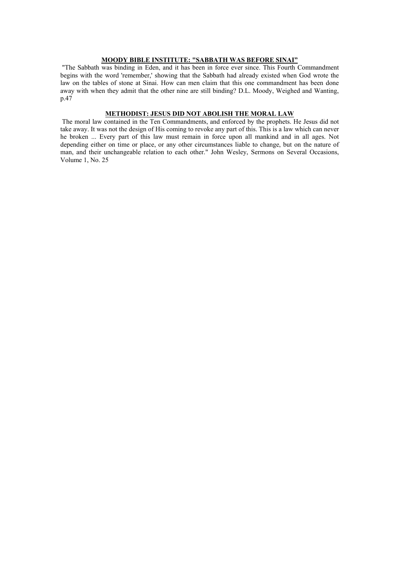#### **MOODY BIBLE INSTITUTE: "SABBATH WAS BEFORE SINAI"**

 "The Sabbath was binding in Eden, and it has been in force ever since. This Fourth Commandment begins with the word 'remember,' showing that the Sabbath had already existed when God wrote the law on the tables of stone at Sinai. How can men claim that this one commandment has been done away with when they admit that the other nine are still binding? D.L. Moody, Weighed and Wanting, p.47

## **METHODIST: JESUS DID NOT ABOLISH THE MORAL LAW**

 The moral law contained in the Ten Commandments, and enforced by the prophets. He Jesus did not take away. It was not the design of His coming to revoke any part of this. This is a law which can never he broken ... Every part of this law must remain in force upon all mankind and in all ages. Not depending either on time or place, or any other circumstances liable to change, but on the nature of man, and their unchangeable relation to each other." John Wesley, Sermons on Several Occasions, Volume 1, No. 25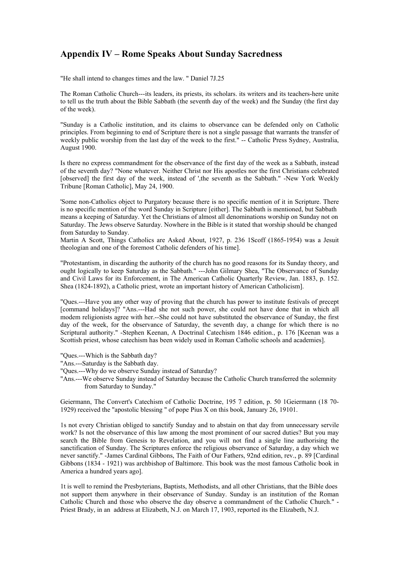# **Appendix IV – Rome Speaks About Sunday Sacredness**

"He shall intend to changes times and the law. " Daniel 7J.25

The Roman Catholic Church---its leaders, its priests, its scholars. its writers and its teachers-here unite to tell us the truth about the Bible Sabbath (the seventh day of the week) and fhe Sunday (the first day of the week).

"Sunday is a Catholic institution, and its claims to observance can be defended only on Catholic principles. From beginning to end of Scripture there is not a single passage that warrants the transfer of weekly public worship from the last day of the week to the first." -- Catholic Press Sydney, Australia, August 1900.

Is there no express commandment for the observance of the first day of the week as a Sabbath, instead of the seventh day? "None whatever. Neither Christ nor His apostles nor the first Christians celebrated [observed] the first day of the week, instead of ',the seventh as the Sabbath." -New York Weekly Tribune [Roman Catholic], May 24, 1900.

'Some non-Catholics object to Purgatory because there is no specific mention of it in Scripture. There is no specific mention of the word Sunday in Scripture [either]. The Sabbath is mentioned, but Sabbath means a keeping of Saturday. Yet the Christians of almost all denominations worship on Sunday not on Saturday. The Jews observe Saturday. Nowhere in the Bible is it stated that worship should be changed from Saturday to Sunday.

Martin A Scott, Things Catholics are Asked About, 1927, p. 236 1Scoff (1865-1954) was a Jesuit theologian and one of the foremost Catholic defenders of his time].

"Protestantism, in discarding the authority of the church has no good reasons for its Sunday theory, and ought logically to keep Saturday as the Sabbath." ---John Gilmary Shea, "The Observance of Sunday and Civil Laws for its Enforcement, in The American Catholic Quarterly Review, Jan. 1883, p. 152. Shea (1824-1892), a Catholic priest, wrote an important history of American Catholicism].

"Ques.---Have you any other way of proving that the church has power to institute festivals of precept [command holidays]? "Ans.---Had she not such power, she could not have done that in which all modem religionists agree with her.--She could not have substituted the observance of Sunday, the first day of the week, for the observance of Saturday, the seventh day, a change for which there is no Scriptural authority." -Stephen Keenan, A Doctrinal Catechism 1846 edition., p. 176 [Keenan was a Scottish priest, whose catechism has been widely used in Roman Catholic schools and academies].

"Ques.---Which is the Sabbath day?

"Ans.---Saturday is the Sabbath day.

- "Ques.---Why do we observe Sunday instead of Saturday?
- "Ans.---We observe Sunday instead of Saturday because the Catholic Church transferred the solemnity from Saturday to Sunday."

Geiermann, The Convert's Catechism of Catholic Doctrine, 195 7 edition, p. 50 1Geiermann (18 70- 1929) received the "apostolic blessing " of pope Pius X on this book, January 26, 19101.

1s not every Christian obliged to sanctify Sunday and to abstain on that day from unnecessary servile work? Is not the observance of this law among the most prominent of our sacred duties? But you may search the Bible from Genesis to Revelation, and you will not find a single line authorising the sanctification of Sunday. The Scriptures enforce the religious observance of Saturday, a day which we never sanctify." -James Cardinal Gibbons, The Faith of Our Fathers, 92nd edition, rev., p. 89 [Cardinal Gibbons (1834 - 1921) was archbishop of Baltimore. This book was the most famous Catholic book in America a hundred years ago].

1t is well to remind the Presbyterians, Baptists, Methodists, and all other Christians, that the Bible does not support them anywhere in their observance of Sunday. Sunday is an institution of the Roman Catholic Church and those who observe the day observe a commandment of the Catholic Church." - Priest Brady, in an address at Elizabeth, N.J. on March 17, 1903, reported its the Elizabeth, N.J.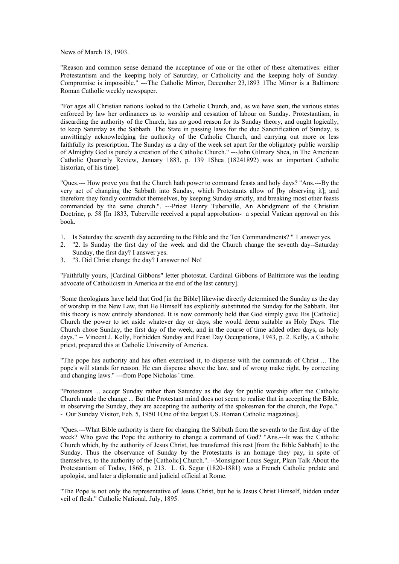News of March 18, 1903.

"Reason and common sense demand the acceptance of one or the other of these alternatives: either Protestantism and the keeping holy of Saturday, or Catholicity and the keeping holy of Sunday. Compromise is impossible." ---The Catholic Mirror, December 23,1893 1The Mirror is a Baltimore Roman Catholic weekly newspaper.

"For ages all Christian nations looked to the Catholic Church, and, as we have seen, the various states enforced by law her ordinances as to worship and cessation of labour on Sunday. Protestantism, in discarding the authority of the Church, has no good reason for its Sunday theory, and ought logically, to keep Saturday as the Sabbath. The State in passing laws for the due Sanctification of Sunday, is unwittingly acknowledging the authority of the Catholic Church, and carrying out more or less faithfully its prescription. The Sunday as a day of the week set apart for the obligatory public worship of Almighty God is purely a creation of the Catholic Church." ---John Gilmary Shea, in The American Catholic Quarterly Review, January 1883, p. 139 1Shea (18241892) was an important Catholic historian, of his time].

"Ques.--- How prove you that the Church hath power to command feasts and holy days? "Ans.---By the very act of changing the Sabbath into Sunday, which Protestants allow of [by observing it]; and therefore they fondly contradict themselves, by keeping Sunday strictly, and breaking most other feasts commanded by the same church.". ---Priest Henry Tuberville, An Abridgment of the Christian Doctrine, p. 58 [In 1833, Tuberville received a papal approbation- a special Vatican approval on this book.

- 1. Is Saturday the seventh day according to the Bible and the Ten Commandments? " 1 answer yes.
- 2. "2. Is Sunday the first day of the week and did the Church change the seventh day--Saturday Sunday, the first day? I answer yes.
- 3. "3. Did Christ change the day? I answer no! No!

"Faithfully yours, [Cardinal Gibbons" letter photostat. Cardinal Gibbons of Baltimore was the leading advocate of Catholicism in America at the end of the last century].

'Some theologians have held that God [in the Bible] likewise directly determined the Sunday as the day of worship in the New Law, that He Himself has explicitly substituted the Sunday for the Sabbath. But this theory is now entirely abandoned. It is now commonly held that God simply gave His [Catholic] Church the power to set aside whatever day or days, she would deem suitable as Holy Days. The Church chose Sunday, the first day of the week, and in the course of time added other days, as holy days." -- Vincent J. Kelly, Forbidden Sunday and Feast Day Occupations, 1943, p. 2. Kelly, a Catholic priest, prepared this at Catholic University of America.

"The pope has authority and has often exercised it, to dispense with the commands of Christ ... The pope's will stands for reason. He can dispense above the law, and of wrong make right, by correcting and changing laws." ---from Pope Nicholas ' time.

"Protestants ... accept Sunday rather than Saturday as the day for public worship after the Catholic Church made the change ... But the Protestant mind does not seem to realise that in accepting the Bible, in observing the Sunday, they are accepting the authority of the spokesman for the church, the Pope.". - Our Sunday Visitor, Feb. 5, 1950 1One of the largest US. Roman Catholic magazines].

"Ques.---What Bible authority is there for changing the Sabbath from the seventh to the first day of the week? Who gave the Pope the authority to change a command of God? "Ans.---It was the Catholic Church which, by the authority of Jesus Christ, has transferred this rest [from the Bible Sabbath] to the Sunday. Thus the observance of Sunday by the Protestants is an homage they pay, in spite of themselves, to the authority of the [Catholic] Church.". --Monsignor Louis Segur, Plain Talk About the Protestantism of Today, 1868, p. 213. L. G. Segur (1820-1881) was a French Catholic prelate and apologist, and later a diplomatic and judicial official at Rome.

"The Pope is not only the representative of Jesus Christ, but he is Jesus Christ Himself, hidden under veil of flesh." Catholic National, July, 1895.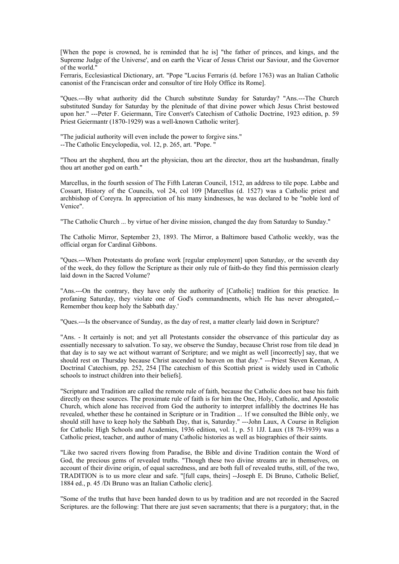[When the pope is crowned, he is reminded that he is] "the father of princes, and kings, and the Supreme Judge of the Universe', and on earth the Vicar of Jesus Christ our Saviour, and the Governor of the world."

Ferraris, Ecclesiastical Dictionary, art. "Pope "Lucius Ferraris (d. before 1763) was an Italian Catholic canonist of the Franciscan order and consultor of tire Holy Office its Rome].

"Ques.---By what authority did the Church substitute Sunday for Saturday? "Ans.---The Church substituted Sunday for Saturday by the plenitude of that divine power which Jesus Christ bestowed upon her." ---Peter F. Geiermann, Tire Convert's Catechism of Catholic Doctrine, 1923 edition, p. 59 Priest Geiermantr (1870-1929) was a well-known Catholic writer].

"The judicial authority will even include the power to forgive sins." --The Catholic Encyclopedia, vol. 12, p. 265, art. "Pope. "

"Thou art the shepherd, thou art the physician, thou art the director, thou art the husbandman, finally thou art another god on earth."

Marcellus, in the fourth session of The Fifth Lateran Council, 1512, an address to tile pope. Labbe and Cossart, History of the Councils, vol 24, col 109 [Marcellus (d. 1527) was a Catholic priest and archbishop of Coreyra. In appreciation of his many kindnesses, he was declared to be "noble lord of Venice".

"The Catholic Church ... by virtue of her divine mission, changed the day from Saturday to Sunday."

The Catholic Mirror, September 23, 1893. The Mirror, a Baltimore based Catholic weekly, was the official organ for Cardinal Gibbons.

"Ques.---When Protestants do profane work [regular employment] upon Saturday, or the seventh day of the week, do they follow the Scripture as their only rule of faith-do they find this permission clearly laid down in the Sacred Volume?

"Ans.---On the contrary, they have only the authority of [Catholic] tradition for this practice. In profaning Saturday, they violate one of God's commandments, which He has never abrogated,-- Remember thou keep holy the Sabbath day.'

"Ques.---Is the observance of Sunday, as the day of rest, a matter clearly laid down in Scripture?

"Ans. - It certainly is not; and yet all Protestants consider the observance of this particular day as essentially necessary to salvation. To say, we observe the Sunday, because Christ rose from tile dead )n that day is to say we act without warrant of Scripture; and we might as well [incorrectly] say, that we should rest on Thursday because Christ ascended to heaven on that day." ---Priest Steven Keenan, A Doctrinal Catechism, pp. 252, 254 [The catechism of this Scottish priest is widely used in Catholic schools to instruct children into their beliefs].

"Scripture and Tradition are called the remote rule of faith, because the Catholic does not base his faith directly on these sources. The proximate rule of faith is for him the One, Holy, Catholic, and Apostolic Church, which alone has received from God the authority to interpret infallibly the doctrines He has revealed, whether these he contained in Scripture or in Tradition ... 1f we consulted the Bible only, we should still have to keep holy the Sabbath Day, that is, Saturday." ---John Laux, A Course in Religion for Catholic High Schools and Academies, 1936 edition, vol. 1, p. 51 1JJ. Laux (18 78-1939) was a Catholic priest, teacher, and author of many Catholic histories as well as biographies of their saints.

"Like two sacred rivers flowing from Paradise, the Bible and divine Tradition contain the Word of God, the precious gems of revealed truths. "Though these two divine streams are in themselves, on account of their divine origin, of equal sacredness, and are both full of revealed truths, still, of the two, TRADITION is to us more clear and safe. "[full caps, theirs] --Joseph E. Di Bruno, Catholic Belief, 1884 ed., p. 45 /Di Bruno was an Italian Catholic cleric].

"Some of the truths that have been handed down to us by tradition and are not recorded in the Sacred Scriptures. are the following: That there are just seven sacraments; that there is a purgatory; that, in the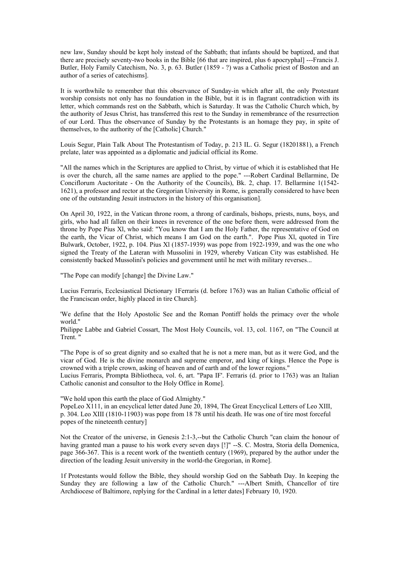new law, Sunday should be kept holy instead of the Sabbath; that infants should be baptized, and that there are precisely seventy-two books in the Bible [66 that are inspired, plus 6 apocryphal] ---Francis J. Butler, Holy Family Catechism, No. 3, p. 63. Butler (1859 - ?) was a Catholic priest of Boston and an author of a series of catechisms].

It is worthwhile to remember that this observance of Sunday-in which after all, the only Protestant worship consists not only has no foundation in the Bible, but it is in flagrant contradiction with its letter, which commands rest on the Sabbath, which is Saturday. It was the Catholic Church which, by the authority of Jesus Christ, has transferred this rest to the Sunday in remembrance of the resurrection of our Lord. Thus the observance of Sunday by the Protestants is an homage they pay, in spite of themselves, to the authority of the [Catholic] Church."

Louis Segur, Plain Talk About The Protestantism of Today, p. 213 IL. G. Segur (18201881), a French prelate, later was appointed as a diplomatic and judicial official its Rome.

"All the names which in the Scriptures are applied to Christ, by virtue of which it is established that He is over the church, all the same names are applied to the pope." ---Robert Cardinal Bellarmine, De Conciflorum Auctoritate - On the Authority of the Councils), Bk. 2, chap. 17. Bellarmine 1(1542- 1621), a professor and rector at the Gregorian University in Rome, is generally considered to have been one of the outstanding Jesuit instructors in the history of this organisation].

On April 30, 1922, in the Vatican throne room, a throng of cardinals, bishops, priests, nuns, boys, and girls, who had all fallen on their knees in reverence of the one before them, were addressed from the throne by Pope Pius Xl, who said: "You know that I am the Holy Father, the representative of God on the earth, the Vicar of Christ, which means I am God on the earth.". Pope Pius Xl, quoted in Tire Bulwark, October, 1922, p. 104. Pius Xl (1857-1939) was pope from 1922-1939, and was the one who signed the Treaty of the Lateran with Mussolini in 1929, whereby Vatican City was established. He consistently backed Mussolini's policies and government until he met with military reverses...

"The Pope can modify [change] the Divine Law."

Lucius Ferraris, Ecclesiastical Dictionary 1Ferraris (d. before 1763) was an Italian Catholic official of the Franciscan order, highly placed in tire Church].

'We define that the Holy Apostolic See and the Roman Pontiff holds the primacy over the whole world."

Philippe Labbe and Gabriel Cossart, The Most Holy Councils, vol. 13, col. 1167, on "The Council at Trent. "

"The Pope is of so great dignity and so exalted that he is not a mere man, but as it were God, and the vicar of God. He is the divine monarch and supreme emperor, and king of kings. Hence the Pope is crowned with a triple crown, asking of heaven and of earth and of the lower regions."

Lucius Ferraris, Prompta Bibliotheca, vol. 6, art. "Papa IF'. Ferraris (d. prior to 1763) was an Italian Catholic canonist and consultor to the Holy Office in Rome].

"We hold upon this earth the place of God Almighty." PopeLeo X111, in an encyclical letter dated June 20, 1894, The Great Encyclical Letters of Leo XIII, p. 304. Leo XIII (1810-11903) was pope from 18 78 until his death. He was one of tire most forceful popes of the nineteenth century]

Not the Creator of the universe, in Genesis 2:1-3,--but the Catholic Church "can claim the honour of having granted man a pause to his work every seven days [!]" --S. C. Mostra, Storia della Domenica, page 366-367. This is a recent work of the twentieth century (1969), prepared by the author under the direction of the leading Jesuit university in the world-the Gregorian, in Rome].

1f Protestants would follow the Bible, they should worship God on the Sabbath Day. In keeping the Sunday they are following a law of the Catholic Church." ---Albert Smith, Chancellor of tire Archdiocese of Baltimore, replying for the Cardinal in a letter dates] February 10, 1920.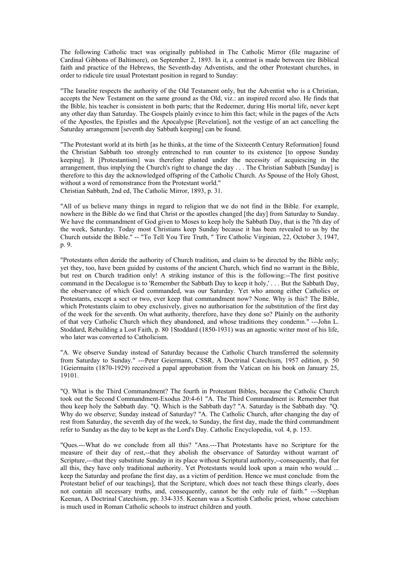The following Catholic tract was originally published in The Catholic Mirror (file magazine of Cardinal Gibbons of Baltimore), on September 2, 1893. In it, a contrast is made between tire Biblical faith and practice of the Hebrews, the Seventh-day Adventists, and the other Protestant churches, in order to ridicule tire usual Protestant position in regard to Sunday:

"The Israelite respects the authority of the Old Testament only, but the Adventist who is a Christian, accepts the New Testament on the same ground as the Old, viz.: an inspired record also. He finds that the Bible, his teacher is consistent in both parts; that the Redeemer, during His mortal life, never kept any other day than Saturday. The Gospels plainly evince to him this fact; while in the pages of the Acts of the Apostles, the Epistles and the Apocalypse [Revelation], not the vestige of an act cancelling the Saturday arrangement [seventh day Sabbath keeping] can be found.

"The Protestant world at its birth [as he thinks, at the time of the Sixteenth Century Reformation] found the Christian Sabbath too strongly entrenched to run counter to its existence [to oppose Sunday keeping]. It [Protestantism] was therefore planted under the necessity of acquiescing in the arrangement, thus implying the Church's right to change the day . . . The Christian Sabbath [Sunday] is therefore to this day the acknowledged offspring of the Catholic Church. As Spouse of the Holy Ghost, without a word of remonstrance from the Protestant world." Christian Sabbath, 2nd ed, The Catholic Mirror, 1893, p. 31.

"All of us believe many things in regard to religion that we do not find in the Bible. For example, nowhere in the Bible do we find that Christ or the apostles changed [the day] from Saturday to Sunday. We have the commandment of God given to Moses to keep holy the Sabbath Day, that is the 7th day of the week, Saturday. Today most Christians keep Sunday because it has been revealed to us by the Church outside the Bible." -- "To Tell You Tire Truth, " Tire Catholic Virginian, 22, October 3, 1947, p. 9.

"Protestants often deride the authority of Church tradition, and claim to be directed by the Bible only; yet they, too, have been guided by customs of the ancient Church, which find no warrant in the Bible, but rest on Church tradition only! A striking instance of this is the following:--The first positive command in the Decalogue is to 'Remember the Sabbath Day to keep it holy,' . . . But the Sabbath Day, the observance of which God commanded, was our Saturday. Yet who among either Catholics or Protestants, except a sect or two, ever keep that commandment now? None. Why is this? The Bible, which Protestants claim to obey exclusively, gives no authorisation for the substitution of the first day of the week for the seventh. On what authority, therefore, have they done so? Plainly on the authority of that very Catholic Church which they abandoned, and whose traditions they condemn." ---John L. Stoddard, Rebuilding a Lost Faith, p. 80 1Stoddard (1850-1931) was an agnostic writer most of his life, who later was converted to Catholicism.

"A. We observe Sunday instead of Saturday because the Catholic Church transferred the solemnity from Saturday to Sunday." ---Peter Geiermann, CSSR, A Doctrinal Catechism, 1957 edition, p. 50 1Geiermaitn (1870-1929) received a papal approbation from the Vatican on his book on January 25, 19101.

"Q. What is the Third Commandment? The fourth in Protestant Bibles, because the Catholic Church took out the Second Commandment-Exodus 20:4-61 "A. The Third Commandment is: Remember that thou keep holy the Sabbath day. "Q. Which is the Sabbath day? "A. Saturday is the Sabbath day. "Q. Why do we observe; Sunday instead of Saturday? "A. The Catholic Church, after changing the day of rest from Saturday, the seventh day of the week, to Sunday, the first day, made the third commandment refer to Sunday as the day to be kept as the Lord's Day. Catholic Encyclopedia, vol. 4, p. 153.

"Ques.---What do we conclude from all this? "Ans.---That Protestants have no Scripture for the measure of their day of rest,--that they abolish the observance of Saturday without warrant of' Scripture,---that they substitute Sunday in its place without Scriptural authority,--consequently, that for all this, they have only traditional authority. Yet Protestants would look upon a main who would ... keep the Saturday and profane the first day, as a victim of perdition. Hence we must conclude from the Protestant belief of our teachings], that the Scripture, which does not teach these things clearly, does not contain all necessary truths, and, consequently, cannot be the only rule of faith." ---Stephan Keenan, A Doctrinal Catechism, pp. 334-335. Keenan was a Scottish Catholic priest, whose catechism is much used in Roman Catholic schools to instruct children and youth.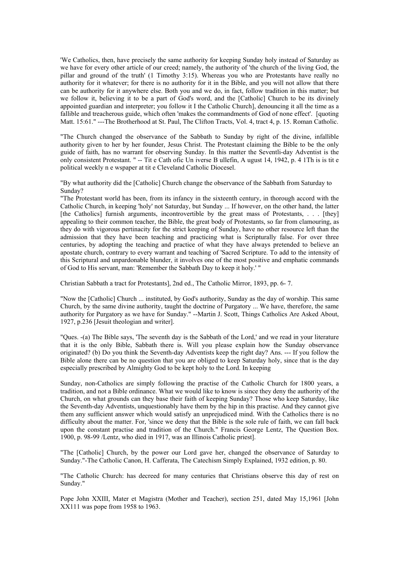'We Catholics, then, have precisely the same authority for keeping Sunday holy instead of Saturday as we have for every other article of our creed; namely, the authority of 'the church of the living God, the pillar and ground of the truth' (1 Timothy 3:15). Whereas you who are Protestants have really no authority for it whatever; for there is no authority for it in the Bible, and you will not allow that there can be authority for it anywhere else. Both you and we do, in fact, follow tradition in this matter; but we follow it, believing it to be a part of God's word, and the [Catholic] Church to be its divinely appointed guardian and interpreter; you follow it I the Catholic Church], denouncing it all the time as a fallible and treacherous guide, which often 'makes the commandments of God of none effect'. [quoting Matt. 15:61." ---The Brotherhood at St. Paul. The Clifton Tracts, Vol. 4, tract 4, p. 15. Roman Catholic.

"The Church changed the observance of the Sabbath to Sunday by right of the divine, infallible authority given to her by her founder, Jesus Christ. The Protestant claiming the Bible to be the only guide of faith, has no warrant for observing Sunday. In this matter the Seventli-day Adventist is the only consistent Protestant. " -- Tit e Cath ofic Un iverse B ullefin, A ugust 14, 1942, p. 4 1Th is is tit e political weekly n e wspaper at tit e Cleveland Catholic Diocesel.

"By what authority did the [Catholic] Church change the observance of the Sabbath from Saturday to Sunday?

"The Protestant world has been, from its infancy in the sixteenth century, in thorough accord with the Catholic Church, in keeping 'holy' not Saturday, but Sunday ... If however, on the other hand, the latter [the Catholics] furnish arguments, incontrovertible by the great mass of Protestants, ... [they] appealing to their common teacher, the Bible, the great body of Protestants, so far from clamouring, as they do with vigorous pertinacity for the strict keeping of Sunday, have no other resource left than the admission that they have been teaching and practicing what is Scripturally false. For over three centuries, by adopting the teaching and practice of what they have always pretended to believe an apostate church, contrary to every warrant and teaching of 'Sacred Scripture. To add to the intensity of this Scriptural and unpardonable blunder, it involves one of the most positive and emphatic commands of God to His servant, man: 'Remember the Sabbath Day to keep it holy.' "

Christian Sabbath a tract for Protestants], 2nd ed., The Catholic Mirror, 1893, pp. 6- 7.

"Now the [Catholic] Church ... instituted, by God's authority, Sunday as the day of worship. This same Church, by the same divine authority, taught the doctrine of Purgatory ... We have, therefore, the same authority for Purgatory as we have for Sunday." --Martin J. Scott, Things Catholics Are Asked About, 1927, p.236 [Jesuit theologian and writer].

"Ques. -(a) The Bible says, 'The seventh day is the Sabbath of the Lord,' and we read in your literature that it is the only Bible, Sabbath there is. Will you please explain how the Sunday observance originated? (b) Do you think the Seventh-day Adventists keep the right day? Ans. --- If you follow the Bible alone there can be no question that you are obliged to keep Saturday holy, since that is the day especially prescribed by Almighty God to be kept holy to the Lord. In keeping

Sunday, non-Catholics are simply following the practise of the Catholic Church for 1800 years, a tradition, and not a Bible ordinance. What we would like to know is since they deny the authority of the Church, on what grounds can they base their faith of keeping Sunday? Those who keep Saturday, like the Seventh-day Adventists, unquestionably have them by the hip in this practise. And they cannot give them any sufficient answer which would satisfy an unprejudiced mind. With the Catholics there is no difficulty about the matter. For, 'since we deny that the Bible is the sole rule of faith, we can fall back upon the constant practise and tradition of the Church." Francis George Lentz, The Question Box. 1900, p. 98-99 /Lentz, who died in 1917, was an Illinois Catholic priest].

"The [Catholic] Church, by the power our Lord gave her, changed the observance of Saturday to Sunday."-The Catholic Canon, H. Cafferata, The Catechism Simply Explained, 1932 edition, p. 80.

"The Catholic Church: has decreed for many centuries that Christians observe this day of rest on Sunday."

Pope John XXIII, Mater et Magistra (Mother and Teacher), section 251, dated May 15,1961 [John XX111 was pope from 1958 to 1963.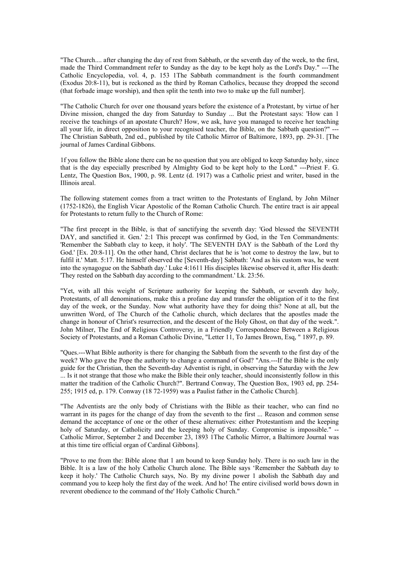"The Church.... after changing the day of rest from Sabbath, or the seventh day of the week, to the first, made the Third Commandment refer to Sunday as the day to be kept holy as the Lord's Day." ---The Catholic Encyclopedia, vol. 4, p. 153 1The Sabbath commandment is the fourth commandment (Exodus 20:8-11), but is reckoned as the third by Roman Catholics, because they dropped the second (that forbade image worship), and then split the tenth into two to make up the full number].

"The Catholic Church for over one thousand years before the existence of a Protestant, by virtue of her Divine mission, changed the day from Saturday to Sunday ... But the Protestant says: 'How can 1 receive the teachings of an apostate Church? How, we ask, have you managed to receive her teaching all your life, in direct opposition to your recognised teacher, the Bible, on the Sabbath question?" --- The Christian Sabbath, 2nd ed., published by tile Catholic Mirror of Baltimore, 1893, pp. 29-31. [The journal of James Cardinal Gibbons.

1f you follow the Bible alone there can be no question that you are obliged to keep Saturday holy, since that is the day especially prescribed by Almighty God to be kept holy to the Lord." ---Priest F. G. Lentz, The Question Box, 1900, p. 98. Lentz (d. 1917) was a Catholic priest and writer, based in the Illinois areal.

The following statement comes from a tract written to the Protestants of England, by John Milner (1752-1826), the English Vicar Apostolic of the Roman Catholic Church. The entire tract is air appeal for Protestants to return fully to the Church of Rome:

"The first precept in the Bible, is that of sanctifying the seventh day: 'God blessed the SEVENTH DAY, and sanctified it. Gen.' 2:1 This precept was confirmed by God, in the Ten Commandments: 'Remember the Sabbath clay to keep, it holy'. 'The SEVENTH DAY is the Sabbath of the Lord thy God.' [Ex. 20:8-11]. On the other hand, Christ declares that he is 'not come to destroy the law, but to fulfil it.' Matt. 5:17. He himself observed the [Seventh-day] Sabbath: 'And as his custom was, he went into the synagogue on the Sabbath day.' Luke 4:1611 His disciples likewise observed it, after His death: 'They rested on the Sabbath day according to the commandment.' Lk. 23:56.

"Yet, with all this weight of Scripture authority for keeping the Sabbath, or seventh day holy, Protestants, of all denominations, make this a profane day and transfer the obligation of it to the first day of the week, or the Sunday. Now what authority have they for doing this? None at all, but the unwritten Word, of The Church of the Catholic church, which declares that the apostles made the change in honour of Christ's resurrection, and the descent of the Holy Ghost, on that day of the week.". John Milner, The End of Religious Controversy, in a Friendly Correspondence Between a Religious Society of Protestants, and a Roman Catholic Divine, "Letter 11, To James Brown, Esq, " 1897, p. 89.

"Ques.---What Bible authority is there for changing the Sabbath from the seventh to the first day of the week? Who gave the Pope the authority to change a command of God? "Ans.---If the Bible is the only guide for the Christian, then the Seventh-day Adventist is right, in observing the Saturday with the Jew ... Is it not strange that those who make the Bible their only teacher, should inconsistently follow in this matter the tradition of the Catholic Church?". Bertrand Conway, The Question Box, 1903 ed, pp. 254- 255; 1915 ed, p. 179. Conway (18 72-1959) was a Paulist father in the Catholic Church].

"The Adventists are the only body of Christians with the Bible as their teacher, who can find no warrant in its pages for the change of day from the seventh to the first ... Reason and common sense demand the acceptance of one or the other of these alternatives: either Protestantism and the keeping holy of Saturday, or Catholicity and the keeping holy of Sunday. Compromise is impossible." --Catholic Mirror, September 2 and December 23, 1893 1The Catholic Mirror, a Baltimore Journal was at this time tire official organ of Cardinal Gibbons].

"Prove to me from the: Bible alone that 1 am bound to keep Sunday holy. There is no such law in the Bible. It is a law of the holy Catholic Church alone. The Bible says 'Remember the Sabbath day to keep it holy.' The Catholic Church says, No. By my divine power 1 abolish the Sabbath day and command you to keep holy the first day of the week. And ho! The entire civilised world bows down in reverent obedience to the command of the' Holy Catholic Church."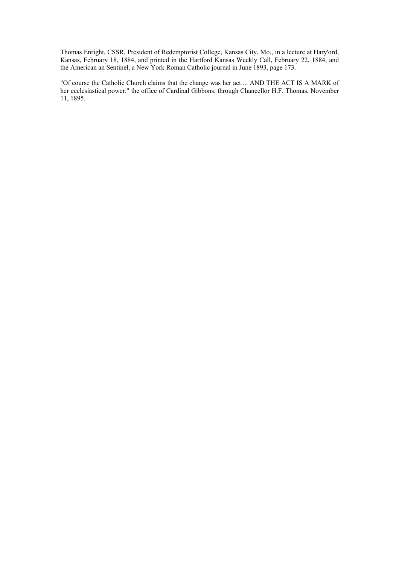Thomas Enright, CSSR, President of Redemptorist College, Kansas City, Mo., in a lecture at Hary'ord, Kansas, February 18, 1884, and printed in the Hartford Kansas Weekly Call, February 22, 1884, and the American an Sentinel, a New York Roman Catholic journal in June 1893, page 173.

"Of course the Catholic Church claims that the change was her act ... AND THE ACT IS A MARK of her ecclesiastical power." the office of Cardinal Gibbons, through Chancellor H.F. Thomas, November 11, 1895.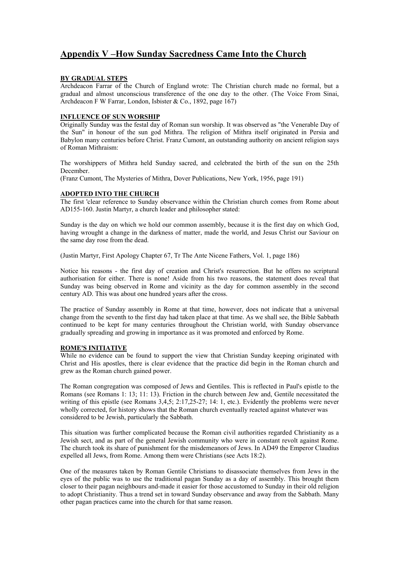# **Appendix V –How Sunday Sacredness Came Into the Church**

## **BY GRADUAL STEPS**

Archdeacon Farrar of the Church of England wrote: The Christian church made no formal, but a gradual and almost unconscious transference of the one day to the other. (The Voice From Sinai, Archdeacon F W Farrar, London, Isbister & Co., 1892, page 167)

#### **INFLUENCE OF SUN WORSHIP**

Originally Sunday was the festal day of Roman sun worship. It was observed as "the Venerable Day of the Sun" in honour of the sun god Mithra. The religion of Mithra itself originated in Persia and Babylon many centuries before Christ. Franz Cumont, an outstanding authority on ancient religion says of Roman Mithraism:

The worshippers of Mithra held Sunday sacred, and celebrated the birth of the sun on the 25th December.

(Franz Cumont, The Mysteries of Mithra, Dover Publications, New York, 1956, page 191)

## **ADOPTED INTO THE CHURCH**

The first 'clear reference to Sunday observance within the Christian church comes from Rome about AD155-160. Justin Martyr, a church leader and philosopher stated:

Sunday is the day on which we hold our common assembly, because it is the first day on which God, having wrought a change in the darkness of matter, made the world, and Jesus Christ our Saviour on the same day rose from the dead.

(Justin Martyr, First Apology Chapter 67, Tr The Ante Nicene Fathers, Vol. 1, page 186)

Notice his reasons - the first day of creation and Christ's resurrection. But he offers no scriptural authorisation for either. There is none! Aside from his two reasons, the statement does reveal that Sunday was being observed in Rome and vicinity as the day for common assembly in the second century AD. This was about one hundred years after the cross.

The practice of Sunday assembly in Rome at that time, however, does not indicate that a universal change from the seventh to the first day had taken place at that time. As we shall see, the Bible Sabbath continued to be kept for many centuries throughout the Christian world, with Sunday observance gradually spreading and growing in importance as it was promoted and enforced by Rome.

## **ROME'S INITIATIVE**

While no evidence can be found to support the view that Christian Sunday keeping originated with Christ and His apostles, there is clear evidence that the practice did begin in the Roman church and grew as the Roman church gained power.

The Roman congregation was composed of Jews and Gentiles. This is reflected in Paul's epistle to the Romans (see Romans 1: 13; 11: 13). Friction in the church between Jew and, Gentile necessitated the writing of this epistle (see Romans 3,4,5; 2:17,25-27; 14: 1, etc.). Evidently the problems were never wholly corrected, for history shows that the Roman church eventually reacted against whatever was considered to be Jewish, particularly the Sabbath.

This situation was further complicated because the Roman civil authorities regarded Christianity as a Jewish sect, and as part of the general Jewish community who were in constant revolt against Rome. The church took its share of punishment for the misdemeanors of Jews. In AD49 the Emperor Claudius expelled all Jews, from Rome. Among them were Christians (see Acts 18:2).

One of the measures taken by Roman Gentile Christians to disassociate themselves from Jews in the eyes of the public was to use the traditional pagan Sunday as a day of assembly. This brought them closer to their pagan neighbours and-made it easier for those accustomed to Sunday in their old religion to adopt Christianity. Thus a trend set in toward Sunday observance and away from the Sabbath. Many other pagan practices came into the church for that same reason.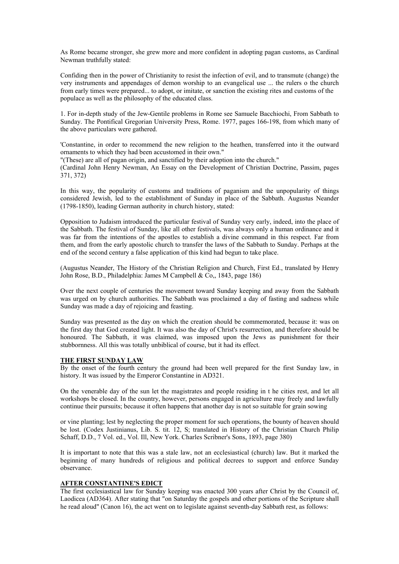As Rome became stronger, she grew more and more confident in adopting pagan customs, as Cardinal Newman truthfully stated:

Confiding then in the power of Christianity to resist the infection of evil, and to transmute (change) the very instruments and appendages of demon worship to an evangelical use ... the rulers o the church from early times were prepared... to adopt, or imitate, or sanction the existing rites and customs of the populace as well as the philosophy of the educated class.

1. For in-depth study of the Jew-Gentile problems in Rome see Samuele Bacchiochi, From Sabbath to Sunday. The Pontifical Gregorian University Press, Rome. 1977, pages 166-198, from which many of the above particulars were gathered.

'Constantine, in order to recommend the new religion to the heathen, transferred into it the outward ornaments to which they had been accustomed in their own."

"(These) are all of pagan origin, and sanctified by their adoption into the church."

(Cardinal John Henry Newman, An Essay on the Development of Christian Doctrine, Passim, pages 371, 372)

In this way, the popularity of customs and traditions of paganism and the unpopularity of things considered Jewish, led to the establishment of Sunday in place of the Sabbath. Augustus Neander (1798-1850), leading German authority in church history, stated:

Opposition to Judaism introduced the particular festival of Sunday very early, indeed, into the place of the Sabbath. The festival of Sunday, like all other festivals, was always only a human ordinance and it was far from the intentions of the apostles to establish a divine command in this respect. Far from them, and from the early apostolic church to transfer the laws of the Sabbath to Sunday. Perhaps at the end of the second century a false application of this kind had begun to take place.

(Augustus Neander, The History of the Christian Religion and Church, First Ed., translated by Henry John Rose, B.D., Philadelphia: James M Campbell & Co,, 1843, page 186)

Over the next couple of centuries the movement toward Sunday keeping and away from the Sabbath was urged on by church authorities. The Sabbath was proclaimed a day of fasting and sadness while Sunday was made a day of rejoicing and feasting.

Sunday was presented as the day on which the creation should be commemorated, because it: was on the first day that God created light. It was also the day of Christ's resurrection, and therefore should be honoured. The Sabbath, it was claimed, was imposed upon the Jews as punishment for their stubbornness. All this was totally unbiblical of course, but it had its effect.

## **THE FIRST SUNDAY LAW**

By the onset of the fourth century the ground had been well prepared for the first Sunday law, in history. It was issued by the Emperor Constantine in AD321.

On the venerable day of the sun let the magistrates and people residing in t he cities rest, and let all workshops be closed. In the country, however, persons engaged in agriculture may freely and lawfully continue their pursuits; because it often happens that another day is not so suitable for grain sowing

or vine planting; lest by neglecting the proper moment for such operations, the bounty of heaven should be lost. (Codex Justinianus, Lib. S. tit. 12, S; translated in History of the Christian Church Philip Schaff, D.D., 7 Vol. ed., Vol. Ill, New York. Charles Scribner's Sons, 1893, page 380)

It is important to note that this was a stale law, not an ecclesiastical (church) law. But it marked the beginning of many hundreds of religious and political decrees to support and enforce Sunday observance.

## **AFTER CONSTANTINE'S EDICT**

The first ecclesiastical law for Sunday keeping was enacted 300 years after Christ by the Council of, Laodicea (AD364). After stating that "on Saturday the gospels and other portions of the Scripture shall he read aloud" (Canon 16), the act went on to legislate against seventh-day Sabbath rest, as follows: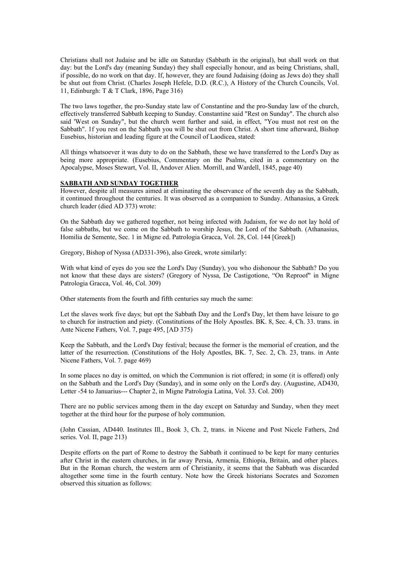Christians shall not Judaise and be idle on Saturday (Sabbath in the original), but shall work on that day: but the Lord's day (meaning Sunday) they shall especially honour, and as being Christians, shall, if possible, do no work on that day. If, however, they are found Judaising (doing as Jews do) they shall be shut out from Christ. (Charles Joseph Hefele, D.D. (R.C.), A History of the Church Councils, Vol. 11, Edinburgh: T & T Clark, 1896, Page 316)

The two laws together, the pro-Sunday state law of Constantine and the pro-Sunday law of the church, effectively transferred Sabbath keeping to Sunday. Constantine said "Rest on Sunday". The church also said 'West on Sunday", but the church went further and said, in effect, "You must not rest on the Sabbath". 1f you rest on the Sabbath you will be shut out from Christ. A short time afterward, Bishop Eusebius, historian and leading figure at the Council of Laodicea, stated:

All things whatsoever it was duty to do on the Sabbath, these we have transferred to the Lord's Day as being more appropriate. (Eusebius, Commentary on the Psalms, cited in a commentary on the Apocalypse, Moses Stewart, Vol. II, Andover Alien. Morrill, and Wardell, 1845, page 40)

#### **SABBATH AND SUNDAY TOGETHER**

However, despite all measures aimed at eliminating the observance of the seventh day as the Sabbath, it continued throughout the centuries. It was observed as a companion to Sunday. Athanasius, a Greek church leader (died AD 373) wrote:

On the Sabbath day we gathered together, not being infected with Judaism, for we do not lay hold of false sabbaths, but we come on the Sabbath to worship Jesus, the Lord of the Sabbath. (Athanasius, Homilia de Semente, Sec. 1 in Migne ed. Patrologia Gracca, Vol. 28, Col. 144 [Greek])

Gregory, Bishop of Nyssa (AD331-396), also Greek, wrote similarly:

With what kind of eyes do you see the Lord's Day (Sunday), you who dishonour the Sabbath? Do you not know that these days are sisters? (Gregory of Nyssa, De Castigotione, "On Reproof" in Migne Patrologia Gracca, Vol. 46, Col. 309)

Other statements from the fourth and fifth centuries say much the same:

Let the slaves work five days; but opt the Sabbath Day and the Lord's Day, let them have leisure to go to church for instruction and piety. (Constitutions of the Holy Apostles. BK. 8, Sec. 4, Ch. 33. trans. in Ante Nicene Fathers, Vol. 7, page 495, [AD 375)

Keep the Sabbath, and the Lord's Day festival; because the former is the memorial of creation, and the latter of the resurrection. (Constitutions of the Holy Apostles, BK. 7, Sec. 2, Ch. 23, trans. in Ante Nicene Fathers, Vol. 7. page 469)

In some places no day is omitted, on which the Communion is riot offered; in some (it is offered) only on the Sabbath and the Lord's Day (Sunday), and in some only on the Lord's day. (Augustine, AD430, Letter -54 to Januarius--- Chapter 2, in Migne Patrologia Latina, Vol. 33. Col. 200)

There are no public services among them in the day except on Saturday and Sunday, when they meet together at the third hour for the purpose of holy communion.

(John Cassian, AD440. Institutes Ill., Book 3, Ch. 2, trans. in Nicene and Post Nicele Fathers, 2nd series. Vol. II, page 213)

Despite efforts on the part of Rome to destroy the Sabbath it continued to be kept for many centuries after Christ in the eastern churches, in far away Persia, Armenia, Ethiopia, Britain, and other places. But in the Roman church, the western arm of Christianity, it seems that the Sabbath was discarded altogether some time in the fourth century. Note how the Greek historians Socrates and Sozomen observed this situation as follows: